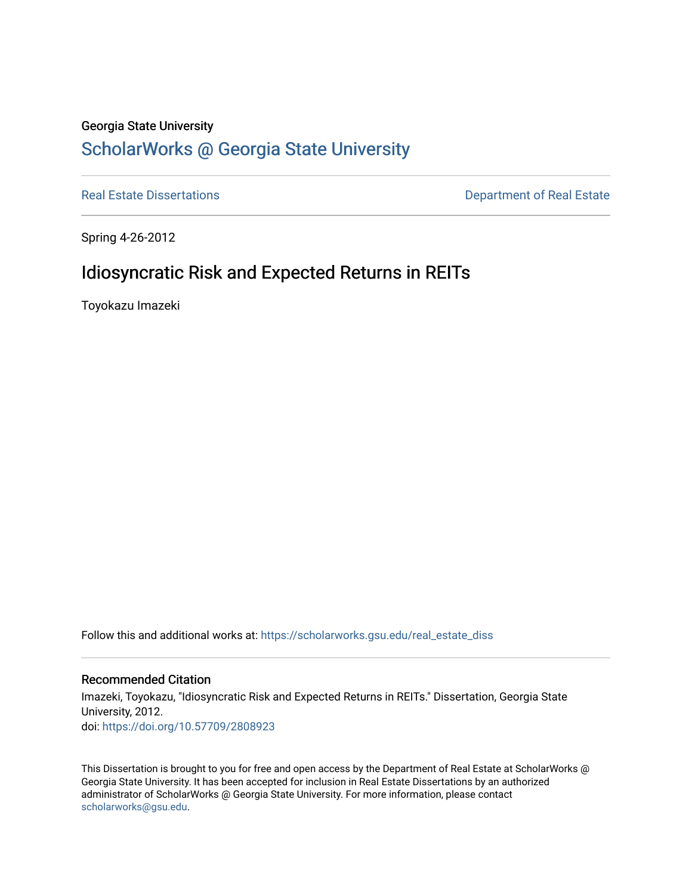# Georgia State University

# [ScholarWorks @ Georgia State University](https://scholarworks.gsu.edu/)

[Real Estate Dissertations](https://scholarworks.gsu.edu/real_estate_diss) **Department of Real Estate** 

Spring 4-26-2012

# Idiosyncratic Risk and Expected Returns in REITs

Toyokazu Imazeki

Follow this and additional works at: [https://scholarworks.gsu.edu/real\\_estate\\_diss](https://scholarworks.gsu.edu/real_estate_diss?utm_source=scholarworks.gsu.edu%2Freal_estate_diss%2F12&utm_medium=PDF&utm_campaign=PDFCoverPages) 

# Recommended Citation

Imazeki, Toyokazu, "Idiosyncratic Risk and Expected Returns in REITs." Dissertation, Georgia State University, 2012. doi: <https://doi.org/10.57709/2808923>

This Dissertation is brought to you for free and open access by the Department of Real Estate at ScholarWorks @ Georgia State University. It has been accepted for inclusion in Real Estate Dissertations by an authorized administrator of ScholarWorks @ Georgia State University. For more information, please contact [scholarworks@gsu.edu.](mailto:scholarworks@gsu.edu)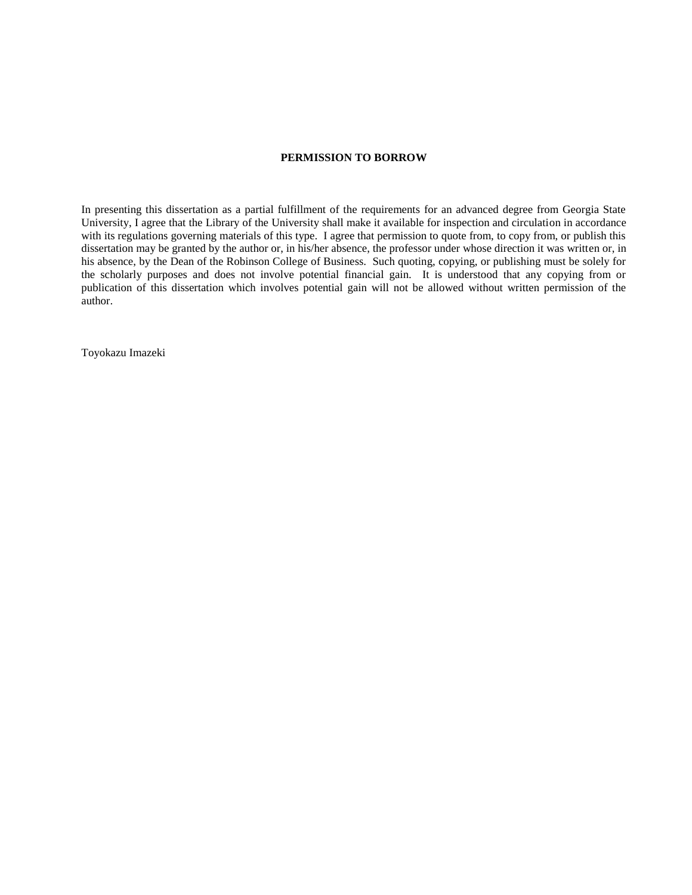### **PERMISSION TO BORROW**

In presenting this dissertation as a partial fulfillment of the requirements for an advanced degree from Georgia State University, I agree that the Library of the University shall make it available for inspection and circulation in accordance with its regulations governing materials of this type. I agree that permission to quote from, to copy from, or publish this dissertation may be granted by the author or, in his/her absence, the professor under whose direction it was written or, in his absence, by the Dean of the Robinson College of Business. Such quoting, copying, or publishing must be solely for the scholarly purposes and does not involve potential financial gain. It is understood that any copying from or publication of this dissertation which involves potential gain will not be allowed without written permission of the author.

Toyokazu Imazeki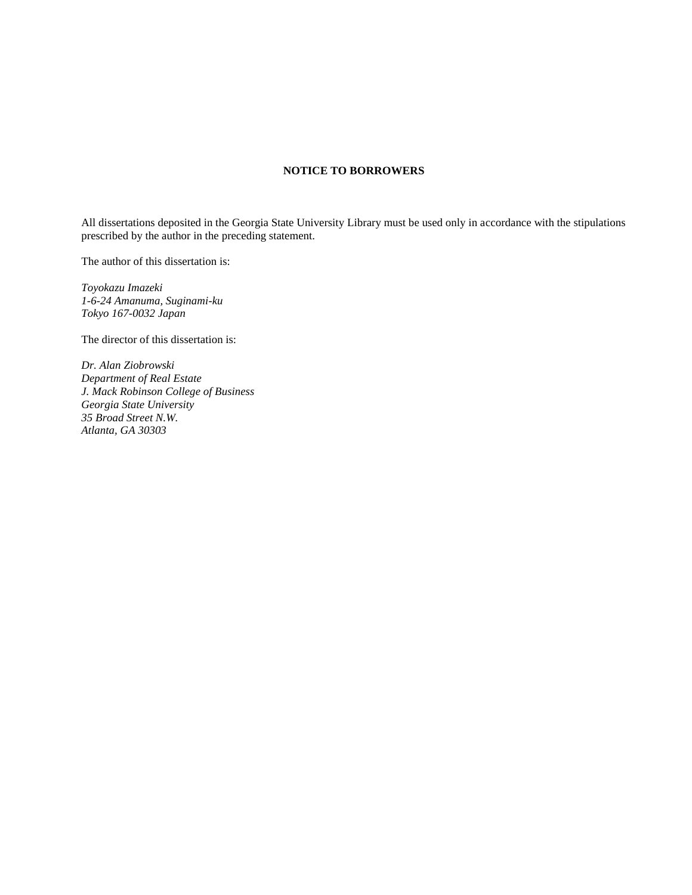### **NOTICE TO BORROWERS**

All dissertations deposited in the Georgia State University Library must be used only in accordance with the stipulations prescribed by the author in the preceding statement.

The author of this dissertation is:

*Toyokazu Imazeki 1-6-24 Amanuma, Suginami-ku Tokyo 167-0032 Japan*

The director of this dissertation is:

*Dr. Alan Ziobrowski Department of Real Estate J. Mack Robinson College of Business Georgia State University 35 Broad Street N.W. Atlanta, GA 30303*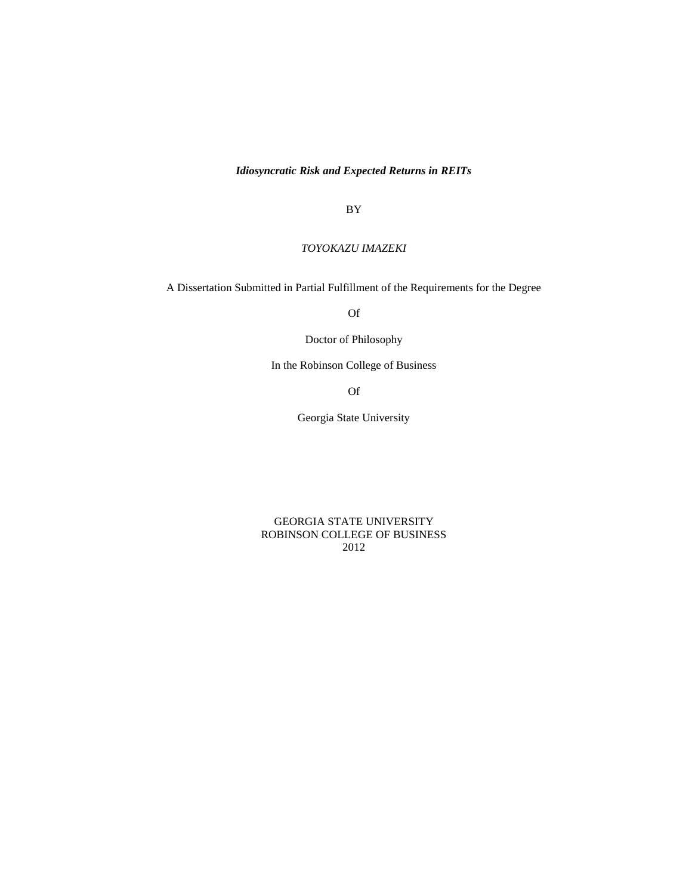*Idiosyncratic Risk and Expected Returns in REITs*

BY

*TOYOKAZU IMAZEKI*

A Dissertation Submitted in Partial Fulfillment of the Requirements for the Degree

Of

Doctor of Philosophy

In the Robinson College of Business

Of

Georgia State University

GEORGIA STATE UNIVERSITY ROBINSON COLLEGE OF BUSINESS 2012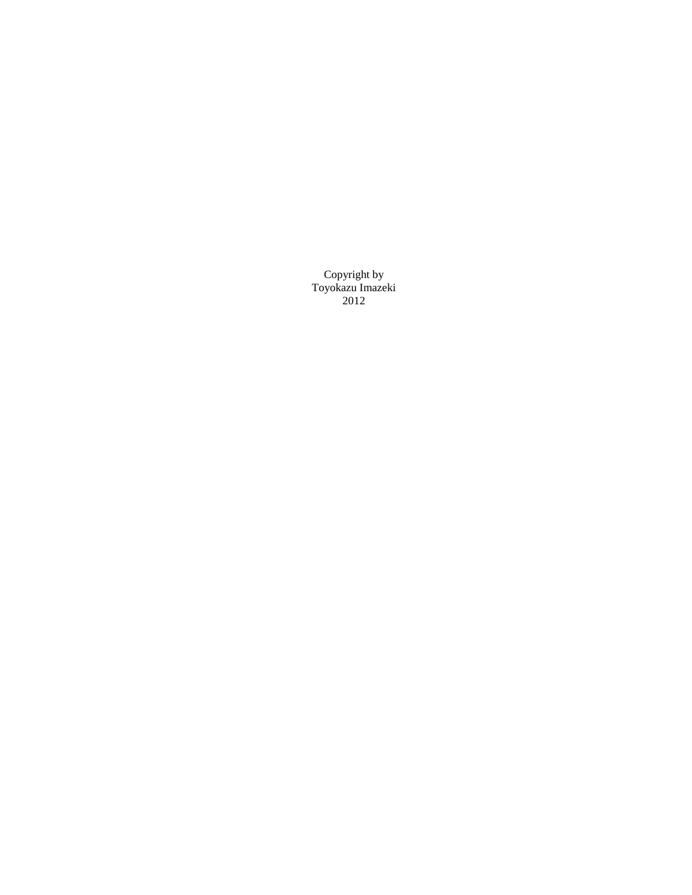Copyright by Toyokazu Imazeki 2012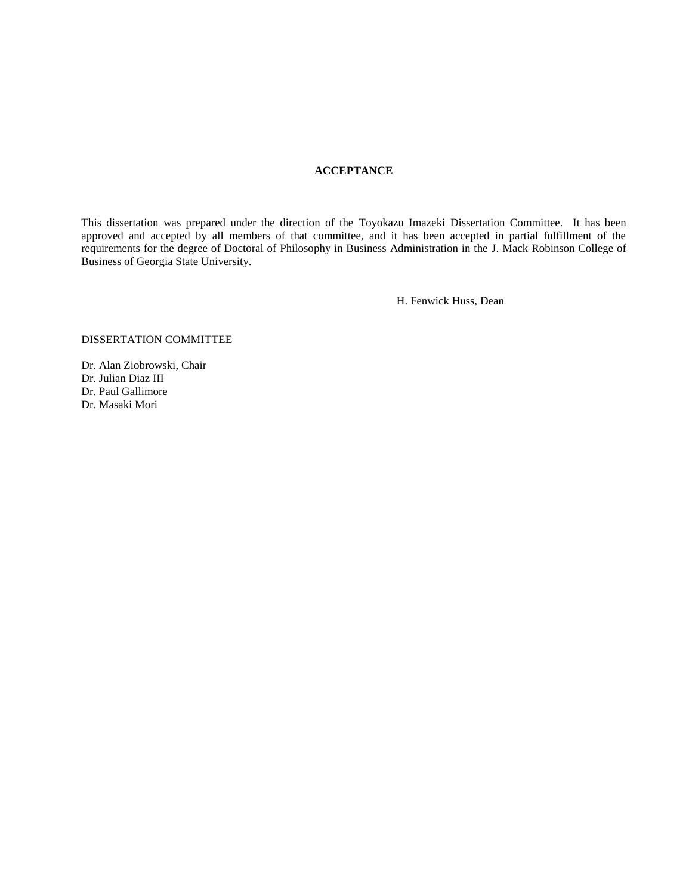### **ACCEPTANCE**

This dissertation was prepared under the direction of the Toyokazu Imazeki Dissertation Committee. It has been approved and accepted by all members of that committee, and it has been accepted in partial fulfillment of the requirements for the degree of Doctoral of Philosophy in Business Administration in the J. Mack Robinson College of Business of Georgia State University.

H. Fenwick Huss, Dean

#### DISSERTATION COMMITTEE

Dr. Alan Ziobrowski, Chair Dr. Julian Diaz III Dr. Paul Gallimore Dr. Masaki Mori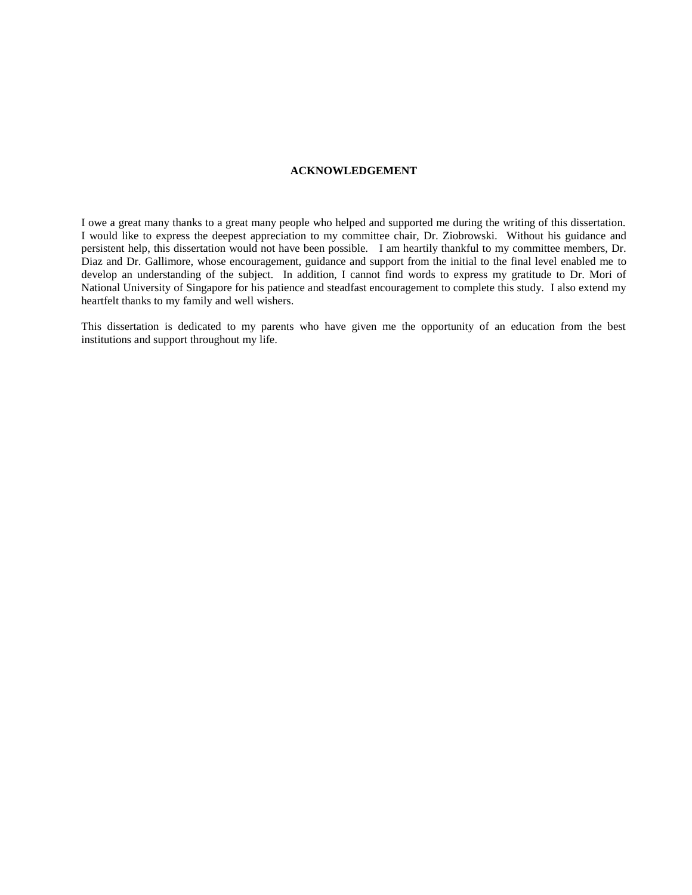#### **ACKNOWLEDGEMENT**

I owe a great many thanks to a great many people who helped and supported me during the writing of this dissertation. I would like to express the deepest appreciation to my committee chair, Dr. Ziobrowski. Without his guidance and persistent help, this dissertation would not have been possible. I am heartily thankful to my committee members, Dr. Diaz and Dr. Gallimore, whose encouragement, guidance and support from the initial to the final level enabled me to develop an understanding of the subject. In addition, I cannot find words to express my gratitude to Dr. Mori of National University of Singapore for his patience and steadfast encouragement to complete this study. I also extend my heartfelt thanks to my family and well wishers.

This dissertation is dedicated to my parents who have given me the opportunity of an education from the best institutions and support throughout my life.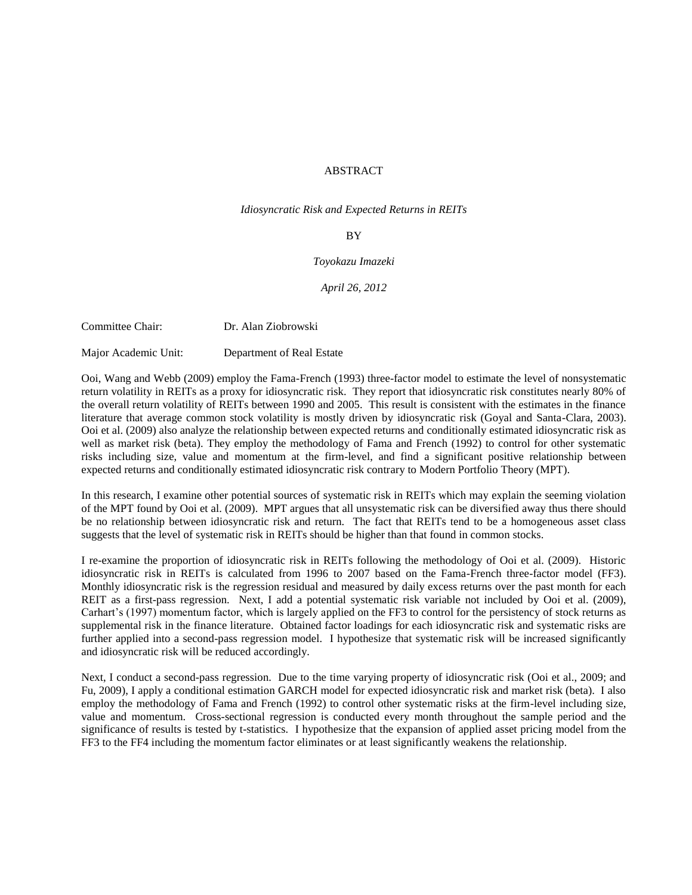### ABSTRACT

*Idiosyncratic Risk and Expected Returns in REITs*

#### BY

#### *Toyokazu Imazeki*

#### *April 26, 2012*

Committee Chair: Dr. Alan Ziobrowski

Major Academic Unit: Department of Real Estate

Ooi, Wang and Webb (2009) employ the Fama-French (1993) three-factor model to estimate the level of nonsystematic return volatility in REITs as a proxy for idiosyncratic risk. They report that idiosyncratic risk constitutes nearly 80% of the overall return volatility of REITs between 1990 and 2005. This result is consistent with the estimates in the finance literature that average common stock volatility is mostly driven by idiosyncratic risk (Goyal and Santa-Clara, 2003). Ooi et al. (2009) also analyze the relationship between expected returns and conditionally estimated idiosyncratic risk as well as market risk (beta). They employ the methodology of Fama and French (1992) to control for other systematic risks including size, value and momentum at the firm-level, and find a significant positive relationship between expected returns and conditionally estimated idiosyncratic risk contrary to Modern Portfolio Theory (MPT).

In this research, I examine other potential sources of systematic risk in REITs which may explain the seeming violation of the MPT found by Ooi et al. (2009). MPT argues that all unsystematic risk can be diversified away thus there should be no relationship between idiosyncratic risk and return. The fact that REITs tend to be a homogeneous asset class suggests that the level of systematic risk in REITs should be higher than that found in common stocks.

I re-examine the proportion of idiosyncratic risk in REITs following the methodology of Ooi et al. (2009). Historic idiosyncratic risk in REITs is calculated from 1996 to 2007 based on the Fama-French three-factor model (FF3). Monthly idiosyncratic risk is the regression residual and measured by daily excess returns over the past month for each REIT as a first-pass regression. Next, I add a potential systematic risk variable not included by Ooi et al. (2009), Carhart's (1997) momentum factor, which is largely applied on the FF3 to control for the persistency of stock returns as supplemental risk in the finance literature. Obtained factor loadings for each idiosyncratic risk and systematic risks are further applied into a second-pass regression model. I hypothesize that systematic risk will be increased significantly and idiosyncratic risk will be reduced accordingly.

Next, I conduct a second-pass regression. Due to the time varying property of idiosyncratic risk (Ooi et al., 2009; and Fu, 2009), I apply a conditional estimation GARCH model for expected idiosyncratic risk and market risk (beta). I also employ the methodology of Fama and French (1992) to control other systematic risks at the firm-level including size, value and momentum. Cross-sectional regression is conducted every month throughout the sample period and the significance of results is tested by t-statistics. I hypothesize that the expansion of applied asset pricing model from the FF3 to the FF4 including the momentum factor eliminates or at least significantly weakens the relationship.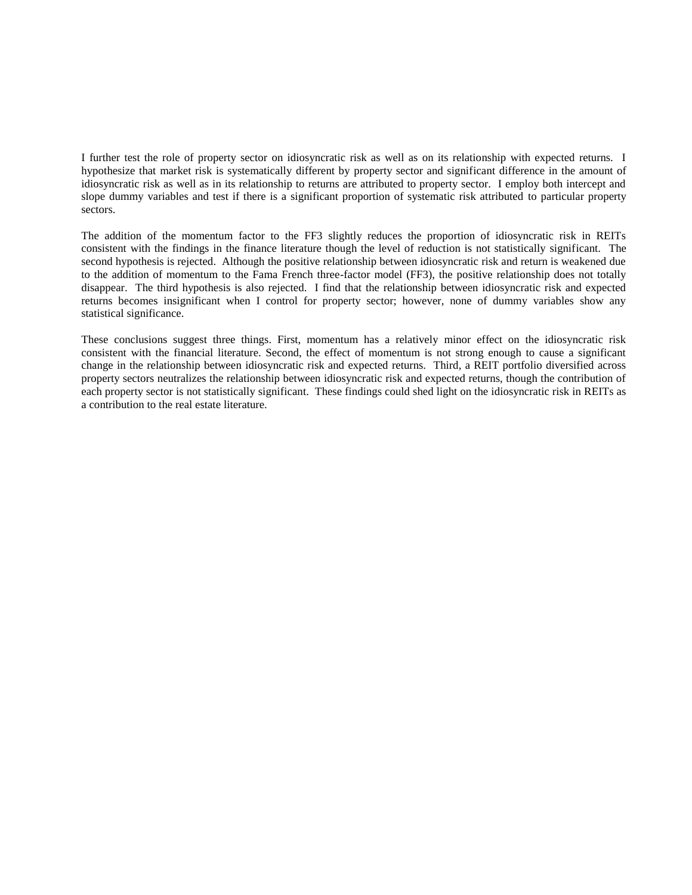I further test the role of property sector on idiosyncratic risk as well as on its relationship with expected returns. I hypothesize that market risk is systematically different by property sector and significant difference in the amount of idiosyncratic risk as well as in its relationship to returns are attributed to property sector. I employ both intercept and slope dummy variables and test if there is a significant proportion of systematic risk attributed to particular property sectors.

The addition of the momentum factor to the FF3 slightly reduces the proportion of idiosyncratic risk in REITs consistent with the findings in the finance literature though the level of reduction is not statistically significant. The second hypothesis is rejected. Although the positive relationship between idiosyncratic risk and return is weakened due to the addition of momentum to the Fama French three-factor model (FF3), the positive relationship does not totally disappear. The third hypothesis is also rejected. I find that the relationship between idiosyncratic risk and expected returns becomes insignificant when I control for property sector; however, none of dummy variables show any statistical significance.

These conclusions suggest three things. First, momentum has a relatively minor effect on the idiosyncratic risk consistent with the financial literature. Second, the effect of momentum is not strong enough to cause a significant change in the relationship between idiosyncratic risk and expected returns. Third, a REIT portfolio diversified across property sectors neutralizes the relationship between idiosyncratic risk and expected returns, though the contribution of each property sector is not statistically significant. These findings could shed light on the idiosyncratic risk in REITs as a contribution to the real estate literature.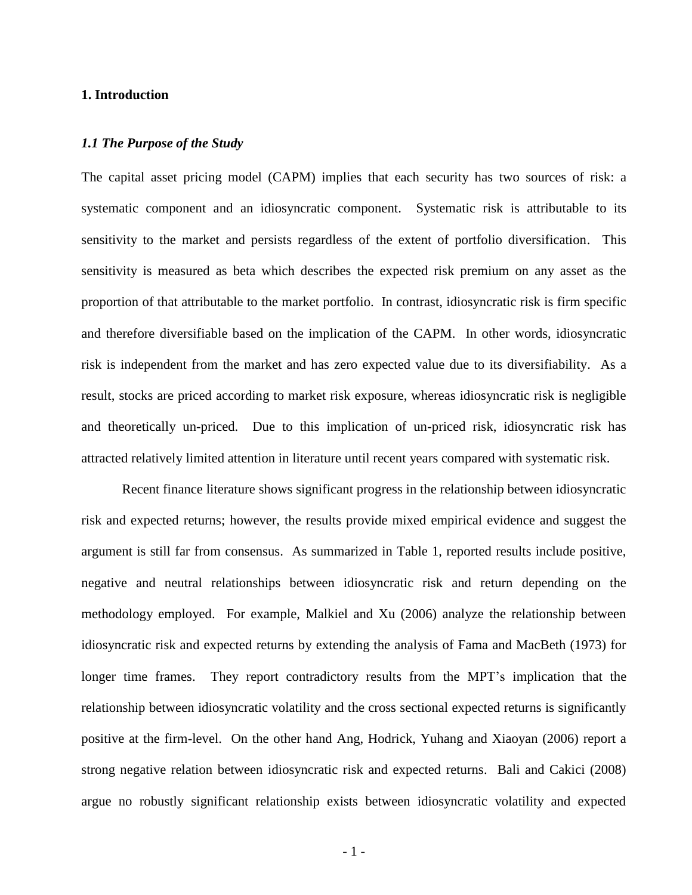# **1. Introduction**

### *1.1 The Purpose of the Study*

The capital asset pricing model (CAPM) implies that each security has two sources of risk: a systematic component and an idiosyncratic component. Systematic risk is attributable to its sensitivity to the market and persists regardless of the extent of portfolio diversification. This sensitivity is measured as beta which describes the expected risk premium on any asset as the proportion of that attributable to the market portfolio. In contrast, idiosyncratic risk is firm specific and therefore diversifiable based on the implication of the CAPM. In other words, idiosyncratic risk is independent from the market and has zero expected value due to its diversifiability. As a result, stocks are priced according to market risk exposure, whereas idiosyncratic risk is negligible and theoretically un-priced. Due to this implication of un-priced risk, idiosyncratic risk has attracted relatively limited attention in literature until recent years compared with systematic risk.

Recent finance literature shows significant progress in the relationship between idiosyncratic risk and expected returns; however, the results provide mixed empirical evidence and suggest the argument is still far from consensus. As summarized in Table 1, reported results include positive, negative and neutral relationships between idiosyncratic risk and return depending on the methodology employed. For example, Malkiel and Xu (2006) analyze the relationship between idiosyncratic risk and expected returns by extending the analysis of Fama and MacBeth (1973) for longer time frames. They report contradictory results from the MPT's implication that the relationship between idiosyncratic volatility and the cross sectional expected returns is significantly positive at the firm-level. On the other hand Ang, Hodrick, Yuhang and Xiaoyan (2006) report a strong negative relation between idiosyncratic risk and expected returns. Bali and Cakici (2008) argue no robustly significant relationship exists between idiosyncratic volatility and expected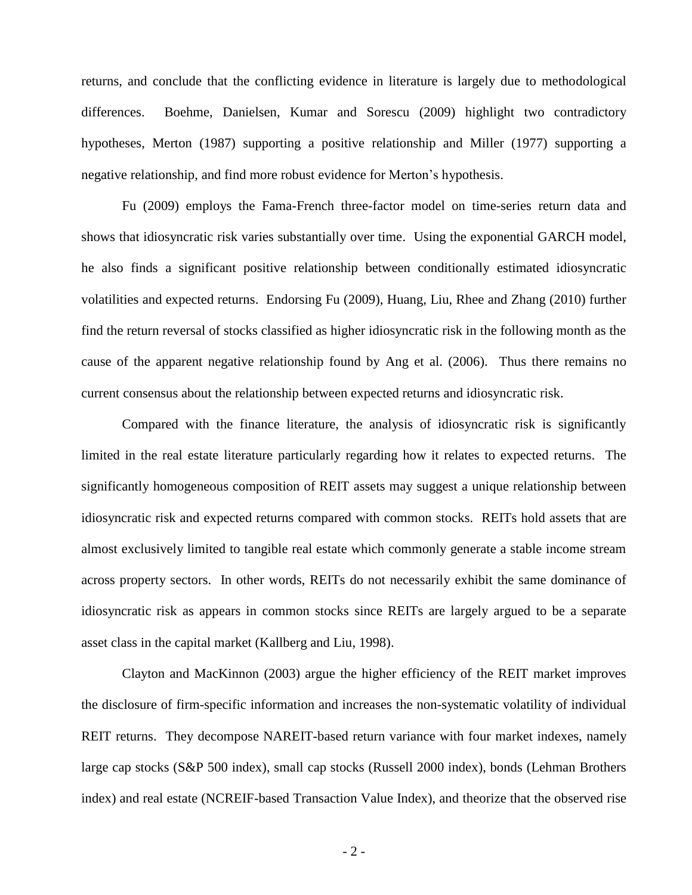returns, and conclude that the conflicting evidence in literature is largely due to methodological differences. Boehme, Danielsen, Kumar and Sorescu (2009) highlight two contradictory hypotheses, Merton (1987) supporting a positive relationship and Miller (1977) supporting a negative relationship, and find more robust evidence for Merton's hypothesis.

Fu (2009) employs the Fama-French three-factor model on time-series return data and shows that idiosyncratic risk varies substantially over time. Using the exponential GARCH model, he also finds a significant positive relationship between conditionally estimated idiosyncratic volatilities and expected returns. Endorsing Fu (2009), Huang, Liu, Rhee and Zhang (2010) further find the return reversal of stocks classified as higher idiosyncratic risk in the following month as the cause of the apparent negative relationship found by Ang et al. (2006). Thus there remains no current consensus about the relationship between expected returns and idiosyncratic risk.

Compared with the finance literature, the analysis of idiosyncratic risk is significantly limited in the real estate literature particularly regarding how it relates to expected returns. The significantly homogeneous composition of REIT assets may suggest a unique relationship between idiosyncratic risk and expected returns compared with common stocks. REITs hold assets that are almost exclusively limited to tangible real estate which commonly generate a stable income stream across property sectors. In other words, REITs do not necessarily exhibit the same dominance of idiosyncratic risk as appears in common stocks since REITs are largely argued to be a separate asset class in the capital market (Kallberg and Liu, 1998).

Clayton and MacKinnon (2003) argue the higher efficiency of the REIT market improves the disclosure of firm-specific information and increases the non-systematic volatility of individual REIT returns. They decompose NAREIT-based return variance with four market indexes, namely large cap stocks (S&P 500 index), small cap stocks (Russell 2000 index), bonds (Lehman Brothers index) and real estate (NCREIF-based Transaction Value Index), and theorize that the observed rise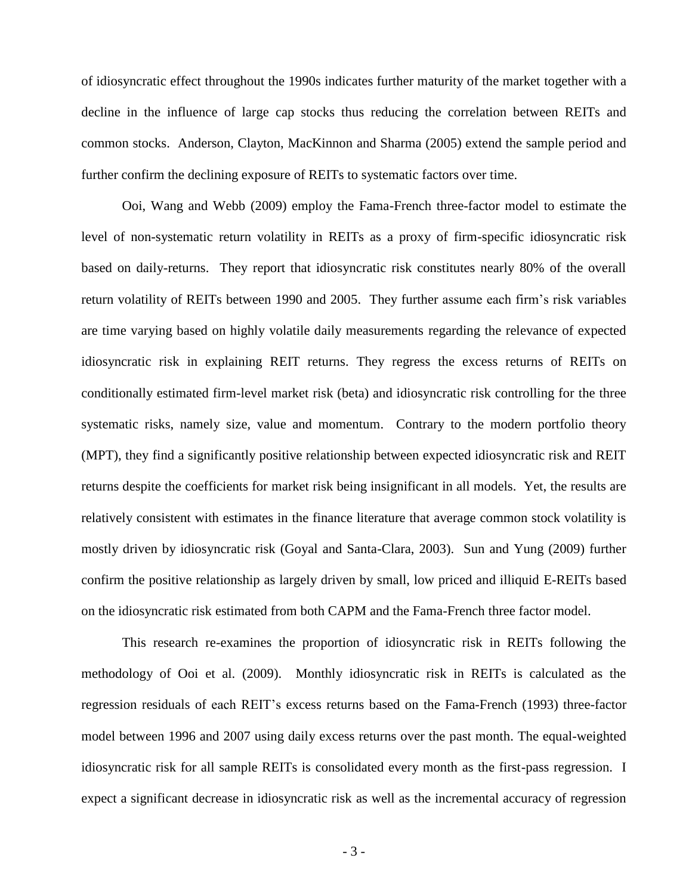of idiosyncratic effect throughout the 1990s indicates further maturity of the market together with a decline in the influence of large cap stocks thus reducing the correlation between REITs and common stocks. Anderson, Clayton, MacKinnon and Sharma (2005) extend the sample period and further confirm the declining exposure of REITs to systematic factors over time.

Ooi, Wang and Webb (2009) employ the Fama-French three-factor model to estimate the level of non-systematic return volatility in REITs as a proxy of firm-specific idiosyncratic risk based on daily-returns. They report that idiosyncratic risk constitutes nearly 80% of the overall return volatility of REITs between 1990 and 2005. They further assume each firm's risk variables are time varying based on highly volatile daily measurements regarding the relevance of expected idiosyncratic risk in explaining REIT returns. They regress the excess returns of REITs on conditionally estimated firm-level market risk (beta) and idiosyncratic risk controlling for the three systematic risks, namely size, value and momentum. Contrary to the modern portfolio theory (MPT), they find a significantly positive relationship between expected idiosyncratic risk and REIT returns despite the coefficients for market risk being insignificant in all models. Yet, the results are relatively consistent with estimates in the finance literature that average common stock volatility is mostly driven by idiosyncratic risk (Goyal and Santa-Clara, 2003). Sun and Yung (2009) further confirm the positive relationship as largely driven by small, low priced and illiquid E-REITs based on the idiosyncratic risk estimated from both CAPM and the Fama-French three factor model.

This research re-examines the proportion of idiosyncratic risk in REITs following the methodology of Ooi et al. (2009). Monthly idiosyncratic risk in REITs is calculated as the regression residuals of each REIT's excess returns based on the Fama-French (1993) three-factor model between 1996 and 2007 using daily excess returns over the past month. The equal-weighted idiosyncratic risk for all sample REITs is consolidated every month as the first-pass regression. I expect a significant decrease in idiosyncratic risk as well as the incremental accuracy of regression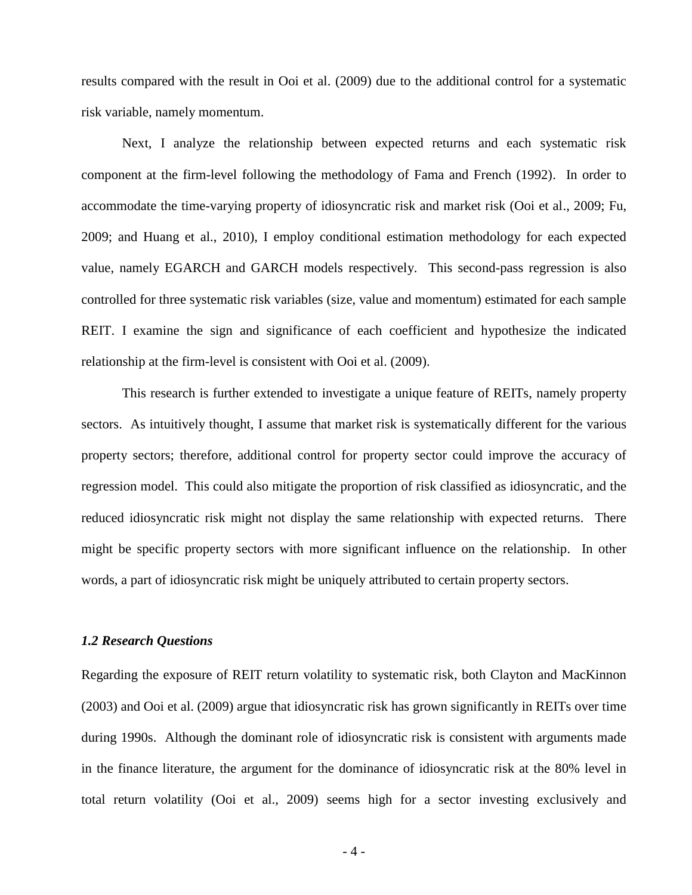results compared with the result in Ooi et al. (2009) due to the additional control for a systematic risk variable, namely momentum.

Next, I analyze the relationship between expected returns and each systematic risk component at the firm-level following the methodology of Fama and French (1992). In order to accommodate the time-varying property of idiosyncratic risk and market risk (Ooi et al., 2009; Fu, 2009; and Huang et al., 2010), I employ conditional estimation methodology for each expected value, namely EGARCH and GARCH models respectively. This second-pass regression is also controlled for three systematic risk variables (size, value and momentum) estimated for each sample REIT. I examine the sign and significance of each coefficient and hypothesize the indicated relationship at the firm-level is consistent with Ooi et al. (2009).

This research is further extended to investigate a unique feature of REITs, namely property sectors. As intuitively thought, I assume that market risk is systematically different for the various property sectors; therefore, additional control for property sector could improve the accuracy of regression model. This could also mitigate the proportion of risk classified as idiosyncratic, and the reduced idiosyncratic risk might not display the same relationship with expected returns. There might be specific property sectors with more significant influence on the relationship. In other words, a part of idiosyncratic risk might be uniquely attributed to certain property sectors.

# *1.2 Research Questions*

Regarding the exposure of REIT return volatility to systematic risk, both Clayton and MacKinnon (2003) and Ooi et al. (2009) argue that idiosyncratic risk has grown significantly in REITs over time during 1990s. Although the dominant role of idiosyncratic risk is consistent with arguments made in the finance literature, the argument for the dominance of idiosyncratic risk at the 80% level in total return volatility (Ooi et al., 2009) seems high for a sector investing exclusively and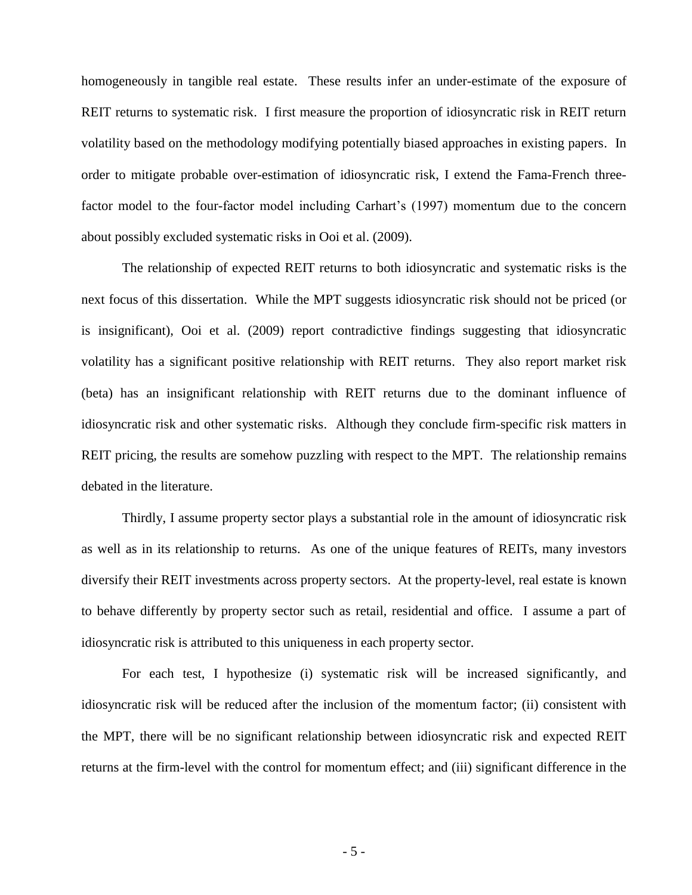homogeneously in tangible real estate. These results infer an under-estimate of the exposure of REIT returns to systematic risk. I first measure the proportion of idiosyncratic risk in REIT return volatility based on the methodology modifying potentially biased approaches in existing papers. In order to mitigate probable over-estimation of idiosyncratic risk, I extend the Fama-French threefactor model to the four-factor model including Carhart's (1997) momentum due to the concern about possibly excluded systematic risks in Ooi et al. (2009).

The relationship of expected REIT returns to both idiosyncratic and systematic risks is the next focus of this dissertation. While the MPT suggests idiosyncratic risk should not be priced (or is insignificant), Ooi et al. (2009) report contradictive findings suggesting that idiosyncratic volatility has a significant positive relationship with REIT returns. They also report market risk (beta) has an insignificant relationship with REIT returns due to the dominant influence of idiosyncratic risk and other systematic risks. Although they conclude firm-specific risk matters in REIT pricing, the results are somehow puzzling with respect to the MPT. The relationship remains debated in the literature.

Thirdly, I assume property sector plays a substantial role in the amount of idiosyncratic risk as well as in its relationship to returns. As one of the unique features of REITs, many investors diversify their REIT investments across property sectors. At the property-level, real estate is known to behave differently by property sector such as retail, residential and office. I assume a part of idiosyncratic risk is attributed to this uniqueness in each property sector.

For each test, I hypothesize (i) systematic risk will be increased significantly, and idiosyncratic risk will be reduced after the inclusion of the momentum factor; (ii) consistent with the MPT, there will be no significant relationship between idiosyncratic risk and expected REIT returns at the firm-level with the control for momentum effect; and (iii) significant difference in the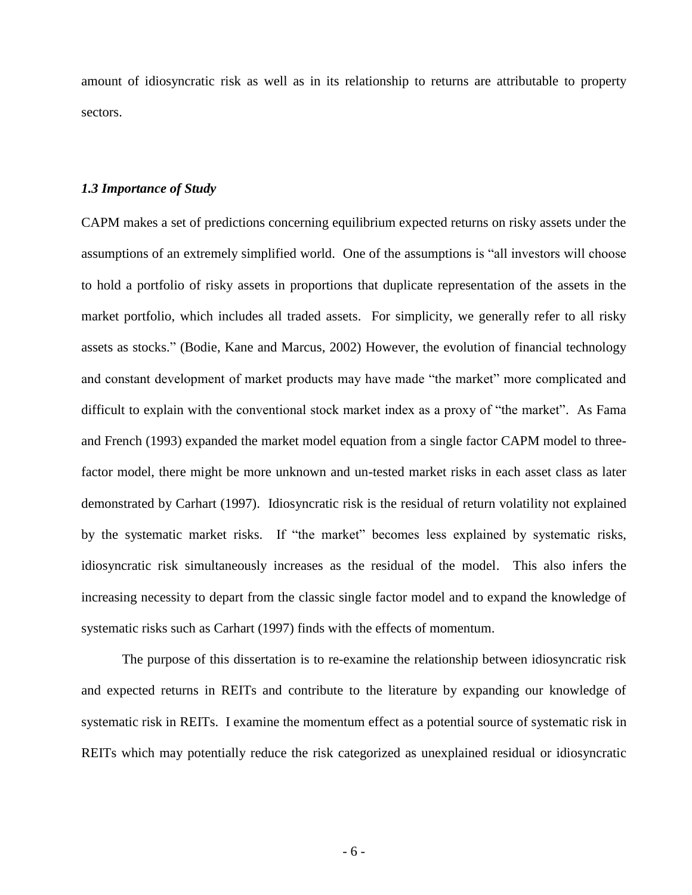amount of idiosyncratic risk as well as in its relationship to returns are attributable to property sectors.

# *1.3 Importance of Study*

CAPM makes a set of predictions concerning equilibrium expected returns on risky assets under the assumptions of an extremely simplified world. One of the assumptions is "all investors will choose to hold a portfolio of risky assets in proportions that duplicate representation of the assets in the market portfolio, which includes all traded assets. For simplicity, we generally refer to all risky assets as stocks." (Bodie, Kane and Marcus, 2002) However, the evolution of financial technology and constant development of market products may have made "the market" more complicated and difficult to explain with the conventional stock market index as a proxy of "the market". As Fama and French (1993) expanded the market model equation from a single factor CAPM model to threefactor model, there might be more unknown and un-tested market risks in each asset class as later demonstrated by Carhart (1997). Idiosyncratic risk is the residual of return volatility not explained by the systematic market risks. If "the market" becomes less explained by systematic risks, idiosyncratic risk simultaneously increases as the residual of the model. This also infers the increasing necessity to depart from the classic single factor model and to expand the knowledge of systematic risks such as Carhart (1997) finds with the effects of momentum.

The purpose of this dissertation is to re-examine the relationship between idiosyncratic risk and expected returns in REITs and contribute to the literature by expanding our knowledge of systematic risk in REITs. I examine the momentum effect as a potential source of systematic risk in REITs which may potentially reduce the risk categorized as unexplained residual or idiosyncratic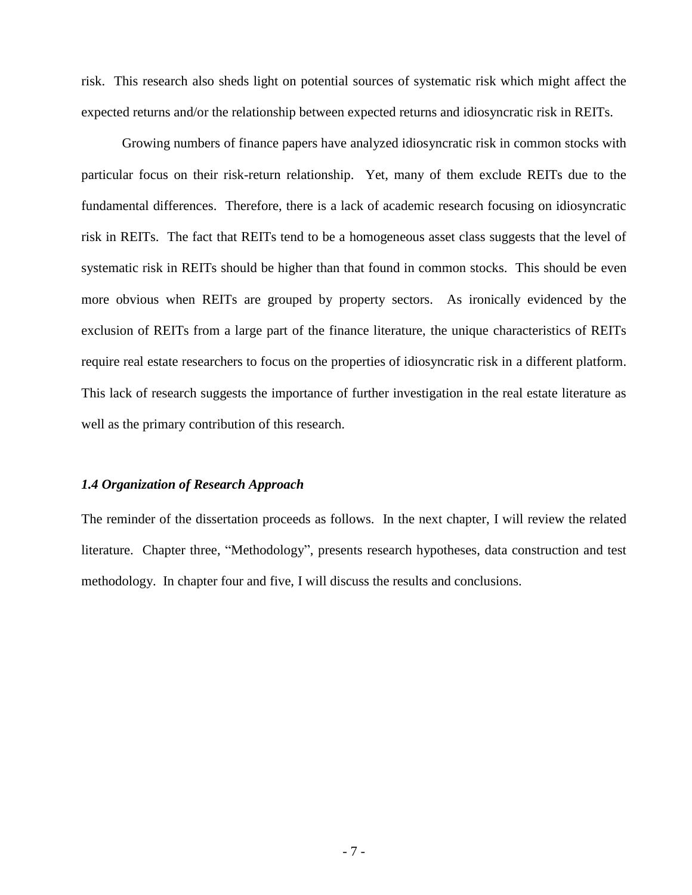risk. This research also sheds light on potential sources of systematic risk which might affect the expected returns and/or the relationship between expected returns and idiosyncratic risk in REITs.

Growing numbers of finance papers have analyzed idiosyncratic risk in common stocks with particular focus on their risk-return relationship. Yet, many of them exclude REITs due to the fundamental differences. Therefore, there is a lack of academic research focusing on idiosyncratic risk in REITs. The fact that REITs tend to be a homogeneous asset class suggests that the level of systematic risk in REITs should be higher than that found in common stocks. This should be even more obvious when REITs are grouped by property sectors. As ironically evidenced by the exclusion of REITs from a large part of the finance literature, the unique characteristics of REITs require real estate researchers to focus on the properties of idiosyncratic risk in a different platform. This lack of research suggests the importance of further investigation in the real estate literature as well as the primary contribution of this research.

# *1.4 Organization of Research Approach*

The reminder of the dissertation proceeds as follows. In the next chapter, I will review the related literature. Chapter three, "Methodology", presents research hypotheses, data construction and test methodology. In chapter four and five, I will discuss the results and conclusions.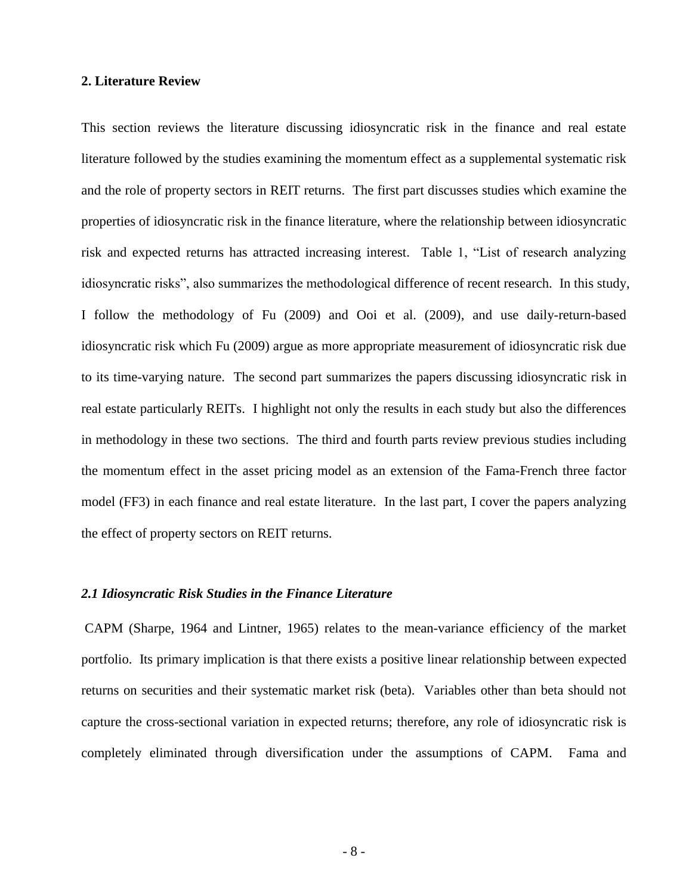# **2. Literature Review**

This section reviews the literature discussing idiosyncratic risk in the finance and real estate literature followed by the studies examining the momentum effect as a supplemental systematic risk and the role of property sectors in REIT returns. The first part discusses studies which examine the properties of idiosyncratic risk in the finance literature, where the relationship between idiosyncratic risk and expected returns has attracted increasing interest. Table 1, "List of research analyzing idiosyncratic risks", also summarizes the methodological difference of recent research. In this study, I follow the methodology of Fu (2009) and Ooi et al. (2009), and use daily-return-based idiosyncratic risk which Fu (2009) argue as more appropriate measurement of idiosyncratic risk due to its time-varying nature. The second part summarizes the papers discussing idiosyncratic risk in real estate particularly REITs. I highlight not only the results in each study but also the differences in methodology in these two sections. The third and fourth parts review previous studies including the momentum effect in the asset pricing model as an extension of the Fama-French three factor model (FF3) in each finance and real estate literature. In the last part, I cover the papers analyzing the effect of property sectors on REIT returns.

### *2.1 Idiosyncratic Risk Studies in the Finance Literature*

CAPM (Sharpe, 1964 and Lintner, 1965) relates to the mean-variance efficiency of the market portfolio. Its primary implication is that there exists a positive linear relationship between expected returns on securities and their systematic market risk (beta). Variables other than beta should not capture the cross-sectional variation in expected returns; therefore, any role of idiosyncratic risk is completely eliminated through diversification under the assumptions of CAPM. Fama and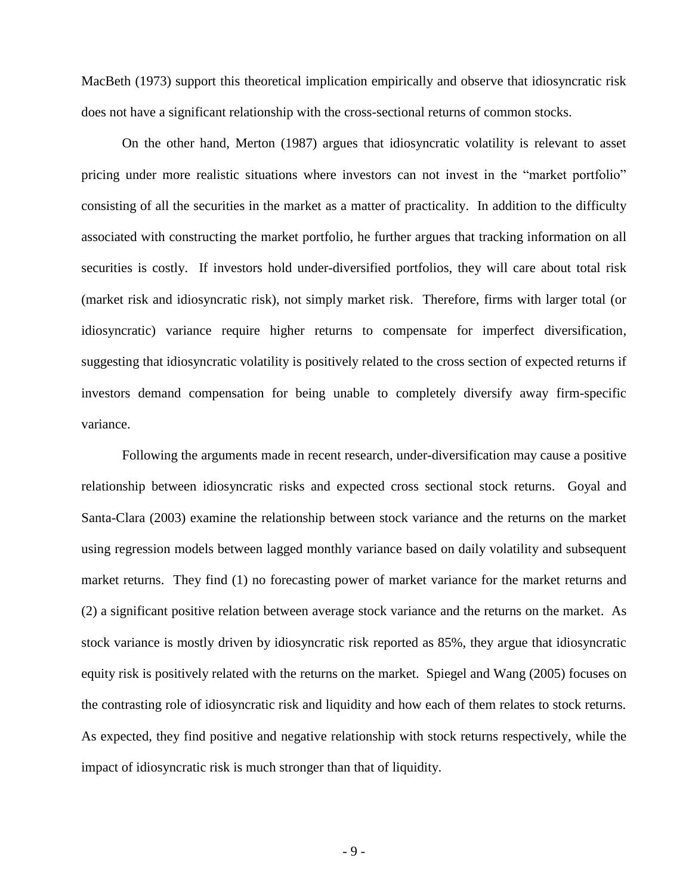MacBeth (1973) support this theoretical implication empirically and observe that idiosyncratic risk does not have a significant relationship with the cross-sectional returns of common stocks.

On the other hand, Merton (1987) argues that idiosyncratic volatility is relevant to asset pricing under more realistic situations where investors can not invest in the "market portfolio" consisting of all the securities in the market as a matter of practicality. In addition to the difficulty associated with constructing the market portfolio, he further argues that tracking information on all securities is costly. If investors hold under-diversified portfolios, they will care about total risk (market risk and idiosyncratic risk), not simply market risk. Therefore, firms with larger total (or idiosyncratic) variance require higher returns to compensate for imperfect diversification, suggesting that idiosyncratic volatility is positively related to the cross section of expected returns if investors demand compensation for being unable to completely diversify away firm-specific variance.

Following the arguments made in recent research, under-diversification may cause a positive relationship between idiosyncratic risks and expected cross sectional stock returns. Goyal and Santa-Clara (2003) examine the relationship between stock variance and the returns on the market using regression models between lagged monthly variance based on daily volatility and subsequent market returns. They find (1) no forecasting power of market variance for the market returns and (2) a significant positive relation between average stock variance and the returns on the market. As stock variance is mostly driven by idiosyncratic risk reported as 85%, they argue that idiosyncratic equity risk is positively related with the returns on the market. Spiegel and Wang (2005) focuses on the contrasting role of idiosyncratic risk and liquidity and how each of them relates to stock returns. As expected, they find positive and negative relationship with stock returns respectively, while the impact of idiosyncratic risk is much stronger than that of liquidity.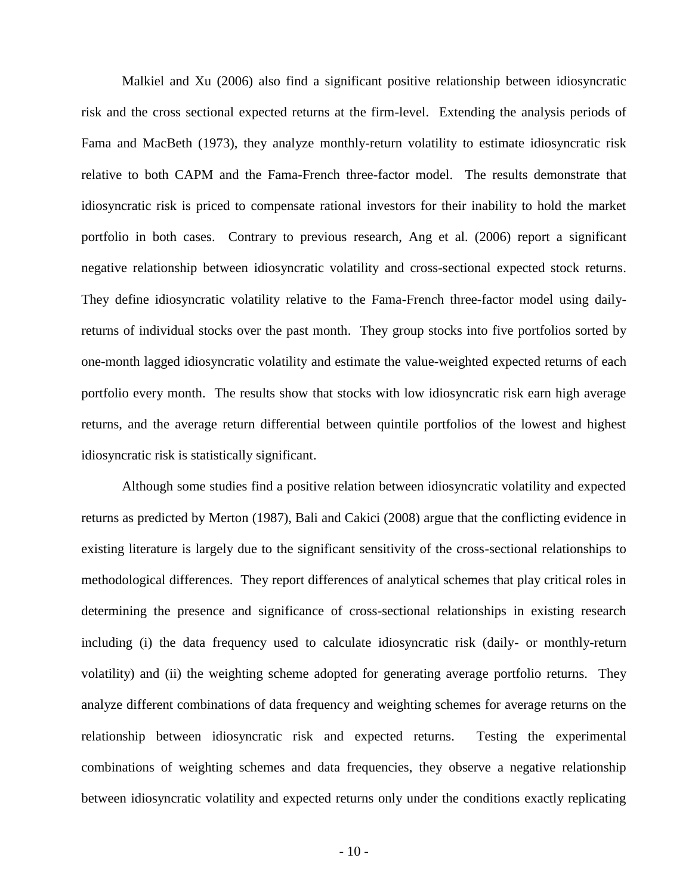Malkiel and Xu (2006) also find a significant positive relationship between idiosyncratic risk and the cross sectional expected returns at the firm-level. Extending the analysis periods of Fama and MacBeth (1973), they analyze monthly-return volatility to estimate idiosyncratic risk relative to both CAPM and the Fama-French three-factor model. The results demonstrate that idiosyncratic risk is priced to compensate rational investors for their inability to hold the market portfolio in both cases. Contrary to previous research, Ang et al. (2006) report a significant negative relationship between idiosyncratic volatility and cross-sectional expected stock returns. They define idiosyncratic volatility relative to the Fama-French three-factor model using dailyreturns of individual stocks over the past month. They group stocks into five portfolios sorted by one-month lagged idiosyncratic volatility and estimate the value-weighted expected returns of each portfolio every month. The results show that stocks with low idiosyncratic risk earn high average returns, and the average return differential between quintile portfolios of the lowest and highest idiosyncratic risk is statistically significant.

Although some studies find a positive relation between idiosyncratic volatility and expected returns as predicted by Merton (1987), Bali and Cakici (2008) argue that the conflicting evidence in existing literature is largely due to the significant sensitivity of the cross-sectional relationships to methodological differences. They report differences of analytical schemes that play critical roles in determining the presence and significance of cross-sectional relationships in existing research including (i) the data frequency used to calculate idiosyncratic risk (daily- or monthly-return volatility) and (ii) the weighting scheme adopted for generating average portfolio returns. They analyze different combinations of data frequency and weighting schemes for average returns on the relationship between idiosyncratic risk and expected returns. Testing the experimental combinations of weighting schemes and data frequencies, they observe a negative relationship between idiosyncratic volatility and expected returns only under the conditions exactly replicating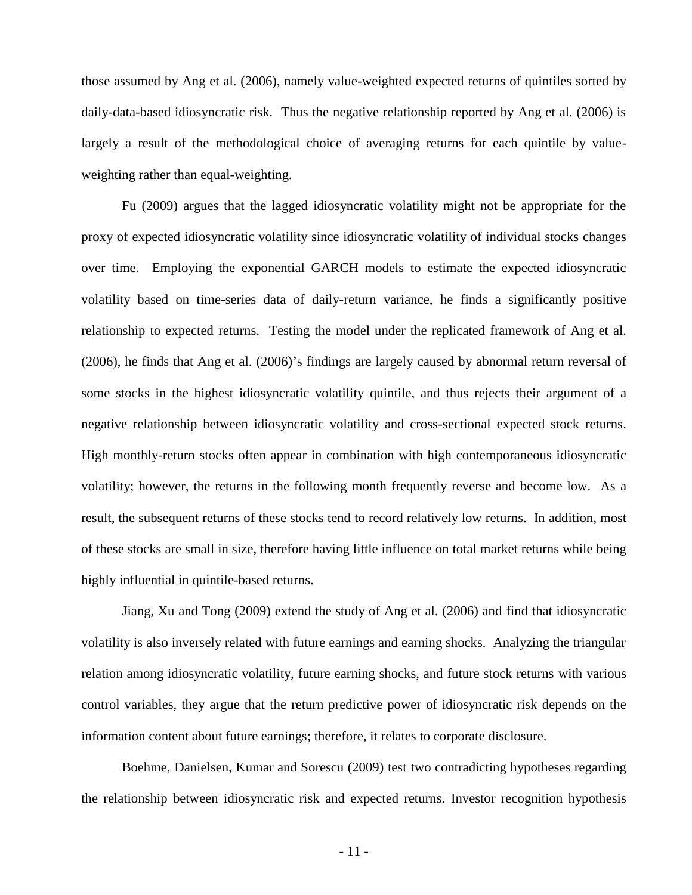those assumed by Ang et al. (2006), namely value-weighted expected returns of quintiles sorted by daily-data-based idiosyncratic risk. Thus the negative relationship reported by Ang et al. (2006) is largely a result of the methodological choice of averaging returns for each quintile by valueweighting rather than equal-weighting.

Fu (2009) argues that the lagged idiosyncratic volatility might not be appropriate for the proxy of expected idiosyncratic volatility since idiosyncratic volatility of individual stocks changes over time. Employing the exponential GARCH models to estimate the expected idiosyncratic volatility based on time-series data of daily-return variance, he finds a significantly positive relationship to expected returns. Testing the model under the replicated framework of Ang et al. (2006), he finds that Ang et al. (2006)'s findings are largely caused by abnormal return reversal of some stocks in the highest idiosyncratic volatility quintile, and thus rejects their argument of a negative relationship between idiosyncratic volatility and cross-sectional expected stock returns. High monthly-return stocks often appear in combination with high contemporaneous idiosyncratic volatility; however, the returns in the following month frequently reverse and become low. As a result, the subsequent returns of these stocks tend to record relatively low returns. In addition, most of these stocks are small in size, therefore having little influence on total market returns while being highly influential in quintile-based returns.

Jiang, Xu and Tong (2009) extend the study of Ang et al. (2006) and find that idiosyncratic volatility is also inversely related with future earnings and earning shocks. Analyzing the triangular relation among idiosyncratic volatility, future earning shocks, and future stock returns with various control variables, they argue that the return predictive power of idiosyncratic risk depends on the information content about future earnings; therefore, it relates to corporate disclosure.

Boehme, Danielsen, Kumar and Sorescu (2009) test two contradicting hypotheses regarding the relationship between idiosyncratic risk and expected returns. Investor recognition hypothesis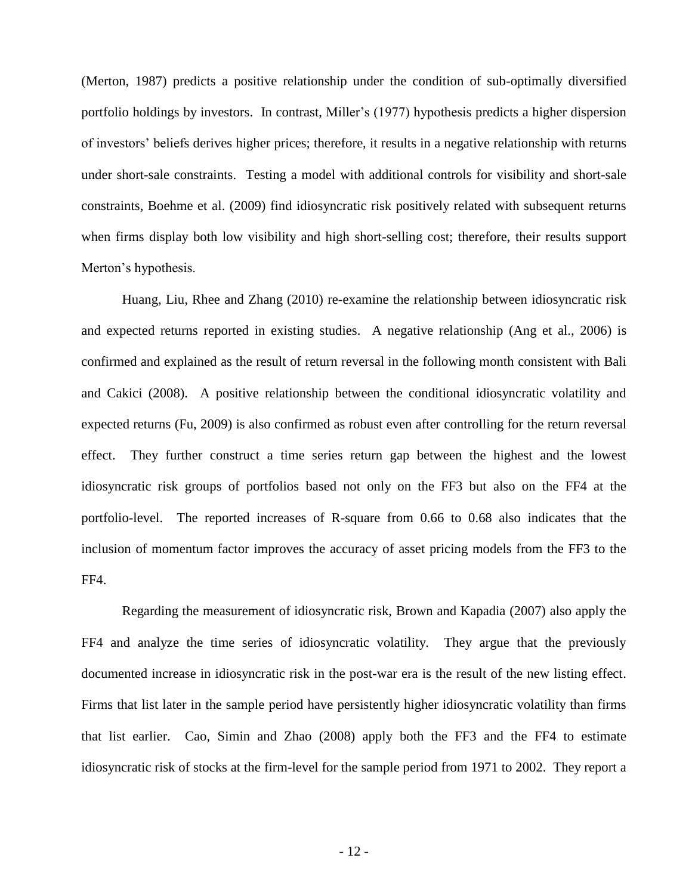(Merton, 1987) predicts a positive relationship under the condition of sub-optimally diversified portfolio holdings by investors. In contrast, Miller's (1977) hypothesis predicts a higher dispersion of investors' beliefs derives higher prices; therefore, it results in a negative relationship with returns under short-sale constraints. Testing a model with additional controls for visibility and short-sale constraints, Boehme et al. (2009) find idiosyncratic risk positively related with subsequent returns when firms display both low visibility and high short-selling cost; therefore, their results support Merton's hypothesis.

Huang, Liu, Rhee and Zhang (2010) re-examine the relationship between idiosyncratic risk and expected returns reported in existing studies. A negative relationship (Ang et al., 2006) is confirmed and explained as the result of return reversal in the following month consistent with Bali and Cakici (2008). A positive relationship between the conditional idiosyncratic volatility and expected returns (Fu, 2009) is also confirmed as robust even after controlling for the return reversal effect. They further construct a time series return gap between the highest and the lowest idiosyncratic risk groups of portfolios based not only on the FF3 but also on the FF4 at the portfolio-level. The reported increases of R-square from 0.66 to 0.68 also indicates that the inclusion of momentum factor improves the accuracy of asset pricing models from the FF3 to the FF4.

Regarding the measurement of idiosyncratic risk, Brown and Kapadia (2007) also apply the FF4 and analyze the time series of idiosyncratic volatility. They argue that the previously documented increase in idiosyncratic risk in the post-war era is the result of the new listing effect. Firms that list later in the sample period have persistently higher idiosyncratic volatility than firms that list earlier. Cao, Simin and Zhao (2008) apply both the FF3 and the FF4 to estimate idiosyncratic risk of stocks at the firm-level for the sample period from 1971 to 2002. They report a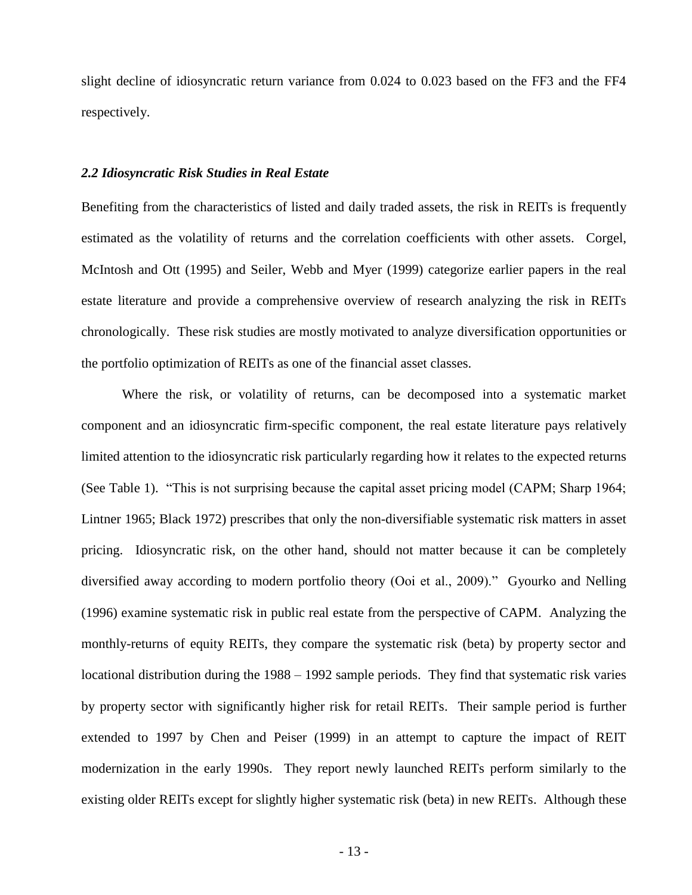slight decline of idiosyncratic return variance from 0.024 to 0.023 based on the FF3 and the FF4 respectively.

### *2.2 Idiosyncratic Risk Studies in Real Estate*

Benefiting from the characteristics of listed and daily traded assets, the risk in REITs is frequently estimated as the volatility of returns and the correlation coefficients with other assets. Corgel, McIntosh and Ott (1995) and Seiler, Webb and Myer (1999) categorize earlier papers in the real estate literature and provide a comprehensive overview of research analyzing the risk in REITs chronologically. These risk studies are mostly motivated to analyze diversification opportunities or the portfolio optimization of REITs as one of the financial asset classes.

Where the risk, or volatility of returns, can be decomposed into a systematic market component and an idiosyncratic firm-specific component, the real estate literature pays relatively limited attention to the idiosyncratic risk particularly regarding how it relates to the expected returns (See Table 1). "This is not surprising because the capital asset pricing model (CAPM; Sharp 1964; Lintner 1965; Black 1972) prescribes that only the non-diversifiable systematic risk matters in asset pricing. Idiosyncratic risk, on the other hand, should not matter because it can be completely diversified away according to modern portfolio theory (Ooi et al., 2009)." Gyourko and Nelling (1996) examine systematic risk in public real estate from the perspective of CAPM. Analyzing the monthly-returns of equity REITs, they compare the systematic risk (beta) by property sector and locational distribution during the 1988 – 1992 sample periods. They find that systematic risk varies by property sector with significantly higher risk for retail REITs. Their sample period is further extended to 1997 by Chen and Peiser (1999) in an attempt to capture the impact of REIT modernization in the early 1990s. They report newly launched REITs perform similarly to the existing older REITs except for slightly higher systematic risk (beta) in new REITs. Although these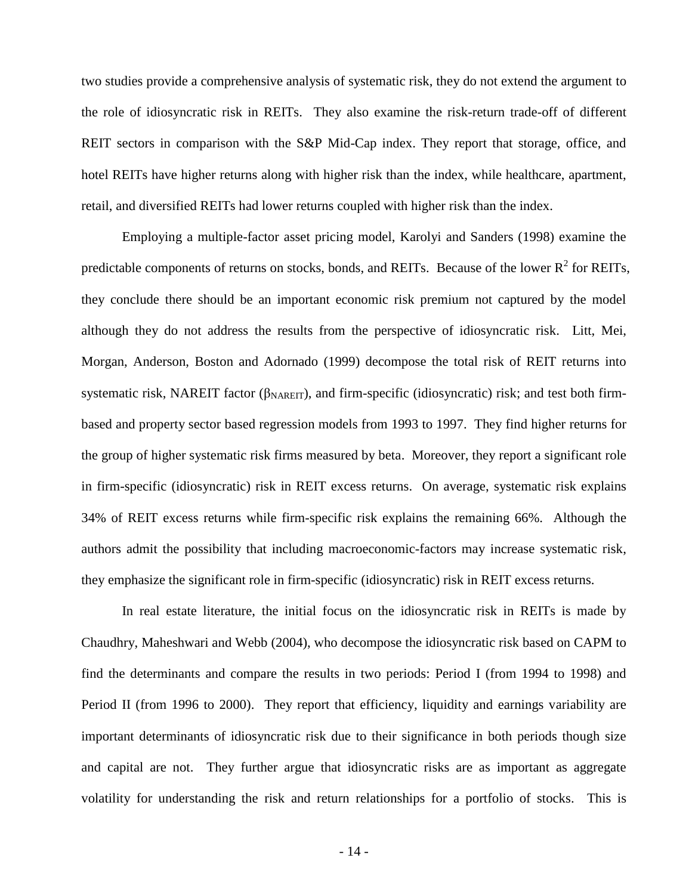two studies provide a comprehensive analysis of systematic risk, they do not extend the argument to the role of idiosyncratic risk in REITs. They also examine the risk-return trade-off of different REIT sectors in comparison with the S&P Mid-Cap index. They report that storage, office, and hotel REITs have higher returns along with higher risk than the index, while healthcare, apartment, retail, and diversified REITs had lower returns coupled with higher risk than the index.

Employing a multiple-factor asset pricing model, Karolyi and Sanders (1998) examine the predictable components of returns on stocks, bonds, and REITs. Because of the lower  $R^2$  for REITs, they conclude there should be an important economic risk premium not captured by the model although they do not address the results from the perspective of idiosyncratic risk. Litt, Mei, Morgan, Anderson, Boston and Adornado (1999) decompose the total risk of REIT returns into systematic risk, NAREIT factor ( $\beta_{NAREIT}$ ), and firm-specific (idiosyncratic) risk; and test both firmbased and property sector based regression models from 1993 to 1997. They find higher returns for the group of higher systematic risk firms measured by beta. Moreover, they report a significant role in firm-specific (idiosyncratic) risk in REIT excess returns. On average, systematic risk explains 34% of REIT excess returns while firm-specific risk explains the remaining 66%. Although the authors admit the possibility that including macroeconomic-factors may increase systematic risk, they emphasize the significant role in firm-specific (idiosyncratic) risk in REIT excess returns.

In real estate literature, the initial focus on the idiosyncratic risk in REITs is made by Chaudhry, Maheshwari and Webb (2004), who decompose the idiosyncratic risk based on CAPM to find the determinants and compare the results in two periods: Period I (from 1994 to 1998) and Period II (from 1996 to 2000). They report that efficiency, liquidity and earnings variability are important determinants of idiosyncratic risk due to their significance in both periods though size and capital are not. They further argue that idiosyncratic risks are as important as aggregate volatility for understanding the risk and return relationships for a portfolio of stocks. This is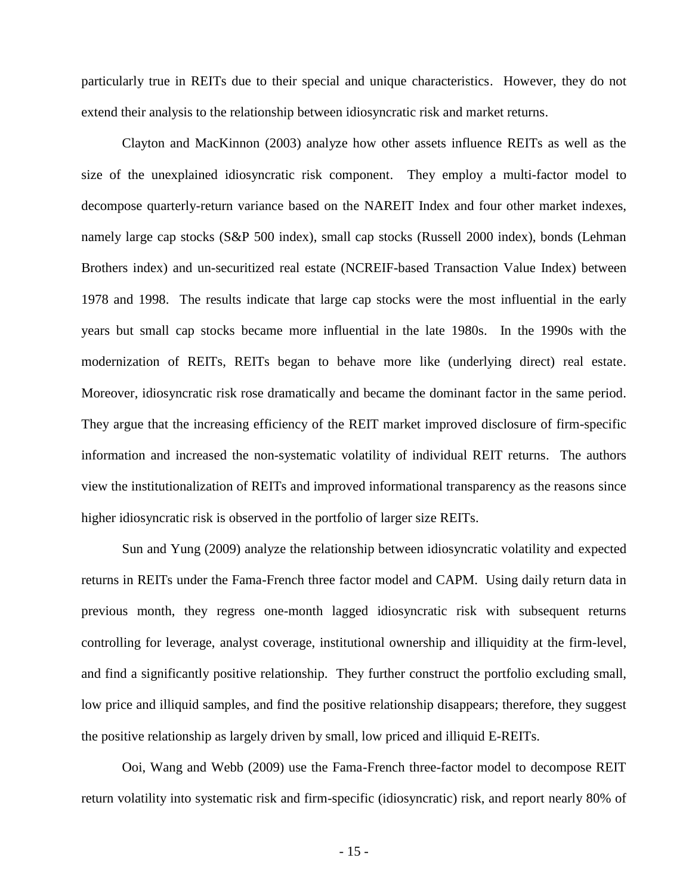particularly true in REITs due to their special and unique characteristics. However, they do not extend their analysis to the relationship between idiosyncratic risk and market returns.

Clayton and MacKinnon (2003) analyze how other assets influence REITs as well as the size of the unexplained idiosyncratic risk component. They employ a multi-factor model to decompose quarterly-return variance based on the NAREIT Index and four other market indexes, namely large cap stocks (S&P 500 index), small cap stocks (Russell 2000 index), bonds (Lehman Brothers index) and un-securitized real estate (NCREIF-based Transaction Value Index) between 1978 and 1998. The results indicate that large cap stocks were the most influential in the early years but small cap stocks became more influential in the late 1980s. In the 1990s with the modernization of REITs, REITs began to behave more like (underlying direct) real estate. Moreover, idiosyncratic risk rose dramatically and became the dominant factor in the same period. They argue that the increasing efficiency of the REIT market improved disclosure of firm-specific information and increased the non-systematic volatility of individual REIT returns. The authors view the institutionalization of REITs and improved informational transparency as the reasons since higher idiosyncratic risk is observed in the portfolio of larger size REITs.

Sun and Yung (2009) analyze the relationship between idiosyncratic volatility and expected returns in REITs under the Fama-French three factor model and CAPM. Using daily return data in previous month, they regress one-month lagged idiosyncratic risk with subsequent returns controlling for leverage, analyst coverage, institutional ownership and illiquidity at the firm-level, and find a significantly positive relationship. They further construct the portfolio excluding small, low price and illiquid samples, and find the positive relationship disappears; therefore, they suggest the positive relationship as largely driven by small, low priced and illiquid E-REITs.

Ooi, Wang and Webb (2009) use the Fama-French three-factor model to decompose REIT return volatility into systematic risk and firm-specific (idiosyncratic) risk, and report nearly 80% of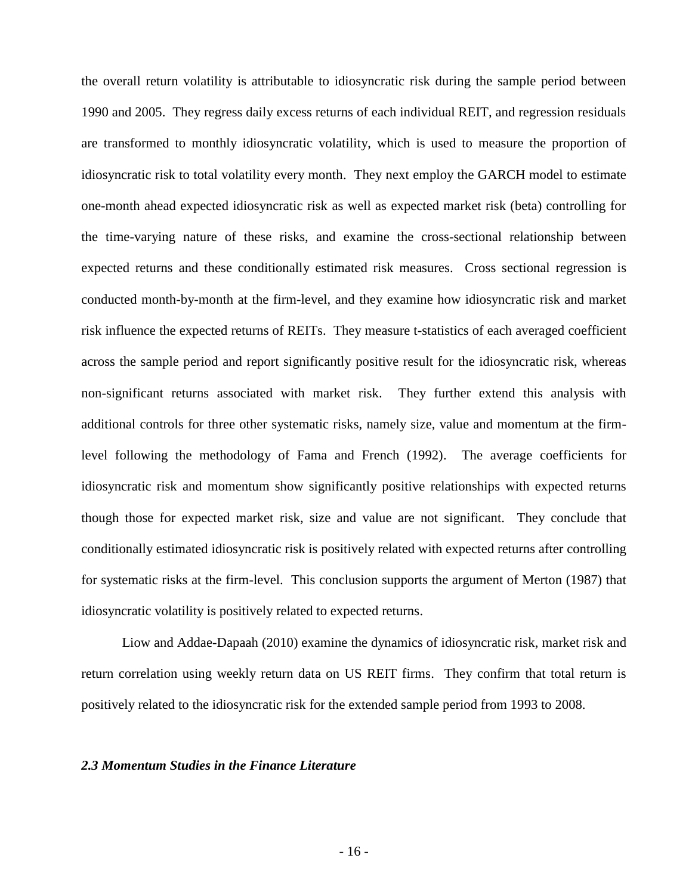the overall return volatility is attributable to idiosyncratic risk during the sample period between 1990 and 2005. They regress daily excess returns of each individual REIT, and regression residuals are transformed to monthly idiosyncratic volatility, which is used to measure the proportion of idiosyncratic risk to total volatility every month. They next employ the GARCH model to estimate one-month ahead expected idiosyncratic risk as well as expected market risk (beta) controlling for the time-varying nature of these risks, and examine the cross-sectional relationship between expected returns and these conditionally estimated risk measures. Cross sectional regression is conducted month-by-month at the firm-level, and they examine how idiosyncratic risk and market risk influence the expected returns of REITs. They measure t-statistics of each averaged coefficient across the sample period and report significantly positive result for the idiosyncratic risk, whereas non-significant returns associated with market risk. They further extend this analysis with additional controls for three other systematic risks, namely size, value and momentum at the firmlevel following the methodology of Fama and French (1992). The average coefficients for idiosyncratic risk and momentum show significantly positive relationships with expected returns though those for expected market risk, size and value are not significant. They conclude that conditionally estimated idiosyncratic risk is positively related with expected returns after controlling for systematic risks at the firm-level. This conclusion supports the argument of Merton (1987) that idiosyncratic volatility is positively related to expected returns.

Liow and Addae-Dapaah (2010) examine the dynamics of idiosyncratic risk, market risk and return correlation using weekly return data on US REIT firms. They confirm that total return is positively related to the idiosyncratic risk for the extended sample period from 1993 to 2008.

# *2.3 Momentum Studies in the Finance Literature*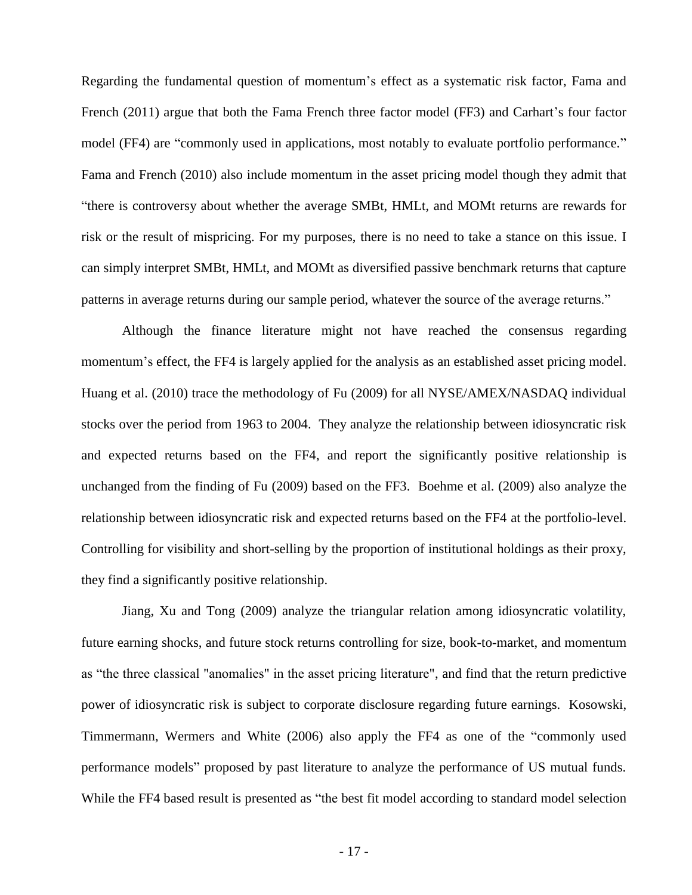Regarding the fundamental question of momentum's effect as a systematic risk factor, Fama and French (2011) argue that both the Fama French three factor model (FF3) and Carhart's four factor model (FF4) are "commonly used in applications, most notably to evaluate portfolio performance." Fama and French (2010) also include momentum in the asset pricing model though they admit that "there is controversy about whether the average SMBt, HMLt, and MOMt returns are rewards for risk or the result of mispricing. For my purposes, there is no need to take a stance on this issue. I can simply interpret SMBt, HMLt, and MOMt as diversified passive benchmark returns that capture patterns in average returns during our sample period, whatever the source of the average returns."

Although the finance literature might not have reached the consensus regarding momentum's effect, the FF4 is largely applied for the analysis as an established asset pricing model. Huang et al. (2010) trace the methodology of Fu (2009) for all NYSE/AMEX/NASDAQ individual stocks over the period from 1963 to 2004. They analyze the relationship between idiosyncratic risk and expected returns based on the FF4, and report the significantly positive relationship is unchanged from the finding of Fu (2009) based on the FF3. Boehme et al. (2009) also analyze the relationship between idiosyncratic risk and expected returns based on the FF4 at the portfolio-level. Controlling for visibility and short-selling by the proportion of institutional holdings as their proxy, they find a significantly positive relationship.

Jiang, Xu and Tong (2009) analyze the triangular relation among idiosyncratic volatility, future earning shocks, and future stock returns controlling for size, book-to-market, and momentum as "the three classical "anomalies" in the asset pricing literature", and find that the return predictive power of idiosyncratic risk is subject to corporate disclosure regarding future earnings. Kosowski, Timmermann, Wermers and White (2006) also apply the FF4 as one of the "commonly used performance models" proposed by past literature to analyze the performance of US mutual funds. While the FF4 based result is presented as "the best fit model according to standard model selection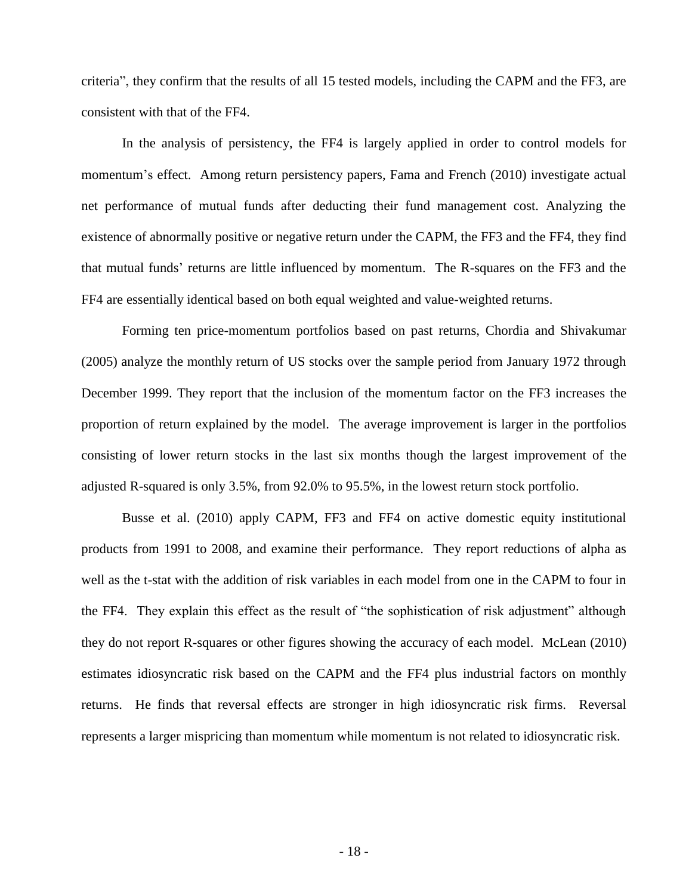criteria", they confirm that the results of all 15 tested models, including the CAPM and the FF3, are consistent with that of the FF4.

In the analysis of persistency, the FF4 is largely applied in order to control models for momentum's effect. Among return persistency papers, Fama and French (2010) investigate actual net performance of mutual funds after deducting their fund management cost. Analyzing the existence of abnormally positive or negative return under the CAPM, the FF3 and the FF4, they find that mutual funds' returns are little influenced by momentum. The R-squares on the FF3 and the FF4 are essentially identical based on both equal weighted and value-weighted returns.

Forming ten price-momentum portfolios based on past returns, Chordia and Shivakumar (2005) analyze the monthly return of US stocks over the sample period from January 1972 through December 1999. They report that the inclusion of the momentum factor on the FF3 increases the proportion of return explained by the model. The average improvement is larger in the portfolios consisting of lower return stocks in the last six months though the largest improvement of the adjusted R-squared is only 3.5%, from 92.0% to 95.5%, in the lowest return stock portfolio.

Busse et al. (2010) apply CAPM, FF3 and FF4 on active domestic equity institutional products from 1991 to 2008, and examine their performance. They report reductions of alpha as well as the t-stat with the addition of risk variables in each model from one in the CAPM to four in the FF4. They explain this effect as the result of "the sophistication of risk adjustment" although they do not report R-squares or other figures showing the accuracy of each model. McLean (2010) estimates idiosyncratic risk based on the CAPM and the FF4 plus industrial factors on monthly returns. He finds that reversal effects are stronger in high idiosyncratic risk firms. Reversal represents a larger mispricing than momentum while momentum is not related to idiosyncratic risk.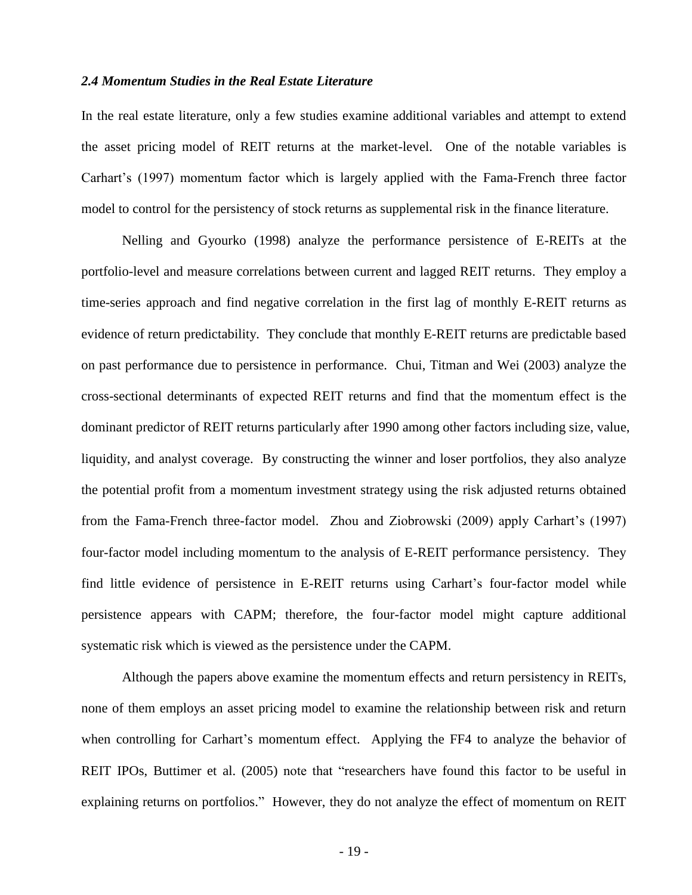# *2.4 Momentum Studies in the Real Estate Literature*

In the real estate literature, only a few studies examine additional variables and attempt to extend the asset pricing model of REIT returns at the market-level. One of the notable variables is Carhart's (1997) momentum factor which is largely applied with the Fama-French three factor model to control for the persistency of stock returns as supplemental risk in the finance literature.

Nelling and Gyourko (1998) analyze the performance persistence of E-REITs at the portfolio-level and measure correlations between current and lagged REIT returns. They employ a time-series approach and find negative correlation in the first lag of monthly E-REIT returns as evidence of return predictability. They conclude that monthly E-REIT returns are predictable based on past performance due to persistence in performance. Chui, Titman and Wei (2003) analyze the cross-sectional determinants of expected REIT returns and find that the momentum effect is the dominant predictor of REIT returns particularly after 1990 among other factors including size, value, liquidity, and analyst coverage. By constructing the winner and loser portfolios, they also analyze the potential profit from a momentum investment strategy using the risk adjusted returns obtained from the Fama-French three-factor model. Zhou and Ziobrowski (2009) apply Carhart's (1997) four-factor model including momentum to the analysis of E-REIT performance persistency. They find little evidence of persistence in E-REIT returns using Carhart's four-factor model while persistence appears with CAPM; therefore, the four-factor model might capture additional systematic risk which is viewed as the persistence under the CAPM.

Although the papers above examine the momentum effects and return persistency in REITs, none of them employs an asset pricing model to examine the relationship between risk and return when controlling for Carhart's momentum effect. Applying the FF4 to analyze the behavior of REIT IPOs, Buttimer et al. (2005) note that "researchers have found this factor to be useful in explaining returns on portfolios." However, they do not analyze the effect of momentum on REIT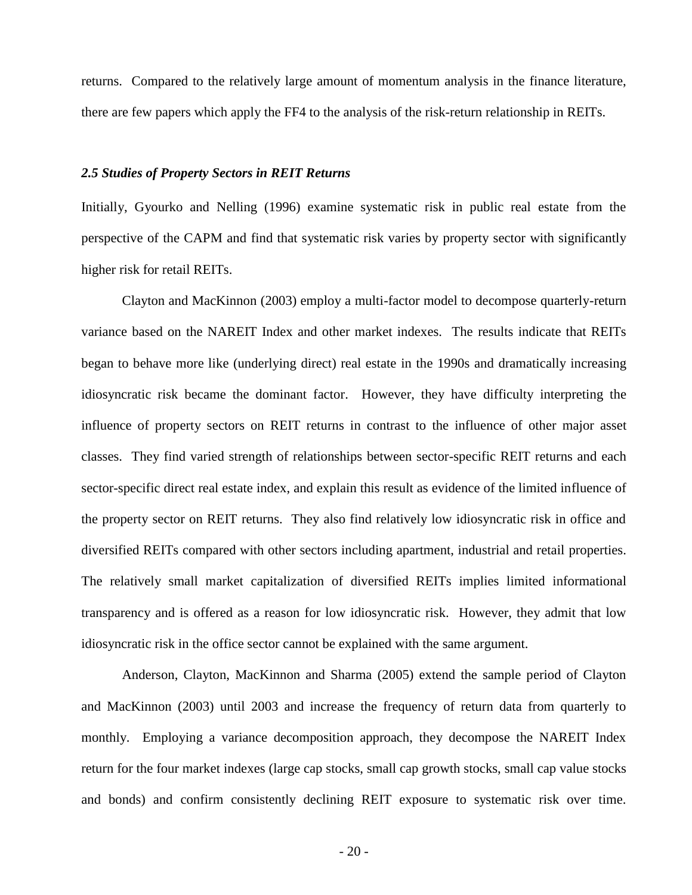returns. Compared to the relatively large amount of momentum analysis in the finance literature, there are few papers which apply the FF4 to the analysis of the risk-return relationship in REITs.

### *2.5 Studies of Property Sectors in REIT Returns*

Initially, Gyourko and Nelling (1996) examine systematic risk in public real estate from the perspective of the CAPM and find that systematic risk varies by property sector with significantly higher risk for retail REITs.

Clayton and MacKinnon (2003) employ a multi-factor model to decompose quarterly-return variance based on the NAREIT Index and other market indexes. The results indicate that REITs began to behave more like (underlying direct) real estate in the 1990s and dramatically increasing idiosyncratic risk became the dominant factor. However, they have difficulty interpreting the influence of property sectors on REIT returns in contrast to the influence of other major asset classes. They find varied strength of relationships between sector-specific REIT returns and each sector-specific direct real estate index, and explain this result as evidence of the limited influence of the property sector on REIT returns. They also find relatively low idiosyncratic risk in office and diversified REITs compared with other sectors including apartment, industrial and retail properties. The relatively small market capitalization of diversified REITs implies limited informational transparency and is offered as a reason for low idiosyncratic risk. However, they admit that low idiosyncratic risk in the office sector cannot be explained with the same argument.

Anderson, Clayton, MacKinnon and Sharma (2005) extend the sample period of Clayton and MacKinnon (2003) until 2003 and increase the frequency of return data from quarterly to monthly. Employing a variance decomposition approach, they decompose the NAREIT Index return for the four market indexes (large cap stocks, small cap growth stocks, small cap value stocks and bonds) and confirm consistently declining REIT exposure to systematic risk over time.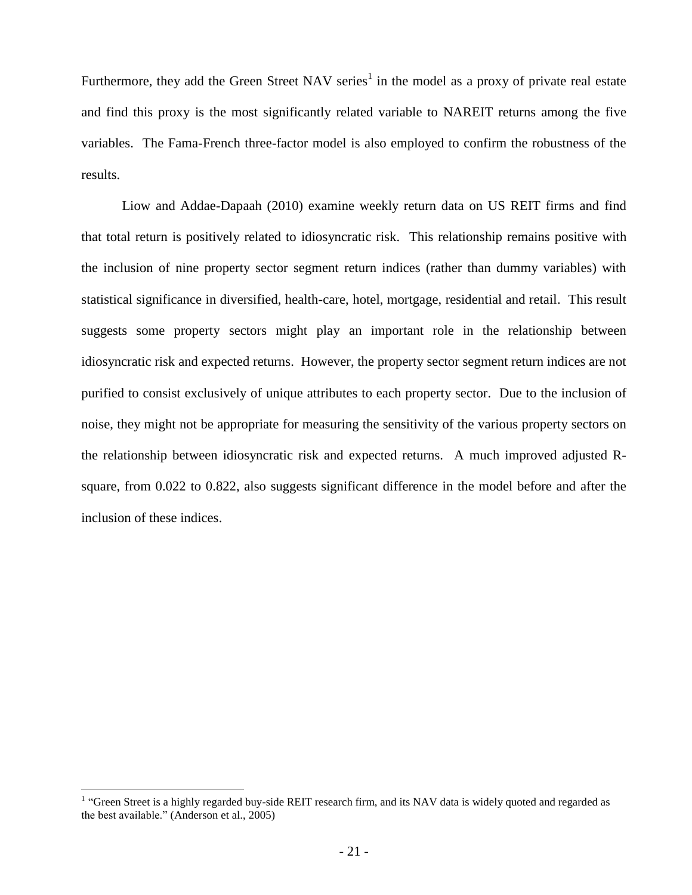Furthermore, they add the Green Street NAV series<sup>1</sup> in the model as a proxy of private real estate and find this proxy is the most significantly related variable to NAREIT returns among the five variables. The Fama-French three-factor model is also employed to confirm the robustness of the results.

Liow and Addae-Dapaah (2010) examine weekly return data on US REIT firms and find that total return is positively related to idiosyncratic risk. This relationship remains positive with the inclusion of nine property sector segment return indices (rather than dummy variables) with statistical significance in diversified, health-care, hotel, mortgage, residential and retail. This result suggests some property sectors might play an important role in the relationship between idiosyncratic risk and expected returns. However, the property sector segment return indices are not purified to consist exclusively of unique attributes to each property sector. Due to the inclusion of noise, they might not be appropriate for measuring the sensitivity of the various property sectors on the relationship between idiosyncratic risk and expected returns. A much improved adjusted Rsquare, from 0.022 to 0.822, also suggests significant difference in the model before and after the inclusion of these indices.

 $\overline{a}$ 

<sup>&</sup>lt;sup>1</sup> "Green Street is a highly regarded buy-side REIT research firm, and its NAV data is widely quoted and regarded as the best available." (Anderson et al., 2005)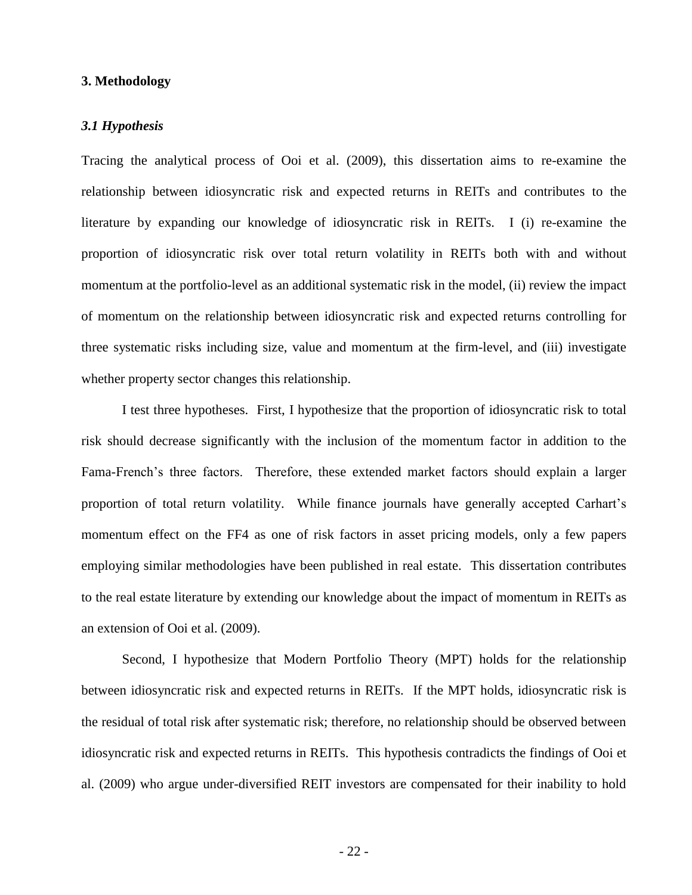# **3. Methodology**

# *3.1 Hypothesis*

Tracing the analytical process of Ooi et al. (2009), this dissertation aims to re-examine the relationship between idiosyncratic risk and expected returns in REITs and contributes to the literature by expanding our knowledge of idiosyncratic risk in REITs. I (i) re-examine the proportion of idiosyncratic risk over total return volatility in REITs both with and without momentum at the portfolio-level as an additional systematic risk in the model, (ii) review the impact of momentum on the relationship between idiosyncratic risk and expected returns controlling for three systematic risks including size, value and momentum at the firm-level, and (iii) investigate whether property sector changes this relationship.

I test three hypotheses. First, I hypothesize that the proportion of idiosyncratic risk to total risk should decrease significantly with the inclusion of the momentum factor in addition to the Fama-French's three factors. Therefore, these extended market factors should explain a larger proportion of total return volatility. While finance journals have generally accepted Carhart's momentum effect on the FF4 as one of risk factors in asset pricing models, only a few papers employing similar methodologies have been published in real estate. This dissertation contributes to the real estate literature by extending our knowledge about the impact of momentum in REITs as an extension of Ooi et al. (2009).

Second, I hypothesize that Modern Portfolio Theory (MPT) holds for the relationship between idiosyncratic risk and expected returns in REITs. If the MPT holds, idiosyncratic risk is the residual of total risk after systematic risk; therefore, no relationship should be observed between idiosyncratic risk and expected returns in REITs. This hypothesis contradicts the findings of Ooi et al. (2009) who argue under-diversified REIT investors are compensated for their inability to hold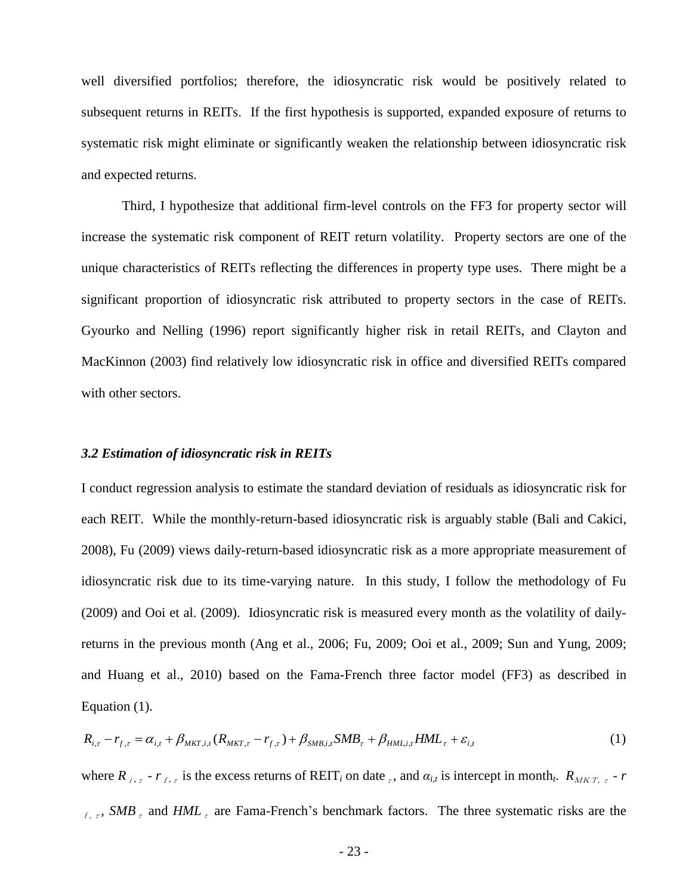well diversified portfolios; therefore, the idiosyncratic risk would be positively related to subsequent returns in REITs. If the first hypothesis is supported, expanded exposure of returns to systematic risk might eliminate or significantly weaken the relationship between idiosyncratic risk and expected returns.

Third, I hypothesize that additional firm-level controls on the FF3 for property sector will increase the systematic risk component of REIT return volatility. Property sectors are one of the unique characteristics of REITs reflecting the differences in property type uses. There might be a significant proportion of idiosyncratic risk attributed to property sectors in the case of REITs. Gyourko and Nelling (1996) report significantly higher risk in retail REITs, and Clayton and MacKinnon (2003) find relatively low idiosyncratic risk in office and diversified REITs compared with other sectors.

### *3.2 Estimation of idiosyncratic risk in REITs*

I conduct regression analysis to estimate the standard deviation of residuals as idiosyncratic risk for each REIT. While the monthly-return-based idiosyncratic risk is arguably stable (Bali and Cakici, 2008), Fu (2009) views daily-return-based idiosyncratic risk as a more appropriate measurement of idiosyncratic risk due to its time-varying nature. In this study, I follow the methodology of Fu (2009) and Ooi et al. (2009). Idiosyncratic risk is measured every month as the volatility of dailyreturns in the previous month (Ang et al., 2006; Fu, 2009; Ooi et al., 2009; Sun and Yung, 2009; and Huang et al., 2010) based on the Fama-French three factor model (FF3) as described in Equation (1).

$$
R_{i,\tau} - r_{f,\tau} = \alpha_{i,t} + \beta_{MKT,i,t} (R_{MKT,\tau} - r_{f,\tau}) + \beta_{SMB,i,t} SMB_{\tau} + \beta_{HML,i,t} HML_{\tau} + \varepsilon_{i,t}
$$
\n(1)

where  $R_{i,t}$  *-*  $r_{f,t}$  is the excess returns of REIT<sub>*i*</sub> on date  $\epsilon$ , and  $\alpha_{i,t}$  is intercept in month<sub>t</sub>.  $R_{MKT,t}$  *-*  $r$ <sup>f</sup>,<sup>τ</sup>, *SMB*<sup>τ</sup> and *HML*<sup>τ</sup> are Fama-French's benchmark factors. The three systematic risks are the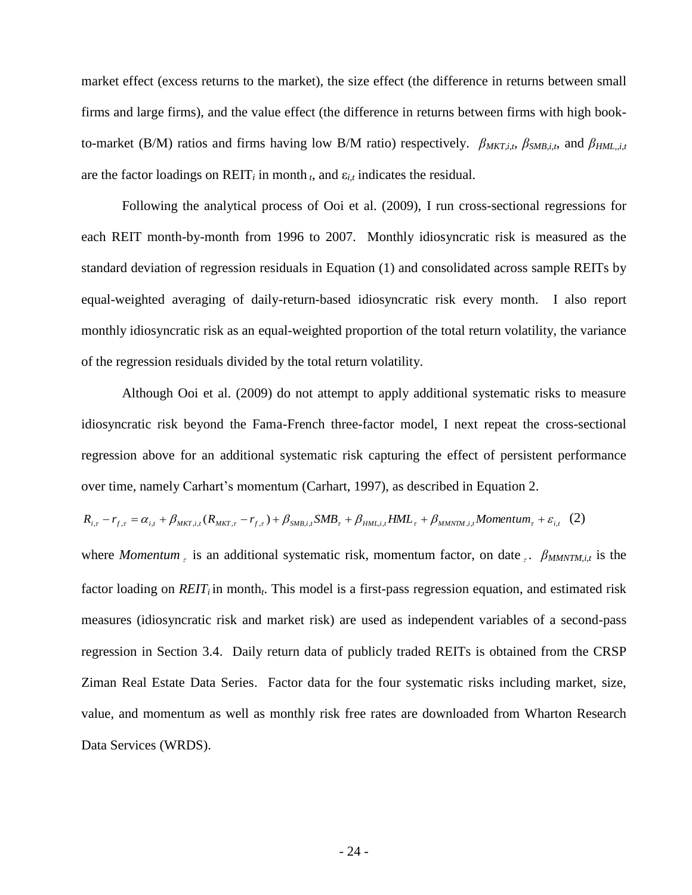market effect (excess returns to the market), the size effect (the difference in returns between small firms and large firms), and the value effect (the difference in returns between firms with high bookto-market (B/M) ratios and firms having low B/M ratio) respectively. *βMKT,i,t*, *βSMB,i,t*, and *βHML,,i,t* are the factor loadings on  $REIT_i$  in month  $t$ , and  $\varepsilon_{i,t}$  indicates the residual.

Following the analytical process of Ooi et al. (2009), I run cross-sectional regressions for each REIT month-by-month from 1996 to 2007. Monthly idiosyncratic risk is measured as the standard deviation of regression residuals in Equation (1) and consolidated across sample REITs by equal-weighted averaging of daily-return-based idiosyncratic risk every month. I also report monthly idiosyncratic risk as an equal-weighted proportion of the total return volatility, the variance of the regression residuals divided by the total return volatility.

Although Ooi et al. (2009) do not attempt to apply additional systematic risks to measure idiosyncratic risk beyond the Fama-French three-factor model, I next repeat the cross-sectional regression above for an additional systematic risk capturing the effect of persistent performance over time, namely Carhart's momentum (Carhart, 1997), as described in Equation 2.

$$
R_{i,\tau} - r_{f,\tau} = \alpha_{i,t} + \beta_{MKT,i,t} (R_{MKT,\tau} - r_{f,\tau}) + \beta_{SMB,i,t} SMB_{\tau} + \beta_{HML,i,t} HML_{\tau} + \beta_{MMTIM,i,t} Momentum_{\tau} + \varepsilon_{i,t} (2)
$$

where *Momentum*<sub>τ</sub> is an additional systematic risk, momentum factor, on date<sub>τ</sub>. *βMMNTM,i,t* is the factor loading on *REIT<sup>i</sup>* in month*<sup>t</sup>* . This model is a first-pass regression equation, and estimated risk measures (idiosyncratic risk and market risk) are used as independent variables of a second-pass regression in Section 3.4. Daily return data of publicly traded REITs is obtained from the CRSP Ziman Real Estate Data Series. Factor data for the four systematic risks including market, size, value, and momentum as well as monthly risk free rates are downloaded from Wharton Research Data Services (WRDS).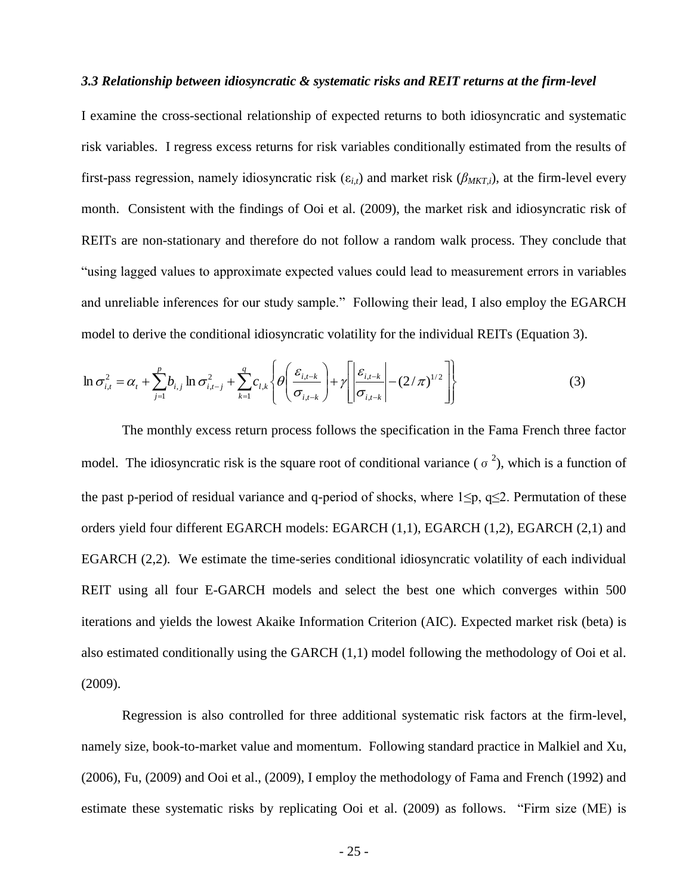### *3.3 Relationship between idiosyncratic & systematic risks and REIT returns at the firm-level*

I examine the cross-sectional relationship of expected returns to both idiosyncratic and systematic risk variables. I regress excess returns for risk variables conditionally estimated from the results of first-pass regression, namely idiosyncratic risk ( $\varepsilon_{i,t}$ ) and market risk ( $\beta_{MKT,i}$ ), at the firm-level every month. Consistent with the findings of Ooi et al. (2009), the market risk and idiosyncratic risk of REITs are non-stationary and therefore do not follow a random walk process. They conclude that "using lagged values to approximate expected values could lead to measurement errors in variables and unreliable inferences for our study sample." Following their lead, I also employ the EGARCH model to derive the conditional idiosyncratic volatility for the individual REITs (Equation 3).

$$
\ln \sigma_{i,t}^{2} = \alpha_{t} + \sum_{j=1}^{p} b_{i,j} \ln \sigma_{i,t-j}^{2} + \sum_{k=1}^{q} c_{l,k} \left\{ \theta \left( \frac{\varepsilon_{i,t-k}}{\sigma_{i,t-k}} \right) + \gamma \left[ \left| \frac{\varepsilon_{i,t-k}}{\sigma_{i,t-k}} \right| - (2/\pi)^{1/2} \right] \right\}
$$
(3)

The monthly excess return process follows the specification in the Fama French three factor model. The idiosyncratic risk is the square root of conditional variance ( $\sigma^2$ ), which is a function of the past p-period of residual variance and q-period of shocks, where  $1 \leq p$ ,  $q \leq 2$ . Permutation of these orders yield four different EGARCH models: EGARCH (1,1), EGARCH (1,2), EGARCH (2,1) and EGARCH (2,2). We estimate the time-series conditional idiosyncratic volatility of each individual REIT using all four E-GARCH models and select the best one which converges within 500 iterations and yields the lowest Akaike Information Criterion (AIC). Expected market risk (beta) is also estimated conditionally using the GARCH (1,1) model following the methodology of Ooi et al. (2009).

Regression is also controlled for three additional systematic risk factors at the firm-level, namely size, book-to-market value and momentum. Following standard practice in Malkiel and Xu, (2006), Fu, (2009) and Ooi et al., (2009), I employ the methodology of Fama and French (1992) and estimate these systematic risks by replicating Ooi et al. (2009) as follows. "Firm size (ME) is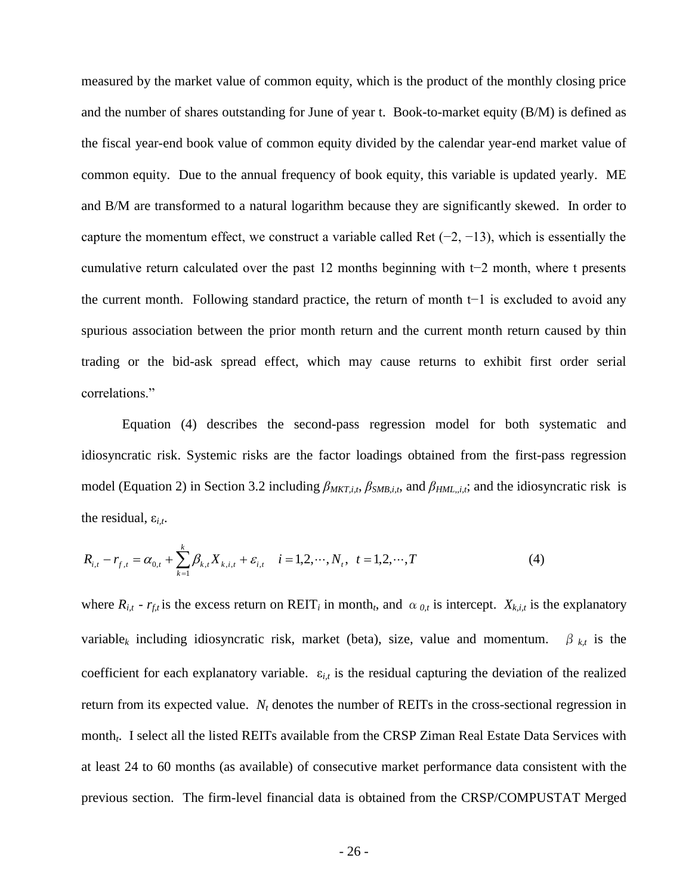measured by the market value of common equity, which is the product of the monthly closing price and the number of shares outstanding for June of year t. Book-to-market equity (B/M) is defined as the fiscal year-end book value of common equity divided by the calendar year-end market value of common equity. Due to the annual frequency of book equity, this variable is updated yearly. ME and B/M are transformed to a natural logarithm because they are significantly skewed. In order to capture the momentum effect, we construct a variable called Ret  $(-2, -13)$ , which is essentially the cumulative return calculated over the past 12 months beginning with t−2 month, where t presents the current month. Following standard practice, the return of month t−1 is excluded to avoid any spurious association between the prior month return and the current month return caused by thin trading or the bid-ask spread effect, which may cause returns to exhibit first order serial correlations."

Equation (4) describes the second-pass regression model for both systematic and idiosyncratic risk. Systemic risks are the factor loadings obtained from the first-pass regression model (Equation 2) in Section 3.2 including  $β_{MKT,i,t}$ ,  $β_{SMB,i,t}$ , and  $β_{HML,i,t}$ ; and the idiosyncratic risk is the residual,  $\varepsilon_{i,t}$ .

$$
R_{i,t} - r_{f,t} = \alpha_{0,t} + \sum_{k=1}^{k} \beta_{k,t} X_{k,i,t} + \varepsilon_{i,t} \quad i = 1, 2, \cdots, N_t, \ t = 1, 2, \cdots, T
$$
 (4)

where  $R_{i,t}$  -  $r_{f,t}$  is the excess return on REIT<sub>i</sub> in month<sub>t</sub>, and  $\alpha_{0,t}$  is intercept.  $X_{k,i,t}$  is the explanatory variable<sub>k</sub> including idiosyncratic risk, market (beta), size, value and momentum.  $\beta_{kt}$  is the coefficient for each explanatory variable. ε*i,t* is the residual capturing the deviation of the realized return from its expected value. *N<sup>t</sup>* denotes the number of REITs in the cross-sectional regression in month*<sup>t</sup>* . I select all the listed REITs available from the CRSP Ziman Real Estate Data Services with at least 24 to 60 months (as available) of consecutive market performance data consistent with the previous section. The firm-level financial data is obtained from the CRSP/COMPUSTAT Merged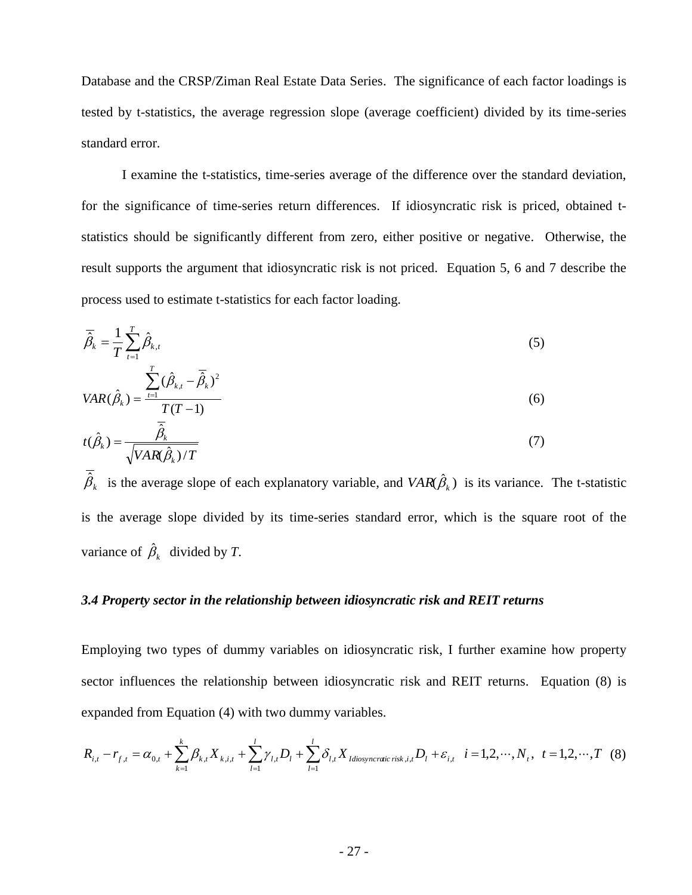Database and the CRSP/Ziman Real Estate Data Series. The significance of each factor loadings is tested by t-statistics, the average regression slope (average coefficient) divided by its time-series standard error.

I examine the t-statistics, time-series average of the difference over the standard deviation, for the significance of time-series return differences. If idiosyncratic risk is priced, obtained tstatistics should be significantly different from zero, either positive or negative. Otherwise, the result supports the argument that idiosyncratic risk is not priced. Equation 5, 6 and 7 describe the process used to estimate t-statistics for each factor loading.

$$
\overline{\hat{\beta}}_k = \frac{1}{T} \sum_{t=1}^T \hat{\beta}_{k,t} \tag{5}
$$

$$
VAR(\hat{\beta}_k) = \frac{\sum_{t=1}^{k} (\hat{\beta}_{k,t} - \hat{\beta}_k)^2}{T(T-1)}
$$
(6)

$$
t(\hat{\beta}_k) = \frac{\hat{\beta}_k}{\sqrt{VAR(\hat{\beta}_k)/T}}
$$
(7)

 $\hat{\beta}_k$  is the average slope of each explanatory variable, and  $VAR(\hat{\beta}_k)$  is its variance. The t-statistic is the average slope divided by its time-series standard error, which is the square root of the variance of  $\hat{\beta}_k$  divided by *T*.

## *3.4 Property sector in the relationship between idiosyncratic risk and REIT returns*

Employing two types of dummy variables on idiosyncratic risk, I further examine how property sector influences the relationship between idiosyncratic risk and REIT returns. Equation (8) is expanded from Equation (4) with two dummy variables.

$$
R_{i,t} - r_{f,t} = \alpha_{0,t} + \sum_{k=1}^{k} \beta_{k,t} X_{k,i,t} + \sum_{l=1}^{l} \gamma_{l,t} D_l + \sum_{l=1}^{l} \delta_{l,t} X_{Idiosyncratic risk,i,t} D_l + \varepsilon_{i,t} \quad i = 1, 2, \cdots, N_t, \quad t = 1, 2, \cdots, T \quad (8)
$$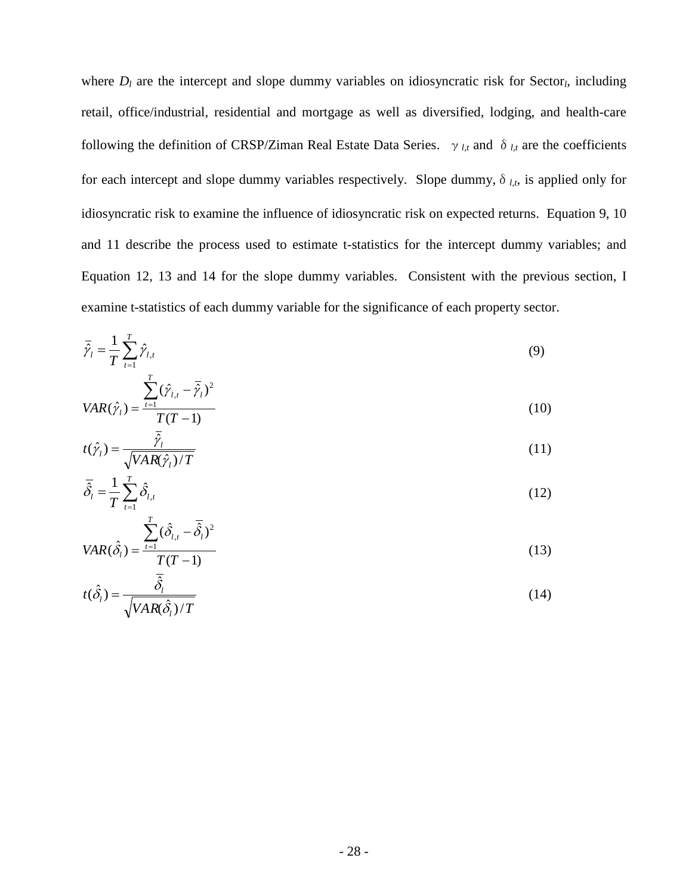where  $D_l$  are the intercept and slope dummy variables on idiosyncratic risk for Sector<sub>l</sub>, including retail, office/industrial, residential and mortgage as well as diversified, lodging, and health-care following the definition of CRSP/Ziman Real Estate Data Series.  $\gamma_{l,t}$  and  $\delta_{l,t}$  are the coefficients for each intercept and slope dummy variables respectively. Slope dummy,  $\delta_{l,t}$ , is applied only for idiosyncratic risk to examine the influence of idiosyncratic risk on expected returns. Equation 9, 10 and 11 describe the process used to estimate t-statistics for the intercept dummy variables; and Equation 12, 13 and 14 for the slope dummy variables. Consistent with the previous section, I examine t-statistics of each dummy variable for the significance of each property sector.

$$
\overline{\hat{\gamma}}_l = \frac{1}{T} \sum_{t=1}^T \hat{\gamma}_{l,t}
$$
\n
$$
\frac{T}{T} = 0
$$
\n(9)

$$
VAR(\hat{\gamma}_l) = \frac{\sum_{t=1} (\hat{\gamma}_{l,t} - \bar{\hat{\gamma}}_l)^2}{T(T-1)}
$$
(10)

$$
t(\hat{\gamma}_l) = \frac{\overline{\hat{\gamma}_l}}{\sqrt{VAR(\hat{\gamma}_l)/T}}
$$
(11)

$$
\overline{\hat{\delta}}_l = \frac{1}{T} \sum_{t=1}^T \hat{\delta}_{l,t} \tag{12}
$$

$$
VAR(\hat{\delta}_l) = \frac{\sum_{t=1}^{T} (\hat{\delta}_{l,t} - \bar{\hat{\delta}}_l)^2}{T(T-1)}
$$
(13)

$$
t(\hat{\delta}_i) = \frac{\hat{\delta}_i}{\sqrt{VAR(\hat{\delta}_i)/T}}
$$
(14)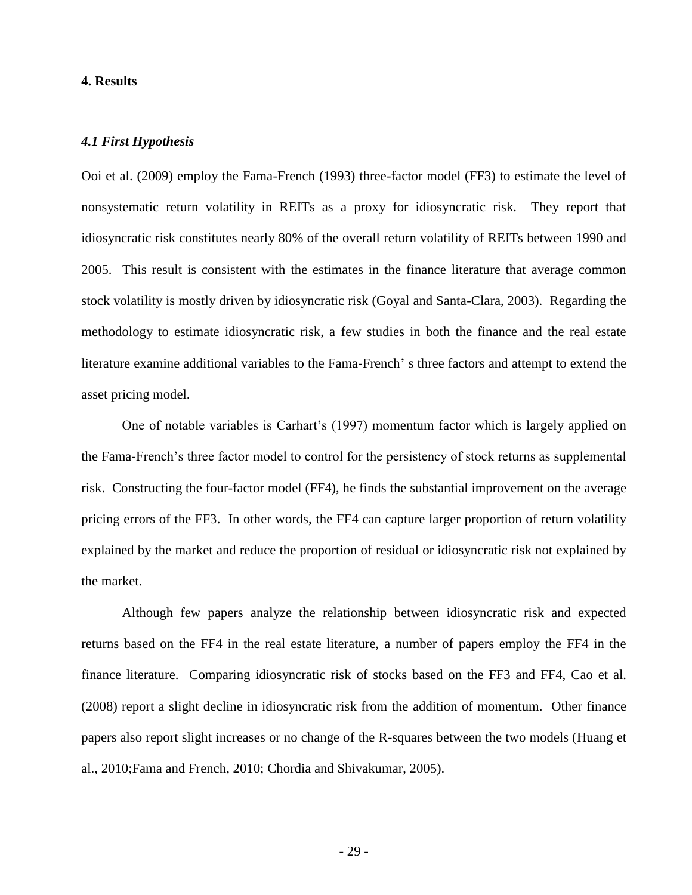# **4. Results**

### *4.1 First Hypothesis*

Ooi et al. (2009) employ the Fama-French (1993) three-factor model (FF3) to estimate the level of nonsystematic return volatility in REITs as a proxy for idiosyncratic risk. They report that idiosyncratic risk constitutes nearly 80% of the overall return volatility of REITs between 1990 and 2005. This result is consistent with the estimates in the finance literature that average common stock volatility is mostly driven by idiosyncratic risk (Goyal and Santa-Clara, 2003). Regarding the methodology to estimate idiosyncratic risk, a few studies in both the finance and the real estate literature examine additional variables to the Fama-French' s three factors and attempt to extend the asset pricing model.

One of notable variables is Carhart's (1997) momentum factor which is largely applied on the Fama-French's three factor model to control for the persistency of stock returns as supplemental risk. Constructing the four-factor model (FF4), he finds the substantial improvement on the average pricing errors of the FF3. In other words, the FF4 can capture larger proportion of return volatility explained by the market and reduce the proportion of residual or idiosyncratic risk not explained by the market.

Although few papers analyze the relationship between idiosyncratic risk and expected returns based on the FF4 in the real estate literature, a number of papers employ the FF4 in the finance literature. Comparing idiosyncratic risk of stocks based on the FF3 and FF4, Cao et al. (2008) report a slight decline in idiosyncratic risk from the addition of momentum. Other finance papers also report slight increases or no change of the R-squares between the two models (Huang et al., 2010;Fama and French, 2010; Chordia and Shivakumar, 2005).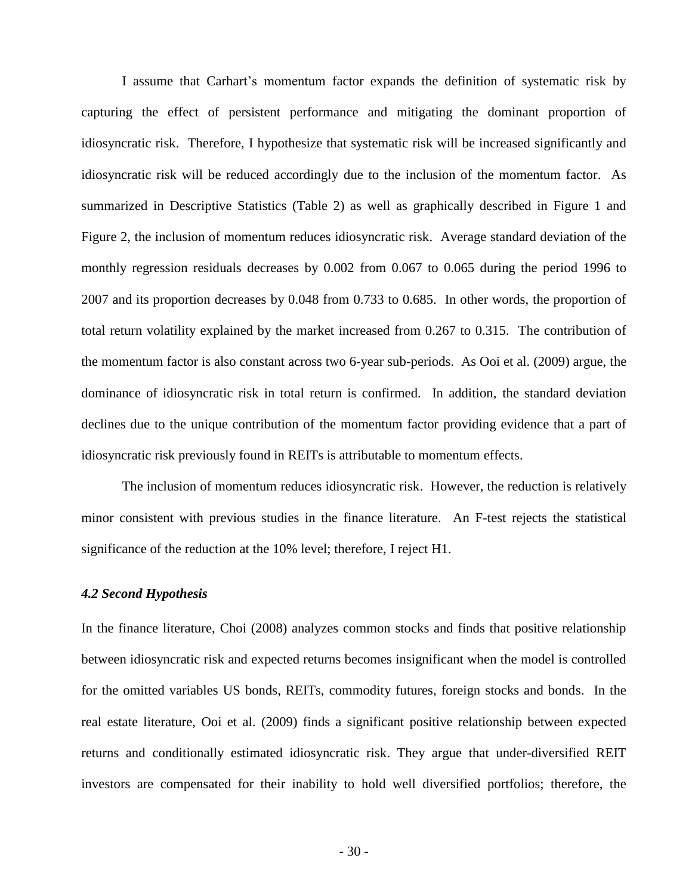I assume that Carhart's momentum factor expands the definition of systematic risk by capturing the effect of persistent performance and mitigating the dominant proportion of idiosyncratic risk. Therefore, I hypothesize that systematic risk will be increased significantly and idiosyncratic risk will be reduced accordingly due to the inclusion of the momentum factor. As summarized in Descriptive Statistics (Table 2) as well as graphically described in Figure 1 and Figure 2, the inclusion of momentum reduces idiosyncratic risk. Average standard deviation of the monthly regression residuals decreases by 0.002 from 0.067 to 0.065 during the period 1996 to 2007 and its proportion decreases by 0.048 from 0.733 to 0.685. In other words, the proportion of total return volatility explained by the market increased from 0.267 to 0.315. The contribution of the momentum factor is also constant across two 6-year sub-periods. As Ooi et al. (2009) argue, the dominance of idiosyncratic risk in total return is confirmed. In addition, the standard deviation declines due to the unique contribution of the momentum factor providing evidence that a part of idiosyncratic risk previously found in REITs is attributable to momentum effects.

The inclusion of momentum reduces idiosyncratic risk. However, the reduction is relatively minor consistent with previous studies in the finance literature. An F-test rejects the statistical significance of the reduction at the 10% level; therefore, I reject H1.

# *4.2 Second Hypothesis*

In the finance literature, Choi (2008) analyzes common stocks and finds that positive relationship between idiosyncratic risk and expected returns becomes insignificant when the model is controlled for the omitted variables US bonds, REITs, commodity futures, foreign stocks and bonds. In the real estate literature, Ooi et al. (2009) finds a significant positive relationship between expected returns and conditionally estimated idiosyncratic risk. They argue that under-diversified REIT investors are compensated for their inability to hold well diversified portfolios; therefore, the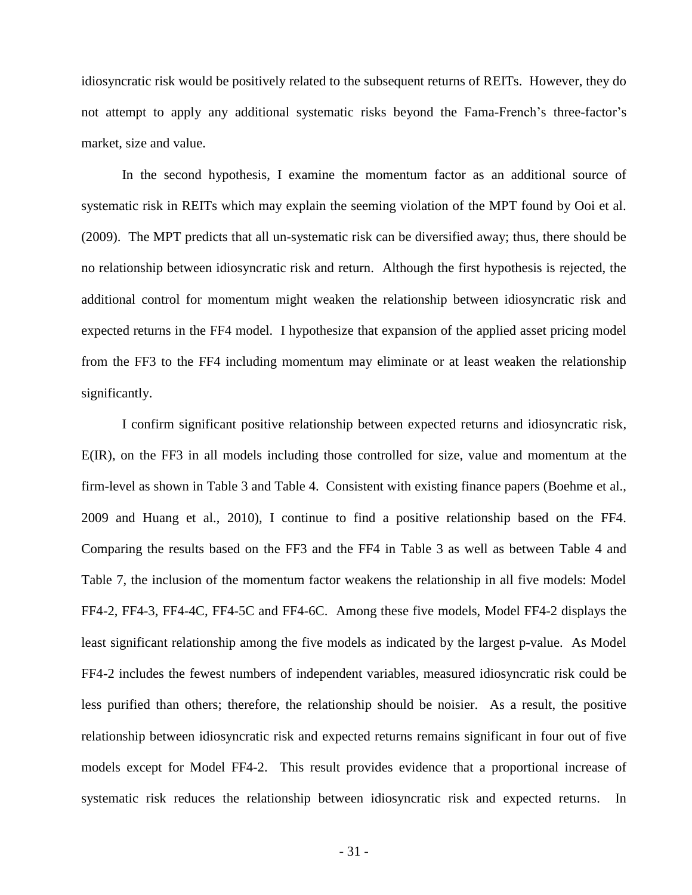idiosyncratic risk would be positively related to the subsequent returns of REITs. However, they do not attempt to apply any additional systematic risks beyond the Fama-French's three-factor's market, size and value.

In the second hypothesis, I examine the momentum factor as an additional source of systematic risk in REITs which may explain the seeming violation of the MPT found by Ooi et al. (2009). The MPT predicts that all un-systematic risk can be diversified away; thus, there should be no relationship between idiosyncratic risk and return. Although the first hypothesis is rejected, the additional control for momentum might weaken the relationship between idiosyncratic risk and expected returns in the FF4 model. I hypothesize that expansion of the applied asset pricing model from the FF3 to the FF4 including momentum may eliminate or at least weaken the relationship significantly.

I confirm significant positive relationship between expected returns and idiosyncratic risk, E(IR), on the FF3 in all models including those controlled for size, value and momentum at the firm-level as shown in Table 3 and Table 4. Consistent with existing finance papers (Boehme et al., 2009 and Huang et al., 2010), I continue to find a positive relationship based on the FF4. Comparing the results based on the FF3 and the FF4 in Table 3 as well as between Table 4 and Table 7, the inclusion of the momentum factor weakens the relationship in all five models: Model FF4-2, FF4-3, FF4-4C, FF4-5C and FF4-6C. Among these five models, Model FF4-2 displays the least significant relationship among the five models as indicated by the largest p-value. As Model FF4-2 includes the fewest numbers of independent variables, measured idiosyncratic risk could be less purified than others; therefore, the relationship should be noisier. As a result, the positive relationship between idiosyncratic risk and expected returns remains significant in four out of five models except for Model FF4-2. This result provides evidence that a proportional increase of systematic risk reduces the relationship between idiosyncratic risk and expected returns. In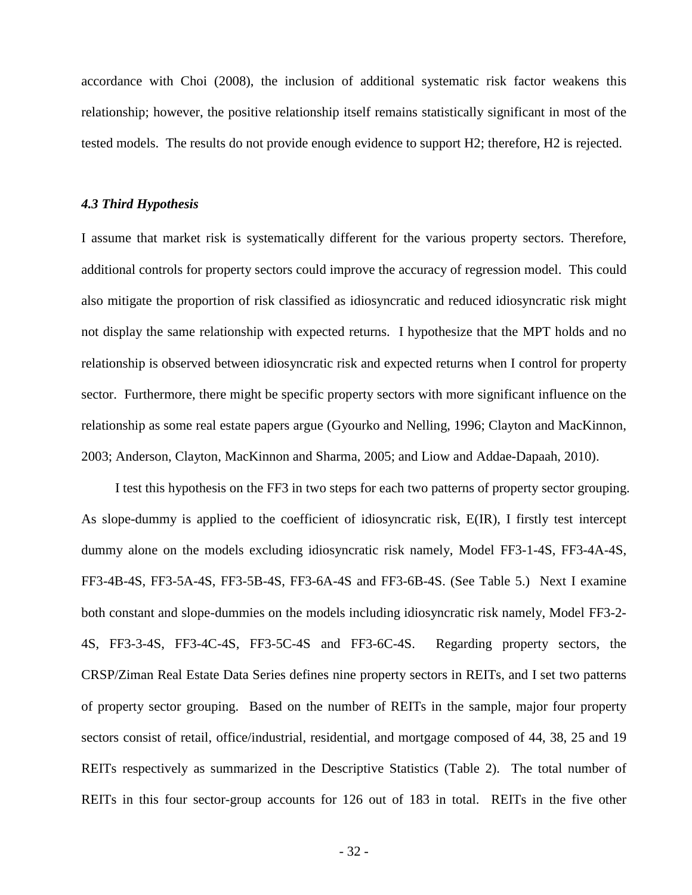accordance with Choi (2008), the inclusion of additional systematic risk factor weakens this relationship; however, the positive relationship itself remains statistically significant in most of the tested models. The results do not provide enough evidence to support H2; therefore, H2 is rejected.

### *4.3 Third Hypothesis*

I assume that market risk is systematically different for the various property sectors. Therefore, additional controls for property sectors could improve the accuracy of regression model. This could also mitigate the proportion of risk classified as idiosyncratic and reduced idiosyncratic risk might not display the same relationship with expected returns. I hypothesize that the MPT holds and no relationship is observed between idiosyncratic risk and expected returns when I control for property sector. Furthermore, there might be specific property sectors with more significant influence on the relationship as some real estate papers argue (Gyourko and Nelling, 1996; Clayton and MacKinnon, 2003; Anderson, Clayton, MacKinnon and Sharma, 2005; and Liow and Addae-Dapaah, 2010).

I test this hypothesis on the FF3 in two steps for each two patterns of property sector grouping. As slope-dummy is applied to the coefficient of idiosyncratic risk, E(IR), I firstly test intercept dummy alone on the models excluding idiosyncratic risk namely, Model FF3-1-4S, FF3-4A-4S, FF3-4B-4S, FF3-5A-4S, FF3-5B-4S, FF3-6A-4S and FF3-6B-4S. (See Table 5.) Next I examine both constant and slope-dummies on the models including idiosyncratic risk namely, Model FF3-2- 4S, FF3-3-4S, FF3-4C-4S, FF3-5C-4S and FF3-6C-4S. Regarding property sectors, the CRSP/Ziman Real Estate Data Series defines nine property sectors in REITs, and I set two patterns of property sector grouping. Based on the number of REITs in the sample, major four property sectors consist of retail, office/industrial, residential, and mortgage composed of 44, 38, 25 and 19 REITs respectively as summarized in the Descriptive Statistics (Table 2). The total number of REITs in this four sector-group accounts for 126 out of 183 in total. REITs in the five other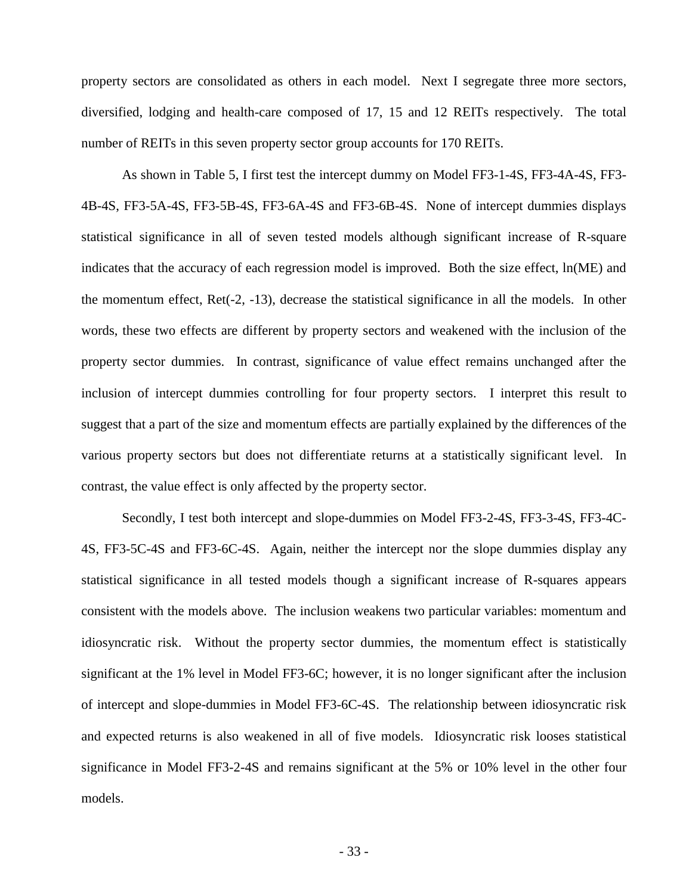property sectors are consolidated as others in each model. Next I segregate three more sectors, diversified, lodging and health-care composed of 17, 15 and 12 REITs respectively. The total number of REITs in this seven property sector group accounts for 170 REITs.

As shown in Table 5, I first test the intercept dummy on Model FF3-1-4S, FF3-4A-4S, FF3- 4B-4S, FF3-5A-4S, FF3-5B-4S, FF3-6A-4S and FF3-6B-4S. None of intercept dummies displays statistical significance in all of seven tested models although significant increase of R-square indicates that the accuracy of each regression model is improved. Both the size effect, ln(ME) and the momentum effect, Ret(-2, -13), decrease the statistical significance in all the models. In other words, these two effects are different by property sectors and weakened with the inclusion of the property sector dummies. In contrast, significance of value effect remains unchanged after the inclusion of intercept dummies controlling for four property sectors. I interpret this result to suggest that a part of the size and momentum effects are partially explained by the differences of the various property sectors but does not differentiate returns at a statistically significant level. In contrast, the value effect is only affected by the property sector.

Secondly, I test both intercept and slope-dummies on Model FF3-2-4S, FF3-3-4S, FF3-4C-4S, FF3-5C-4S and FF3-6C-4S. Again, neither the intercept nor the slope dummies display any statistical significance in all tested models though a significant increase of R-squares appears consistent with the models above. The inclusion weakens two particular variables: momentum and idiosyncratic risk. Without the property sector dummies, the momentum effect is statistically significant at the 1% level in Model FF3-6C; however, it is no longer significant after the inclusion of intercept and slope-dummies in Model FF3-6C-4S. The relationship between idiosyncratic risk and expected returns is also weakened in all of five models. Idiosyncratic risk looses statistical significance in Model FF3-2-4S and remains significant at the 5% or 10% level in the other four models.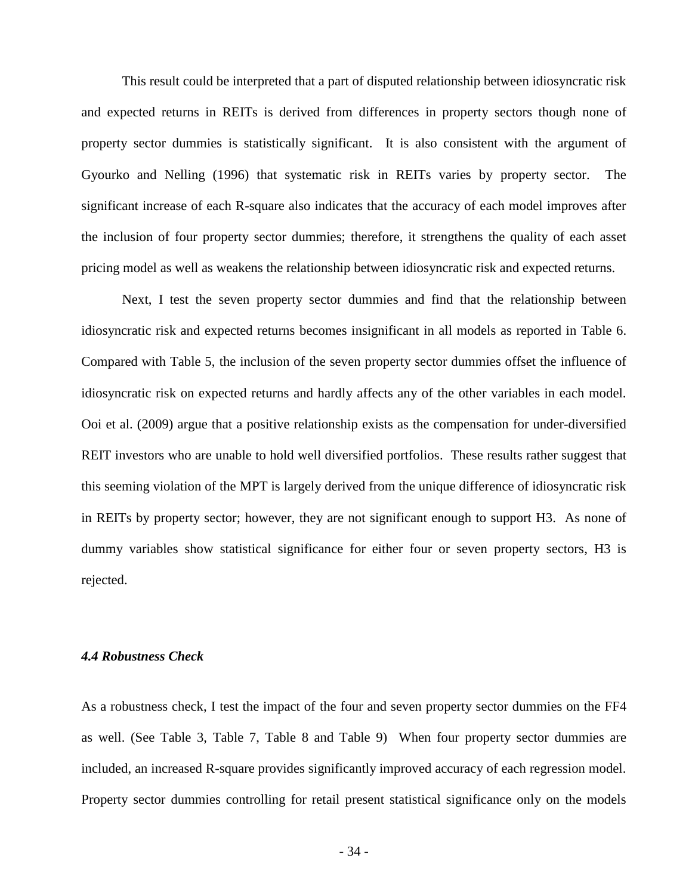This result could be interpreted that a part of disputed relationship between idiosyncratic risk and expected returns in REITs is derived from differences in property sectors though none of property sector dummies is statistically significant. It is also consistent with the argument of Gyourko and Nelling (1996) that systematic risk in REITs varies by property sector. The significant increase of each R-square also indicates that the accuracy of each model improves after the inclusion of four property sector dummies; therefore, it strengthens the quality of each asset pricing model as well as weakens the relationship between idiosyncratic risk and expected returns.

Next, I test the seven property sector dummies and find that the relationship between idiosyncratic risk and expected returns becomes insignificant in all models as reported in Table 6. Compared with Table 5, the inclusion of the seven property sector dummies offset the influence of idiosyncratic risk on expected returns and hardly affects any of the other variables in each model. Ooi et al. (2009) argue that a positive relationship exists as the compensation for under-diversified REIT investors who are unable to hold well diversified portfolios. These results rather suggest that this seeming violation of the MPT is largely derived from the unique difference of idiosyncratic risk in REITs by property sector; however, they are not significant enough to support H3. As none of dummy variables show statistical significance for either four or seven property sectors, H3 is rejected.

## *4.4 Robustness Check*

As a robustness check, I test the impact of the four and seven property sector dummies on the FF4 as well. (See Table 3, Table 7, Table 8 and Table 9) When four property sector dummies are included, an increased R-square provides significantly improved accuracy of each regression model. Property sector dummies controlling for retail present statistical significance only on the models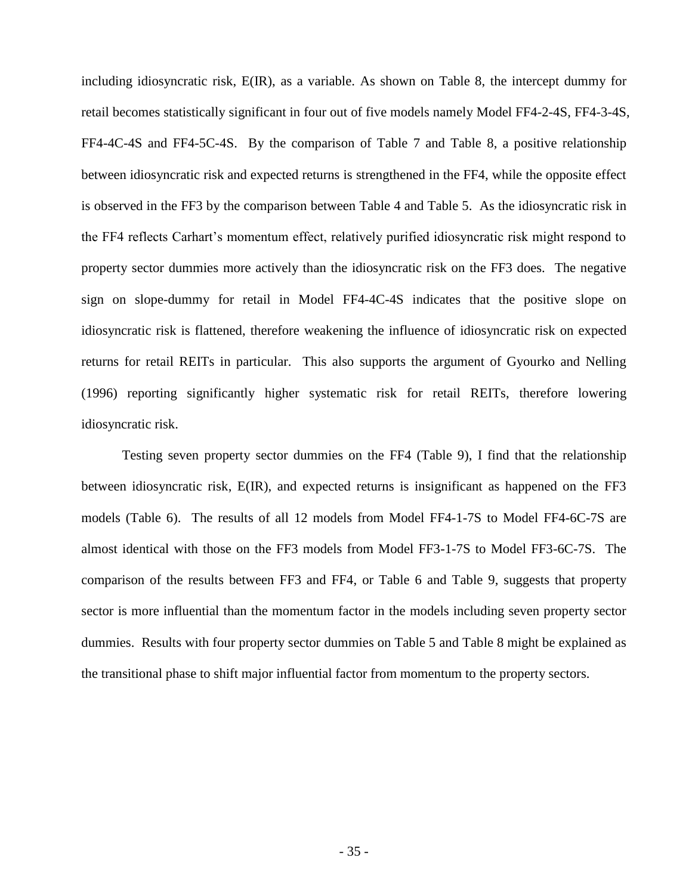including idiosyncratic risk, E(IR), as a variable. As shown on Table 8, the intercept dummy for retail becomes statistically significant in four out of five models namely Model FF4-2-4S, FF4-3-4S, FF4-4C-4S and FF4-5C-4S. By the comparison of Table 7 and Table 8, a positive relationship between idiosyncratic risk and expected returns is strengthened in the FF4, while the opposite effect is observed in the FF3 by the comparison between Table 4 and Table 5. As the idiosyncratic risk in the FF4 reflects Carhart's momentum effect, relatively purified idiosyncratic risk might respond to property sector dummies more actively than the idiosyncratic risk on the FF3 does. The negative sign on slope-dummy for retail in Model FF4-4C-4S indicates that the positive slope on idiosyncratic risk is flattened, therefore weakening the influence of idiosyncratic risk on expected returns for retail REITs in particular. This also supports the argument of Gyourko and Nelling (1996) reporting significantly higher systematic risk for retail REITs, therefore lowering idiosyncratic risk.

Testing seven property sector dummies on the FF4 (Table 9), I find that the relationship between idiosyncratic risk, E(IR), and expected returns is insignificant as happened on the FF3 models (Table 6). The results of all 12 models from Model FF4-1-7S to Model FF4-6C-7S are almost identical with those on the FF3 models from Model FF3-1-7S to Model FF3-6C-7S. The comparison of the results between FF3 and FF4, or Table 6 and Table 9, suggests that property sector is more influential than the momentum factor in the models including seven property sector dummies. Results with four property sector dummies on Table 5 and Table 8 might be explained as the transitional phase to shift major influential factor from momentum to the property sectors.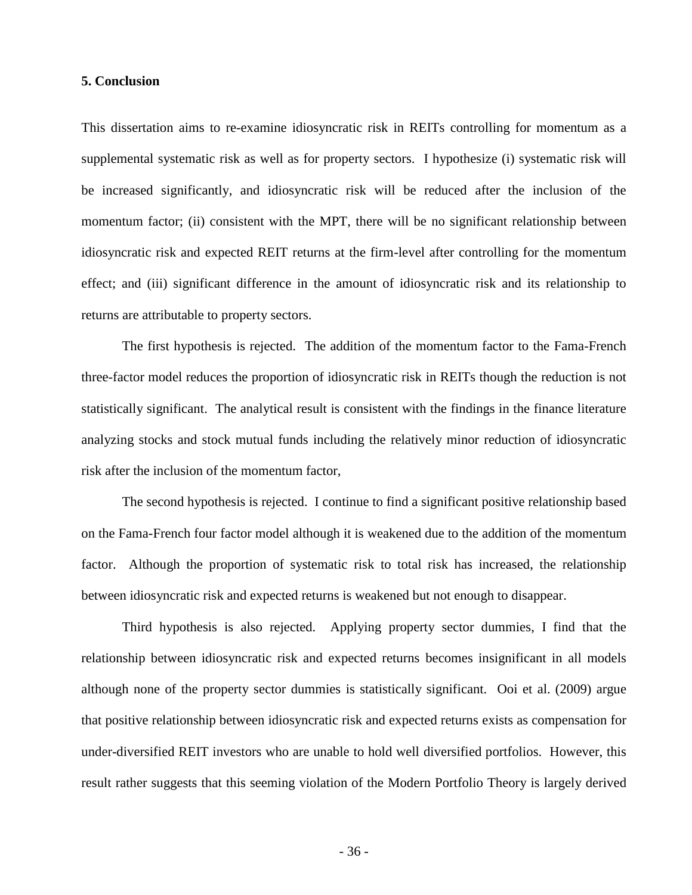# **5. Conclusion**

This dissertation aims to re-examine idiosyncratic risk in REITs controlling for momentum as a supplemental systematic risk as well as for property sectors. I hypothesize (i) systematic risk will be increased significantly, and idiosyncratic risk will be reduced after the inclusion of the momentum factor; (ii) consistent with the MPT, there will be no significant relationship between idiosyncratic risk and expected REIT returns at the firm-level after controlling for the momentum effect; and (iii) significant difference in the amount of idiosyncratic risk and its relationship to returns are attributable to property sectors.

The first hypothesis is rejected. The addition of the momentum factor to the Fama-French three-factor model reduces the proportion of idiosyncratic risk in REITs though the reduction is not statistically significant. The analytical result is consistent with the findings in the finance literature analyzing stocks and stock mutual funds including the relatively minor reduction of idiosyncratic risk after the inclusion of the momentum factor,

The second hypothesis is rejected. I continue to find a significant positive relationship based on the Fama-French four factor model although it is weakened due to the addition of the momentum factor. Although the proportion of systematic risk to total risk has increased, the relationship between idiosyncratic risk and expected returns is weakened but not enough to disappear.

Third hypothesis is also rejected. Applying property sector dummies, I find that the relationship between idiosyncratic risk and expected returns becomes insignificant in all models although none of the property sector dummies is statistically significant. Ooi et al. (2009) argue that positive relationship between idiosyncratic risk and expected returns exists as compensation for under-diversified REIT investors who are unable to hold well diversified portfolios. However, this result rather suggests that this seeming violation of the Modern Portfolio Theory is largely derived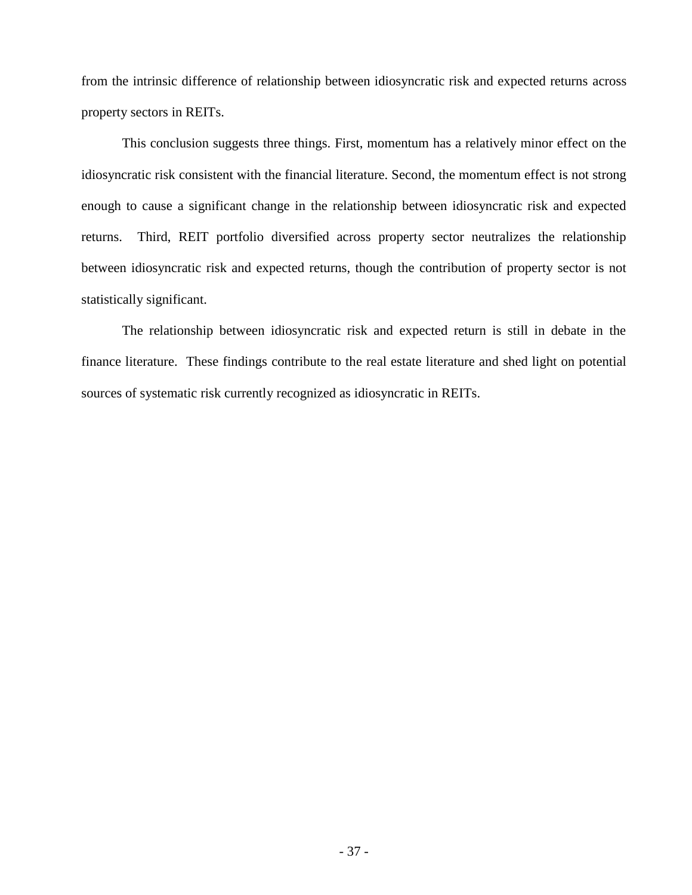from the intrinsic difference of relationship between idiosyncratic risk and expected returns across property sectors in REITs.

This conclusion suggests three things. First, momentum has a relatively minor effect on the idiosyncratic risk consistent with the financial literature. Second, the momentum effect is not strong enough to cause a significant change in the relationship between idiosyncratic risk and expected returns. Third, REIT portfolio diversified across property sector neutralizes the relationship between idiosyncratic risk and expected returns, though the contribution of property sector is not statistically significant.

The relationship between idiosyncratic risk and expected return is still in debate in the finance literature. These findings contribute to the real estate literature and shed light on potential sources of systematic risk currently recognized as idiosyncratic in REITs.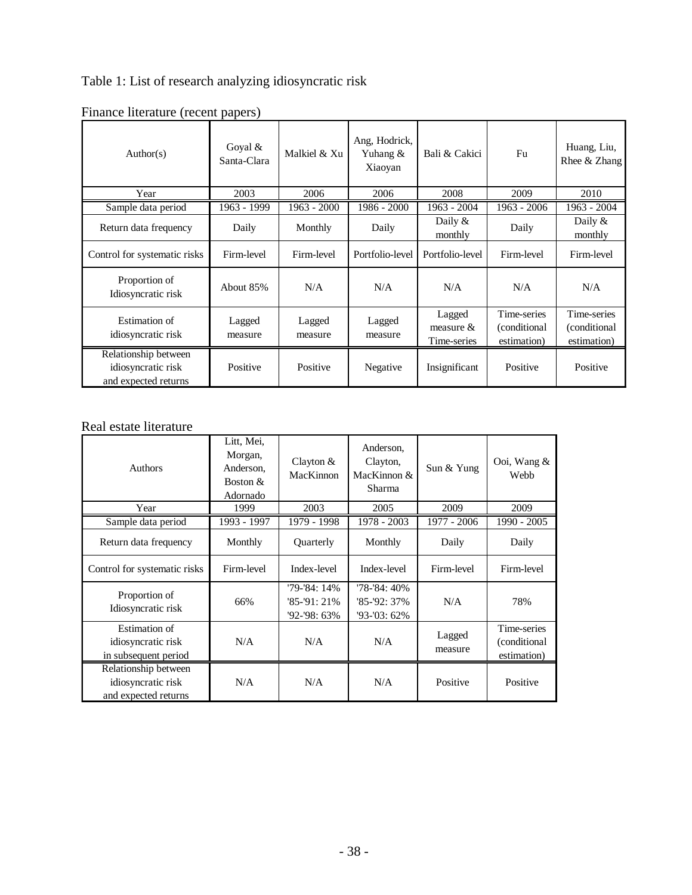Table 1: List of research analyzing idiosyncratic risk

| Author(s)                                                          | Goyal $&$<br>Santa-Clara | Malkiel & Xu      | Ang, Hodrick,<br>Yuhang &<br>Xiaoyan | Bali & Cakici                        | Fu                                          | Huang, Liu,<br>Rhee $&$ Zhang               |
|--------------------------------------------------------------------|--------------------------|-------------------|--------------------------------------|--------------------------------------|---------------------------------------------|---------------------------------------------|
| Year                                                               | 2003                     | 2006              | 2006                                 | 2008                                 | 2009                                        | 2010                                        |
| Sample data period                                                 | 1963 - 1999              | 1963 - 2000       | 1986 - 2000                          | 1963 - 2004                          | $1963 - 2006$                               | 1963 - 2004                                 |
| Return data frequency                                              | Daily                    | Monthly           | Daily                                | Daily $&$<br>monthly                 | Daily                                       | Daily $\&$<br>monthly                       |
| Control for systematic risks                                       | Firm-level               | Firm-level        | Portfolio-level                      | Portfolio-level                      | Firm-level                                  | Firm-level                                  |
| Proportion of<br>Idiosyncratic risk                                | About 85%                | N/A               | N/A                                  | N/A                                  | N/A                                         | N/A                                         |
| Estimation of<br>idiosyncratic risk                                | Lagged<br>measure        | Lagged<br>measure | Lagged<br>measure                    | Lagged<br>measure $&$<br>Time-series | Time-series<br>(conditional)<br>estimation) | Time-series<br>(conditional)<br>estimation) |
| Relationship between<br>idiosyncratic risk<br>and expected returns | Positive                 | Positive          | Negative                             | Insignificant                        | Positive                                    | Positive                                    |

Finance literature (recent papers)

# Real estate literature

| <b>Authors</b>                                                     | Litt, Mei,<br>Morgan,<br>Anderson.<br>Boston $&$<br>Adornado | Clayton $&$<br>MacKinnon                      | Anderson,<br>Clayton,<br>MacKinnon $&$<br>Sharma | Sun & Yung        | Ooi, Wang &<br>Webb                         |
|--------------------------------------------------------------------|--------------------------------------------------------------|-----------------------------------------------|--------------------------------------------------|-------------------|---------------------------------------------|
| Year                                                               | 1999                                                         | 2003                                          | 2005                                             | 2009              | 2009                                        |
| Sample data period                                                 | 1993 - 1997                                                  | 1979 - 1998                                   | 1978 - 2003                                      | 1977 - 2006       | 1990 - 2005                                 |
| Return data frequency                                              | Monthly                                                      | Quarterly                                     | Monthly                                          | Daily             | Daily                                       |
| Control for systematic risks                                       | Firm-level                                                   | Index-level                                   | Index-level                                      | Firm-level        | Firm-level                                  |
| Proportion of<br>Idiosyncratic risk                                | 66%                                                          | '79-'84: 14%<br>$85 - 91:21%$<br>'92-'98: 63% | '78-'84: 40%<br>'85-'92: 37%<br>$93 - 03:62\%$   | N/A               | 78%                                         |
| Estimation of<br>idiosyncratic risk<br>in subsequent period        | N/A                                                          | N/A                                           | N/A                                              | Lagged<br>measure | Time-series<br>(conditional)<br>estimation) |
| Relationship between<br>idiosyncratic risk<br>and expected returns | N/A                                                          | N/A                                           | N/A                                              | Positive          | Positive                                    |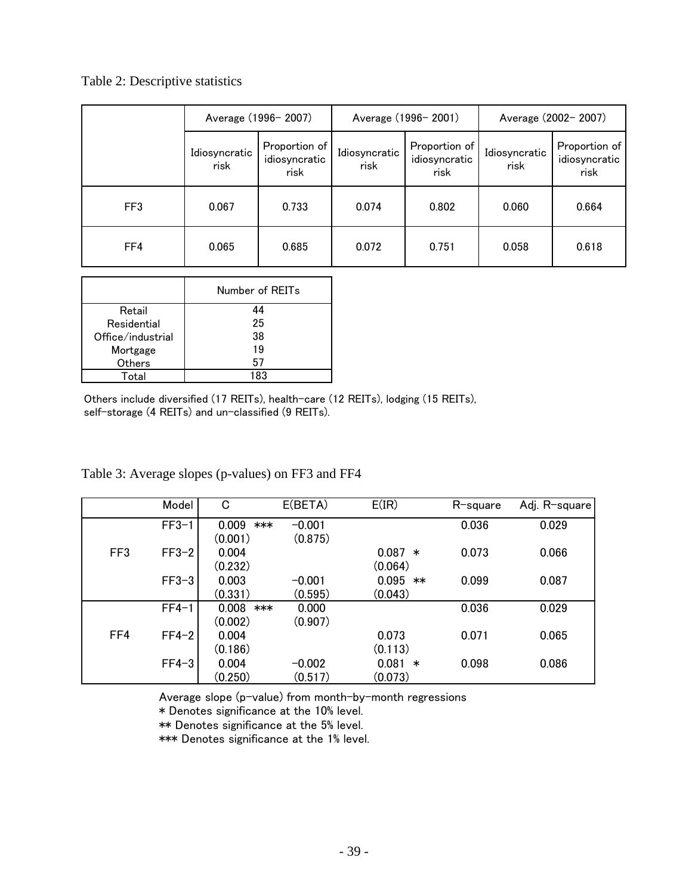# Table 2: Descriptive statistics

|     |                       | Average (1996-2007)                    |                       | Average (1996-2001)                    |                       | Average (2002-2007)                    |
|-----|-----------------------|----------------------------------------|-----------------------|----------------------------------------|-----------------------|----------------------------------------|
|     | Idiosyncratic<br>risk | Proportion of<br>idiosyncratic<br>risk | Idiosyncratic<br>risk | Proportion of<br>idiosyncratic<br>risk | Idiosyncratic<br>risk | Proportion of<br>idiosyncratic<br>risk |
| FF3 | 0.067                 | 0.733                                  | 0.074                 | 0.802                                  | 0.060                 | 0.664                                  |
| FF4 | 0.065                 | 0.685                                  | 0.072                 | 0.751                                  | 0.058                 | 0.618                                  |

|                   | Number of REITs |
|-------------------|-----------------|
| Retail            | 44              |
| Residential       | 25              |
| Office/industrial | 38              |
| Mortgage          | 19              |
| Others            | 57              |
| Total             | 183             |

Others include diversified (17 REITs), health-care (12 REITs), lodging (15 REITs), self-storage (4 REITs) and un-classified (9 REITs).

|                 | Model   | C            | E(BETA)  | E(IR)         | R-square | Adj. R-square |
|-----------------|---------|--------------|----------|---------------|----------|---------------|
|                 | $FF3-1$ | 0.009<br>*** | $-0.001$ |               | 0.036    | 0.029         |
|                 |         | (0.001)      | (0.875)  |               |          |               |
| FF <sub>3</sub> | $FF3-2$ | 0.004        |          | $0.087*$      | 0.073    | 0.066         |
|                 |         | (0.232)      |          | (0.064)       |          |               |
|                 | $FF3-3$ | 0.003        | $-0.001$ | 0.095<br>$**$ | 0.099    | 0.087         |
|                 |         | (0.331)      | (0.595)  | (0.043)       |          |               |
|                 | $FF4-1$ | 0.008<br>*** | 0.000    |               | 0.036    | 0.029         |
|                 |         | (0.002)      | (0.907)  |               |          |               |
| FF4             | $FF4-2$ | 0.004        |          | 0.073         | 0.071    | 0.065         |
|                 |         | (0.186)      |          | (0.113)       |          |               |
|                 | $FF4-3$ | 0.004        | $-0.002$ | $0.081$ *     | 0.098    | 0.086         |
|                 |         | (0.250)      | (0.517)  | (0.073)       |          |               |

# Table 3: Average slopes (p-values) on FF3 and FF4

Average slope (p-value) from month-by-month regressions

\* Denotes significance at the 10% level.

\*\* Denotes significance at the 5% level.

\*\*\* Denotes significance at the 1% level.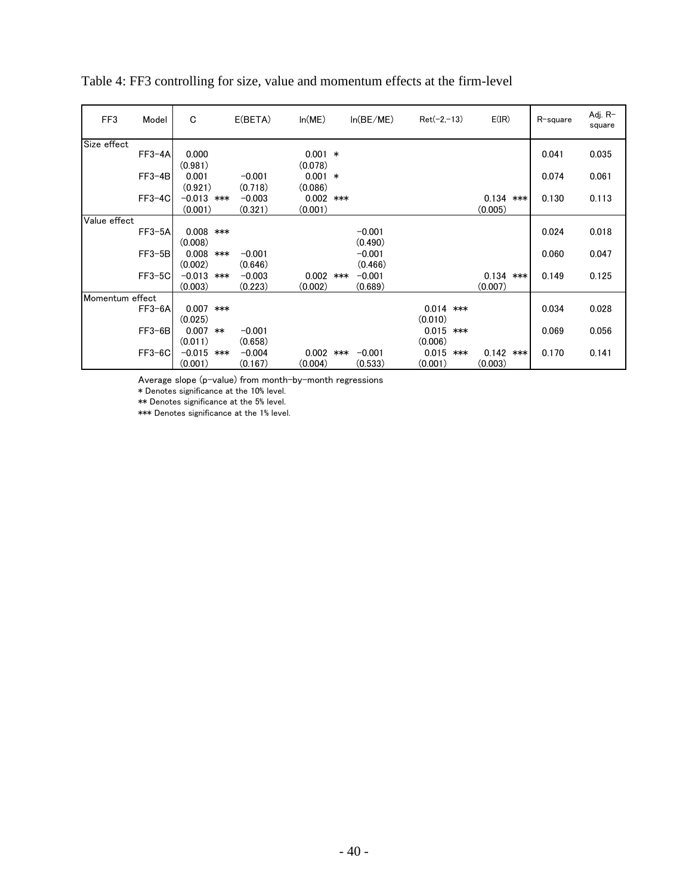| FF3             | Model    | C                 | E(BETA)  | ln(ME)    |     | ln(BE/ME) | $Ret(-2,-13)$ |     | E(IR)       |     | R-square | Adj. R-<br>square |
|-----------------|----------|-------------------|----------|-----------|-----|-----------|---------------|-----|-------------|-----|----------|-------------------|
| Size effect     |          |                   |          |           |     |           |               |     |             |     |          |                   |
|                 | $FF3-4A$ | 0.000             |          | $0.001$ * |     |           |               |     |             |     | 0.041    | 0.035             |
|                 |          | (0.981)           |          | (0.078)   |     |           |               |     |             |     |          |                   |
|                 | $FF3-4B$ | 0.001             | $-0.001$ | $0.001$ * |     |           |               |     |             |     | 0.074    | 0.061             |
|                 |          | (0.921)           | (0.718)  | (0.086)   |     |           |               |     |             |     |          |                   |
|                 | $FF3-4C$ | $-0.013$<br>$***$ | $-0.003$ | 0.002     | *** |           |               |     | 0.134       | *** | 0.130    | 0.113             |
|                 |          | (0.001)           | (0.321)  | (0.001)   |     |           |               |     | (0.005)     |     |          |                   |
| Value effect    |          |                   |          |           |     |           |               |     |             |     |          |                   |
|                 | $FF3-5A$ | $0.008$ ***       |          |           |     | $-0.001$  |               |     |             |     | 0.024    | 0.018             |
|                 |          | (0.008)           |          |           |     | (0.490)   |               |     |             |     |          |                   |
|                 | $FF3-5B$ | 0.008<br>$***$    | $-0.001$ |           |     | $-0.001$  |               |     |             |     | 0.060    | 0.047             |
|                 |          | (0.002)           | (0.646)  |           |     | (0.466)   |               |     |             |     |          |                   |
|                 | $FF3-5C$ | $-0.013$<br>***   | $-0.003$ | 0.002     | *** | $-0.001$  |               |     | $0.134$ *** |     | 0.149    | 0.125             |
|                 |          | (0.003)           | (0.223)  | (0.002)   |     | (0.689)   |               |     | (0.007)     |     |          |                   |
| Momentum effect |          |                   |          |           |     |           |               |     |             |     |          |                   |
|                 | $FF3-6A$ | $0.007$ ***       |          |           |     |           | $0.014$ ***   |     |             |     | 0.034    | 0.028             |
|                 |          | (0.025)           |          |           |     |           | (0.010)       |     |             |     |          |                   |
|                 | $FF3-6B$ | 0.007<br>$**$     | $-0.001$ |           |     |           | 0.015         | *** |             |     | 0.069    | 0.056             |
|                 |          | (0.011)           | (0.658)  |           |     |           | (0.006)       |     |             |     |          |                   |
|                 | FF3-6C   | $-0.015$<br>***   | $-0.004$ | 0.002     | *** | $-0.001$  | 0.015         | *** | $0.142$ *** |     | 0.170    | 0.141             |
|                 |          | (0.001)           | (0.167)  | (0.004)   |     | (0.533)   | (0.001)       |     | (0.003)     |     |          |                   |

Table 4: FF3 controlling for size, value and momentum effects at the firm-level

Average slope (p-value) from month-by-month regressions

\* Denotes significance at the 10% level.

\*\* Denotes significance at the 5% level.

\*\*\* Denotes significance at the 1% level.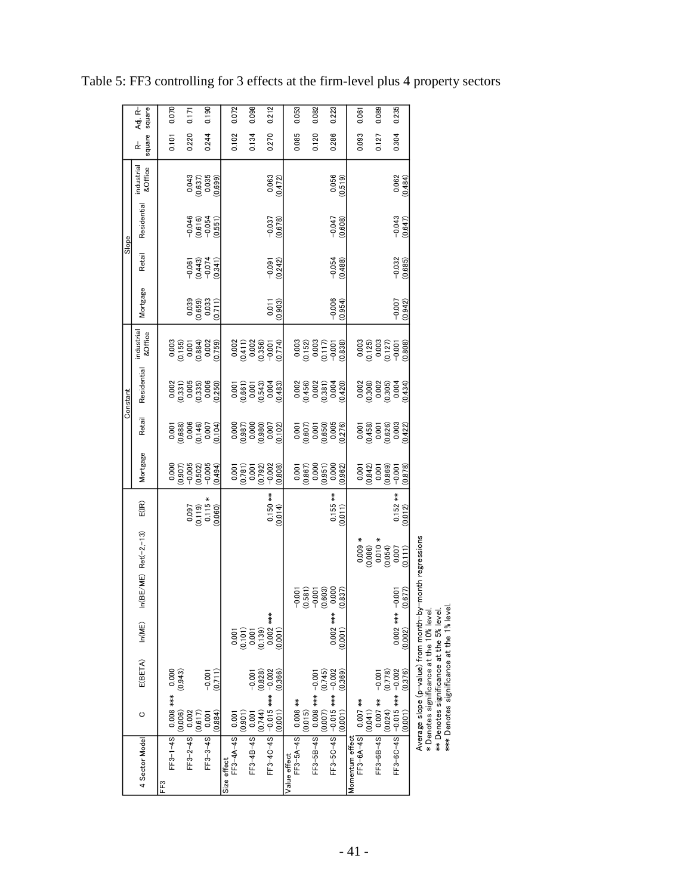|          | square<br>Adj. R−     |     | 0.070             |         | 0.171                                                                        |         | 0.190                                                                                    |             | 0.072           |         | 0.098                                                                                |         | 0.212                                                                                          |              | 0.053               |         | 0.082                                                               |         | 0.223                                                                                              | 0.061                                  |                                                                                                        | 0.089           |         | 0.235                 |
|----------|-----------------------|-----|-------------------|---------|------------------------------------------------------------------------------|---------|------------------------------------------------------------------------------------------|-------------|-----------------|---------|--------------------------------------------------------------------------------------|---------|------------------------------------------------------------------------------------------------|--------------|---------------------|---------|---------------------------------------------------------------------|---------|----------------------------------------------------------------------------------------------------|----------------------------------------|--------------------------------------------------------------------------------------------------------|-----------------|---------|-----------------------|
|          | square<br>¢           |     | 0.101             |         | 0.220                                                                        |         | 0.244                                                                                    |             | 0.102           |         | 0.134                                                                                |         | 0.270                                                                                          |              | 0.085               |         | 0.120                                                               |         | 0.286                                                                                              |                                        | 0.093                                                                                                  | 0.127           |         | 0.304                 |
|          | industrial<br>&Office |     |                   |         |                                                                              |         | $\begin{array}{c} 0.043 \\ 0.637) \\ 0.035 \\ 0.035 \end{array}$                         |             |                 |         |                                                                                      |         | $\frac{0.063}{(0.472)}$                                                                        |              |                     |         |                                                                     |         | (0.519)                                                                                            |                                        |                                                                                                        |                 |         | $\frac{0.062}{0.484}$ |
|          | Residential           |     |                   |         |                                                                              |         | $-0.046$<br>$(0.616)$<br>$-0.054$<br>$(0.551)$                                           |             |                 |         |                                                                                      |         | $-0.037$<br>(0.678)                                                                            |              |                     |         |                                                                     |         | $-0.047$<br>(0.608)                                                                                |                                        |                                                                                                        |                 |         | $-0.043$<br>(0.647)   |
| Slope    | Retail                |     |                   |         |                                                                              |         | $\begin{array}{c} -0.061 \\ -0.443 \\ -0.074 \\ 0.341 \end{array}$                       |             |                 |         |                                                                                      |         | $-0.091$<br>(0.242)                                                                            |              |                     |         |                                                                     |         | $-0.054$<br>(0.488)                                                                                |                                        |                                                                                                        |                 |         | $-0.032$<br>(0.685)   |
|          | Mortgage              |     |                   |         |                                                                              |         | $\begin{array}{c} 0.039 \\ 0.659) \\ 0.033 \\ 0.033 \\ \end{array}$                      |             |                 |         |                                                                                      |         | (0.903)<br>0.011                                                                               |              |                     |         |                                                                     |         | $-0.006$<br>(0.954)                                                                                |                                        |                                                                                                        |                 |         | $-0.007$              |
|          | industrial<br>&Office |     |                   |         |                                                                              |         | $\begin{array}{c} 0.003 \\ 0.155) \\ 0.001 \\ 0.004) \\ 0.022 \\ 0.002 \end{array}$      |             |                 |         |                                                                                      |         | $\begin{array}{c} 0.002 \\ 0.0411) \\ 0.002 \\ 0.356) \\ 0.356) \\ 0.074) \end{array}$         |              |                     |         |                                                                     |         | $\begin{array}{c} 0.003 \\ 0.152) \\ 0.003 \\ 0.117) \\ 0.001 \\ -0.001 \\ 0.838) \end{array}$     |                                        | $\begin{array}{c} 0.003 \\ 0.125 \\ 0.003 \\ 0.0127 \\ 0.017 \\ 0.001 \\ 0.001 \\ 0.008 \end{array}$   |                 |         |                       |
| Constant | Residential           |     |                   |         |                                                                              |         | $\begin{array}{c} 0.002 \\ 0.331) \\ 0.005 \\ 0.335) \\ 0.006 \\ 0.006 \end{array}$      |             |                 |         |                                                                                      |         | $\begin{array}{c} 0.001\ 0.661) \ 0.001\ 0.001\ 0.040\ 0.004\ 0.004\ 0.004\ \end{array}$       |              |                     |         |                                                                     |         | $\begin{array}{c} 0.002 \\ (0.456) \\ 0.002 \\ (0.381) \\ (0.381) \\ 0.004 \\ (0.420) \end{array}$ |                                        | $\begin{array}{c} 0.002 \\ 0.308) \\ 0.002 \\ 0.003 \\ 0.004 \\ 0.004 \end{array}$                     |                 |         |                       |
|          | Retail                |     |                   |         |                                                                              |         | $\begin{array}{c} 0.001\ 0.008\ 0.008\ 0.006\ 0.146) \ 0.007\ 0.007\ 0.007\ \end{array}$ |             |                 |         |                                                                                      |         | $\begin{array}{c} 0.000 \\ (0.987) \\ 0.000 \\ (0.980) \\ 0.000 \\ 0.007 \\ 0.007 \end{array}$ |              |                     |         |                                                                     |         | $\begin{array}{c} 0.001\ 0.607) \ 0.001\ 0.001\ 0.005\ 0.005\ 0.005\ 0.005 \end{array}$            |                                        | $\begin{array}{c} 0.001\ 0.0458) \ 0.001\ 0.001\ 0.026) \ 0.003\ 0.003\ 0.00422) \end{array}$          |                 |         |                       |
|          | Mortgage              |     |                   |         | $\begin{array}{c} 0.000 \\ 0.907) \\ -0.005 \\ 0.502) \\ -0.005 \end{array}$ |         | (0.494)                                                                                  |             |                 |         | $\begin{array}{c} 0.001 \\ 0.781) \\ 0.001 \\ 0.792) \\ 0.792 \\ -0.002 \end{array}$ |         | (0.808)                                                                                        |              |                     |         |                                                                     |         | $\begin{array}{c} 0.001\ 0.867) \ (0.867)\ 0.000\ 0.951) \ (0.962)\ 0.000 \end{array}$             |                                        | $\begin{array}{c} 0.001 \\ 0.042) \\ 0.001 \\ 0.000 \\ -0.001 \end{array}$                             |                 |         |                       |
|          | $E(\mathbb{R})$       |     |                   |         |                                                                              |         | $\begin{array}{c} (0.097) \ (0.119) \ (0.115) \ (0.060) \end{array}$                     |             |                 |         |                                                                                      |         | $0.150$ **<br>$(0.014)$                                                                        |              |                     |         |                                                                     |         | $0.155$ **<br>(0.011)                                                                              |                                        |                                                                                                        |                 |         | $0.152***$            |
|          | n(BE/ME) Ret(-2,-13)  |     |                   |         |                                                                              |         |                                                                                          |             |                 |         |                                                                                      |         |                                                                                                |              |                     |         |                                                                     |         |                                                                                                    |                                        | $\begin{array}{r} 0.009* \\ 0.0080\\ 0.010* \\ 0.010* \\ 0.054)\\ 0.007\\ 0.007\\ 0.0111) \end{array}$ |                 |         |                       |
|          |                       |     |                   |         |                                                                              |         |                                                                                          |             |                 |         |                                                                                      |         |                                                                                                |              | $-0.001$            |         | $\begin{array}{c} (0.581) \\ -0.001 \\ 0.603) \\ 0.000 \end{array}$ |         | (0.837)                                                                                            |                                        |                                                                                                        |                 |         | $-0.001$              |
|          | ln(ME)                |     |                   |         |                                                                              |         |                                                                                          |             | 0.001           | (0.101) | 0.001                                                                                | (0.139) | $0.002***$<br>(0.001)                                                                          |              |                     |         |                                                                     |         | $0.002***$<br>(0.001)                                                                              |                                        |                                                                                                        |                 |         | $0.002***$            |
|          | E(BETA)               |     |                   | (0.943) |                                                                              |         | (0.711)<br>$-0.001$                                                                      |             |                 |         | $-0.001$                                                                             | (0.828) | (0.366)                                                                                        |              |                     |         |                                                                     | (0.745) | (0.369)                                                                                            |                                        |                                                                                                        | $-0.001$        | (0.778) |                       |
|          | O                     |     | FF3-1-4S 3000 +** | (0.006) | 0.002                                                                        | (0.617) | (0.884)<br>0.001                                                                         |             |                 | (0.901) | 0.001                                                                                | (0.744) | (0.001)                                                                                        |              |                     | (0.015) | $0.000 +*** 8000$                                                   | (0.007) | (0.001)                                                                                            |                                        | (0.041)                                                                                                | $0.007$ **      | (0.024) |                       |
|          | 4 Sector Model        | FF3 |                   |         | $FF3 - 2 - 4S$                                                               |         | $FF3 - 3 - 4S$                                                                           | Size effect | FF3-4A-4S 0.001 |         | $FF3-4B-4S$                                                                          |         | FF3-4C-4S -0100- 10002                                                                         | Value effect | FF3-5A-4S 0.008 *** |         | $FF3 - 5B - 4S$                                                     |         | FF3-5C-4S -015 *** 2002                                                                            | FF3-6A-4S 0.007 ***<br>Momentum effect |                                                                                                        | $FF3 - 6B - 4S$ |         | FF3-60-4S *** 2002    |

Table 5: FF3 controlling for 3 effects at the firm-level plus 4 property sectors

Average slope (p¬value) from month¬by¬month regressions<br>\* Denotes significance at the 10% level.<br>\*\* Denotes significance at the 5% level.<br>\*\*\* Denotes significance at the 1% level. Average slope (p-value) from month-by-month regressions

\* Denotes significance at the 10% level.

\*\* Denotes significance at the 5% level. \*\*\* Denotes significance at the 1% level.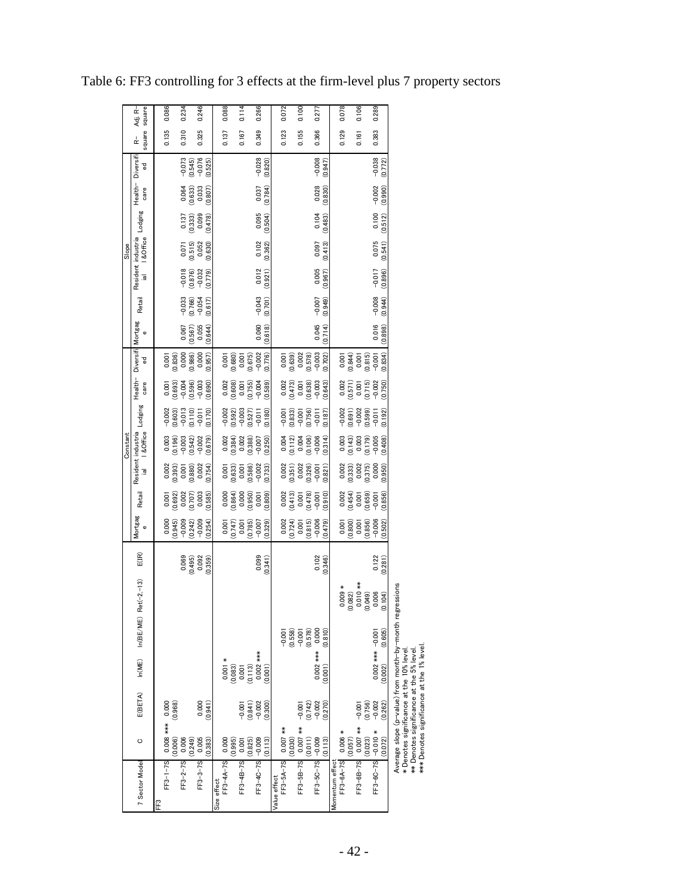|                          |                          |                                           |                       |                     |                         |                  |                     |                     |                     | Constant                            |                     |                          |                                                                             |                  |                     |                     | Slope                            |                  |                  |                     |             |                   |
|--------------------------|--------------------------|-------------------------------------------|-----------------------|---------------------|-------------------------|------------------|---------------------|---------------------|---------------------|-------------------------------------|---------------------|--------------------------|-----------------------------------------------------------------------------|------------------|---------------------|---------------------|----------------------------------|------------------|------------------|---------------------|-------------|-------------------|
| 7 Sector Model           | O                        | E(BETA)                                   | ln(ME)                |                     | $In(BE/ME)$ Ret(-2,-13) | E(IR)            | Mortgag<br>Ф        | Retail              |                     | Resident industria<br>ial 1 &Office | Lodging             | Health-Diversifi<br>care | ᄝ                                                                           | Mortgag<br>Ф     | Retail              | $\overline{a}$      | Resident industria<br>I & Office | Lodging          | Health-<br>care  | Diversifi<br>뀧      | square<br>¢ | square<br>Adj. R− |
| FF3                      |                          |                                           |                       |                     |                         |                  |                     |                     |                     |                                     |                     |                          |                                                                             |                  |                     |                     |                                  |                  |                  |                     |             |                   |
|                          | FF3-1-7S 0.008 *** 0.000 |                                           |                       |                     |                         |                  | 0.000               | 0.001               | 0.002               | 0.003                               | $-0.002$            | 0.001                    | 0.001                                                                       |                  |                     |                     |                                  |                  |                  |                     | 0.135       | 0.086             |
|                          | (0.006)                  | (0.968)                                   |                       |                     |                         |                  | (0.945)             | (0.692)             | (0.393)             | (0.196)                             | (0.603)             | (0.693)                  |                                                                             |                  |                     |                     |                                  |                  |                  |                     |             |                   |
| $FF3 - 2 - 7S$           | 0.006                    |                                           |                       |                     |                         | 0.069            | $-0.009$            | 0.002               | 0.001               | $-0.003$                            | $-0.013$            | $-0.004$                 | $(0.836)$<br>0.000                                                          | 0.067            | $-0.033$            | $-0.018$            | 0.071                            | 0.137            | 0.064            | $-0.073$            | 0.310       | 0.234             |
|                          | (0.249)                  |                                           |                       |                     |                         | (0.495)          | (0.242)             | (0.707)             | (0.880)             | (0.542)                             | (0.110)             | (0.596)                  | (0.986)                                                                     | (0.567)          | (0.766)             | (0.876)             | (0.515)                          | (0.333)          | (0.633)          | (0.545)             |             |                   |
| $FF3 - 3 - 7S$           | 0.005<br>(0.383)         | 0.000<br>(0.941)                          |                       |                     |                         | 0.092<br>(0.359) | $-0.009$<br>(0.254) | 0.003<br>(0.585)    | 0.002<br>(0.754)    | $-0.002$<br>(0.679)                 | (0.170)<br>$-0.011$ | $-0.003$<br>(0.690)      | 0.000<br>(0.957)                                                            | 0.055<br>(0.644) | $-0.054$<br>(0.617) | $-0.032$<br>(0.779) | 0.052<br>(0.630)                 | 0.099<br>(0.478) | 0.033<br>(0.807) | $-0.076$<br>(0.525) | 0.325       | 0.246             |
| Size effect              |                          |                                           |                       |                     |                         |                  |                     |                     |                     |                                     |                     |                          |                                                                             |                  |                     |                     |                                  |                  |                  |                     |             |                   |
| FF3-4A-7S 0.000          |                          |                                           | $0.001 *$             |                     |                         |                  | 0.001               | 0.000               | 0.001               | 0.002                               | $-0.002$            | 0.002                    |                                                                             |                  |                     |                     |                                  |                  |                  |                     | 0.137       | 0.088             |
|                          | (0.995)                  |                                           | (0.083)               |                     |                         |                  | (0.747)             | (0.864)             | (0.633)             | (0.384)                             | (0.592)             | (0.608)                  | (0.680)                                                                     |                  |                     |                     |                                  |                  |                  |                     |             |                   |
| $FF3-4B-7S$              | 0.001                    | $-0.001$                                  |                       |                     |                         |                  | 0.001               | 0.000               | 0.001               | 0.002                               | $-0.003$            | 0.001                    | 0.001                                                                       |                  |                     |                     |                                  |                  |                  |                     | 0.167       | 0.114             |
|                          | (0.825)                  | (0.841)                                   | $0.001$<br>$(0.113)$  |                     |                         |                  | (0.785)             | (0.950)             | (0.586)             | (0.388)                             | (0.527)             | (0.755)                  | (0.675)                                                                     |                  |                     |                     |                                  |                  |                  |                     |             |                   |
| $FF3-4C-7S$ -0.009       |                          | $-0.002$                                  | $0.002$ ***           |                     |                         | 0.099            | $-0.007$            | 0.001               | $-0.002$            | $-0.007$                            | $-0.011$            | $-0.004$                 |                                                                             | 0.060            | $-0.043$            | 0.012               | 0.102                            | 0.095            | 0.037            | $-0.028$            | 0.349       | 0.266             |
|                          | (0.113)                  | (0.300)                                   | (0.001)               |                     |                         | (0.341)          | (0.329)             | (0.809)             | (0.733)             | (0.250)                             | (0.180)             | (0.589)                  | (0.776)                                                                     | (0.618)          | (0.701)             | (0.921)             | (0.362)                          | (0.504)          | (0.784)          | (0.820)             |             |                   |
| Value effect             |                          |                                           |                       |                     |                         |                  |                     |                     |                     |                                     |                     |                          |                                                                             |                  |                     |                     |                                  |                  |                  |                     |             |                   |
| FF3-5A-7S 0.007 **       |                          |                                           |                       | $-0.001$            |                         |                  | 0.002               | 0.002               | 0.002               | 0.004                               | $-0.001$            | $0.002$<br>$(0.473)$     |                                                                             |                  |                     |                     |                                  |                  |                  |                     | 0.123       | 0.072             |
|                          | (0.030)                  |                                           |                       | (0.558)             |                         |                  | (0.724)             | (0.413)             | (0.351)             | $(0.112)$<br>0.004                  | (0.833)             |                          |                                                                             |                  |                     |                     |                                  |                  |                  |                     |             |                   |
| $FF3-5B-7S$              | $0.007$ **               | $-0.001$                                  |                       | $-0.001$<br>(0.578) |                         |                  | 0.001               | 0.001               | 0.002               |                                     | $-0.001$            | 0.001                    | $\begin{array}{c} 0.001 \\ 0.639 \\ 0.002 \\ 0.578 \\ -0.03 \\ \end{array}$ |                  |                     |                     |                                  |                  |                  |                     | 0.155       | 0.100             |
|                          | (0.011)                  | $(0.742)$<br>$-0.002$                     |                       |                     |                         |                  | (0.815)             | (0.478)             | (0.326)             | (0.106)                             | (0.756)             | (0.638)                  |                                                                             |                  |                     |                     |                                  |                  |                  |                     |             |                   |
| $FF3 - 5C - 7S$ -0.009   | (0.113)                  | (0.270)                                   | $0.002***$<br>(0.001) | 0.000<br>(0.810)    |                         | 0.102<br>(0.346) | $-0.006$<br>(0.479) | (0.910)<br>$-0.001$ | (0.821)<br>$-0.001$ | $-0.006$<br>(0.314)                 | (0.187)<br>$-0.011$ | $-0.003$<br>(0.643)      | (0.702)                                                                     | 0.045<br>(0.714) | (0.949)<br>$-0.007$ | 0.005<br>(0.967)    | (0.413)<br>0.097                 | 0.104<br>(0.483) | 0.028<br>(0.830) | $-0.008$<br>(0.947) | 0.366       | 0.277             |
| Momentum effect          |                          |                                           |                       |                     |                         |                  |                     |                     |                     |                                     |                     |                          |                                                                             |                  |                     |                     |                                  |                  |                  |                     |             |                   |
| FF3-6A-7S 0.006 *        | (0.057)                  |                                           |                       |                     | $0.009 *$<br>(082)<br>ల |                  | (0.800)<br>0.001    | 0.002<br>(0.454)    | 0.002<br>(0.333)    | 0.003<br>(0.143)                    | $-0.002$<br>(0.691) | 0.002<br>(0.571)         | (0.844)                                                                     |                  |                     |                     |                                  |                  |                  |                     | 0.129       | 0.078             |
| FF3-6B-7S 0.007 ***      |                          | $-0.001$                                  |                       |                     | $0.010**$               |                  | 0.001               | 0.001               | 0.002               | 0.003                               | $-0.002$            | 0.001                    | 0.001                                                                       |                  |                     |                     |                                  |                  |                  |                     | 0.161       | 0.106             |
|                          | (0.023)                  | (0.756)                                   |                       |                     | (049)                   |                  | (0.856)             | (0.659)             | (0.375)             | (0.179)                             | (0.599)             | (0.715)                  | (0.815)                                                                     |                  |                     |                     |                                  |                  |                  |                     |             |                   |
| $FF3 - 6C - 7S$ -0.010 * |                          | $-0.002$                                  | $0.000$ *** $-0.001$  |                     | 0.006                   | 0.122            | $-0.006$            | $-0.001$            | 0.000               | $-0.005$                            | $-0.011$            | $-0.002$                 | $-0.001$                                                                    | 0.016            | $-0.008$            | $-0.017$            | 0.075                            | 0.100            | $-0.002$         | $-0.038$            | 0.383       | 0.289             |
|                          | (0.072)                  | (0.262)                                   | (0.002)               | (0.605)             | (104)                   | (0.281)          | (0.502)             | (0.856)             | (0.950)             | (0.408)                             | (0.192)             | (0.750)                  | (0.834)                                                                     | (0.898)          | (0.944)             | (0.896)             | (0.541)                          | (0.512)          | (0.990)          | (0.772)             |             |                   |
|                          |                          | $\sim$ $\sim$ $\sim$ $\sim$ $\sim$ $\sim$ |                       |                     |                         |                  |                     |                     |                     |                                     |                     |                          |                                                                             |                  |                     |                     |                                  |                  |                  |                     |             |                   |

Table 6: FF3 controlling for 3 effects at the firm-level plus 7 property sectors

Average slope (p−value) from month−by−month regressions<br>\* Denotes significance at the 10% level.<br>\*\*\* Denotes significance at the 5% level.<br>\*\*\* Denotes significance at the 1% level. Average slope (p-value) from month-by-month regressions

\* Denotes significance at the 10% level.

\*\* Denotes significance at the 5% level. \*\*\* Denotes significance at the 1% level.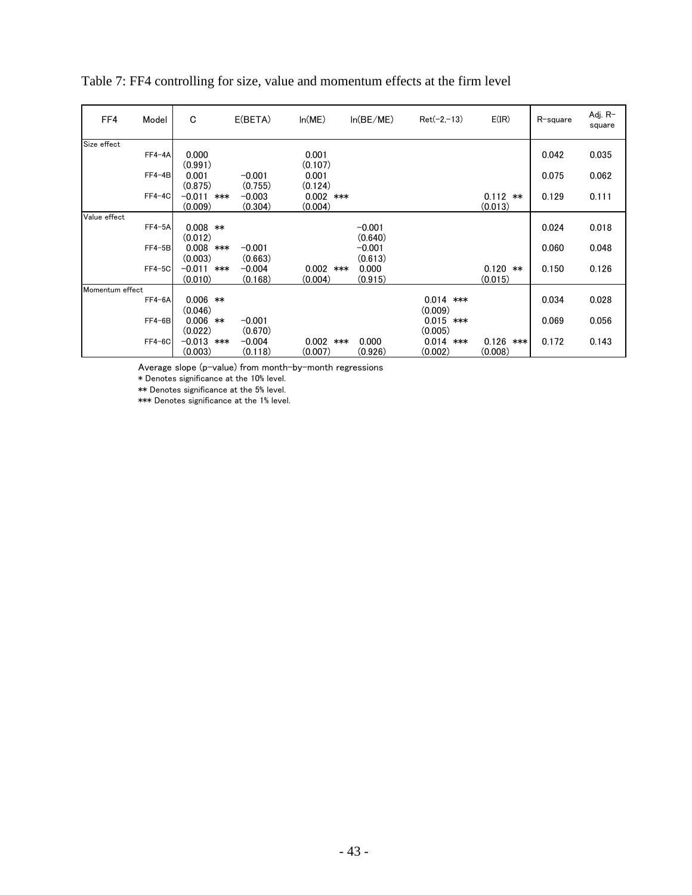| FF4             | Model    | C                       | E(BETA)             | ln(ME)                 | ln(BE/ME) | $Ret(-2,-13)$ | E(IR)                 | R-square | Adj. R-<br>square |
|-----------------|----------|-------------------------|---------------------|------------------------|-----------|---------------|-----------------------|----------|-------------------|
| Size effect     |          |                         |                     |                        |           |               |                       |          |                   |
|                 | $FF4-4A$ | 0.000<br>(0.991)        |                     | 0.001<br>(0.107)       |           |               |                       | 0.042    | 0.035             |
|                 | $FF4-4B$ | 0.001<br>(0.875)        | $-0.001$<br>(0.755) | 0.001<br>(0.124)       |           |               |                       | 0.075    | 0.062             |
|                 | $FF4-4C$ | $-0.011$ ***<br>(0.009) | $-0.003$<br>(0.304) | $0.002$ ***<br>(0.004) |           |               | $0.112$ **<br>(0.013) | 0.129    | 0.111             |
| Value effect    |          |                         |                     |                        |           |               |                       |          |                   |
|                 | $FF4-5A$ | $0.008$ **              |                     |                        | $-0.001$  |               |                       | 0.024    | 0.018             |
|                 |          | (0.012)                 |                     |                        | (0.640)   |               |                       |          |                   |
|                 | $FF4-5B$ | $0.008$ ***             | $-0.001$            |                        | $-0.001$  |               |                       | 0.060    | 0.048             |
|                 |          | (0.003)                 | (0.663)             |                        | (0.613)   |               |                       |          |                   |
|                 | $FF4-5C$ | $-0.011$ ***            | $-0.004$            | 0.002<br>***           | 0.000     |               | $0.120$ **            | 0.150    | 0.126             |
|                 |          | (0.010)                 | (0.168)             | (0.004)                | (0.915)   |               | (0.015)               |          |                   |
| Momentum effect |          |                         |                     |                        |           |               |                       |          |                   |
|                 | $FF4-6A$ | $0.006$ **              |                     |                        |           | $0.014$ ***   |                       | 0.034    | 0.028             |
|                 |          | (0.046)                 |                     |                        |           | (0.009)       |                       |          |                   |
|                 | $FF4-6B$ | $0.006$ **              | $-0.001$            |                        |           | $0.015$ ***   |                       | 0.069    | 0.056             |
|                 |          | (0.022)                 | (0.670)             |                        |           | (0.005)       |                       |          |                   |
|                 | $FF4-6C$ | $-0.013$ ***            | $-0.004$            | $0.002$ ***            | 0.000     | $0.014$ ***   | $0.126$ ***           | 0.172    | 0.143             |
|                 |          | (0.003)                 | (0.118)             | (0.007)                | (0.926)   | (0.002)       | (0.008)               |          |                   |

# Table 7: FF4 controlling for size, value and momentum effects at the firm level

Average slope (p-value) from month-by-month regressions

\* Denotes significance at the 10% level.

\*\* Denotes significance at the 5% level.

\*\*\* Denotes significance at the 1% level.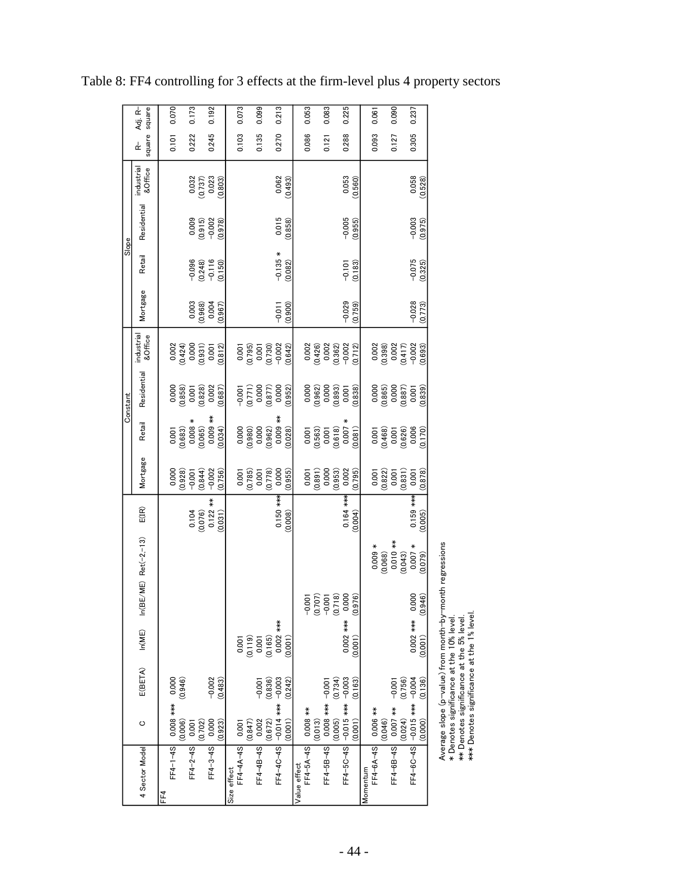|          | Adj. R-                |     | 0.070                                                                      | 0.173                              |                                   | 0.192                                                                      |         |             | 0.073           |         | 0.099     |                                                                                   | 0.213                                                                               |         |              | 0.053               |                    | 0.083                                                                      |         | 0.225                              |         |          | 0.061              |                                                            | 0.090                |         | 0.237                                                                                      |                 |
|----------|------------------------|-----|----------------------------------------------------------------------------|------------------------------------|-----------------------------------|----------------------------------------------------------------------------|---------|-------------|-----------------|---------|-----------|-----------------------------------------------------------------------------------|-------------------------------------------------------------------------------------|---------|--------------|---------------------|--------------------|----------------------------------------------------------------------------|---------|------------------------------------|---------|----------|--------------------|------------------------------------------------------------|----------------------|---------|--------------------------------------------------------------------------------------------|-----------------|
|          | square square<br>ዹ     |     | 0.101                                                                      | 0.222                              |                                   | 0.245                                                                      |         |             | 0.103           |         | 0.135     |                                                                                   | 0.270                                                                               |         |              | 0.086               |                    | 0.121                                                                      |         | 0.288                              |         |          | 0.093              |                                                            | 0.127                |         | 0.305                                                                                      |                 |
|          | industrial<br>&Office  |     |                                                                            |                                    |                                   | $\begin{array}{c} 0.032 \\ 0.737) \\ 0.023 \\ 0.023 \\ 0.003) \end{array}$ |         |             |                 |         |           |                                                                                   | $\frac{0.062}{(0.493)}$                                                             |         |              |                     |                    |                                                                            |         | 0.560)                             |         |          |                    |                                                            |                      |         | $\frac{0.058}{0.528}$                                                                      |                 |
|          | Residential            |     |                                                                            |                                    |                                   | $\begin{array}{c} 0.009 \\ 0.915) \\ -0.002 \\ 0.978) \end{array}$         |         |             |                 |         |           |                                                                                   | 0.015<br>(0.858)                                                                    |         |              |                     |                    |                                                                            |         | $-0.005$<br>$(0.955)$              |         |          |                    |                                                            |                      |         | $-0.003$<br>$(0.975)$                                                                      |                 |
| Slope    | Retail                 |     |                                                                            |                                    |                                   | $-0.096$<br>$(0.248)$<br>$-0.116$<br>$-0.150)$                             |         |             |                 |         |           |                                                                                   | $-0.135 *$<br>(0.082)                                                               |         |              |                     |                    |                                                                            |         | $-0.101$                           | (0.183) |          |                    |                                                            |                      |         | $-0.075$<br>(0.325)                                                                        |                 |
|          | Mortgage               |     |                                                                            |                                    | $(0.968)$<br>$(0.968)$<br>$0.004$ |                                                                            | (0.967) |             |                 |         |           |                                                                                   | (0.900)<br>$-0.011$                                                                 |         |              |                     |                    |                                                                            |         | $-0.029$                           | (0.759) |          |                    |                                                            |                      |         | $-0.028$<br>(0.773)                                                                        |                 |
|          | industrial<br>&Office  |     | $\begin{array}{c} 0.002 \\ 0.424) \\ 0.000 \\ 0.031) \\ 0.001 \end{array}$ |                                    |                                   |                                                                            | (0.812) |             |                 |         |           |                                                                                   | $\begin{array}{c} 0.001\ 0.795) \ 0.001\ 0.001\ 0.002\ 0.002\end{array}$<br>(0.642) |         |              |                     |                    | $\begin{array}{c} 0.002 \\ 0.426) \\ 0.002 \end{array}$                    |         | $(0.362)$<br>$-0.002$<br>$(0.712)$ |         |          |                    | $\frac{0.002}{(0.398)}$                                    |                      |         | $\begin{array}{c} 0.002 \\ 0.417) \\ -0.002 \\ 0.693) \end{array}$                         |                 |
| Constant | Residential            |     | $\begin{array}{c} 0.000 \\ 0.858) \\ 0.001 \\ 0.001 \\ 0.028 \end{array}$  |                                    |                                   |                                                                            | (0.687) |             |                 |         |           | $\begin{array}{c} -0.001\ 0.771) \ 0.000\ 0.877) \ 0.000 \end{array}$             |                                                                                     | (0.952) |              |                     |                    | $0.000$<br>$0.962$<br>$0.000$<br>$0.000$<br>$0.001$                        |         |                                    | (0.838) |          |                    |                                                            |                      |         | $\begin{array}{c} 0.000 \\ 0.065) \\ 0.000 \\ 0.000 \\ 0.001 \\ \end{array}$               | (0.839)         |
|          | Retail                 |     | $\begin{array}{c} 0.001 \ (0.683) \ 0.008 * \ (0.065) \end{array}$         |                                    |                                   | $*$<br>800.0                                                               | (0.034) |             |                 |         |           | $\begin{array}{c} 0.000 \\ 0.980) \\ 0.000 \\ 0.000 \\ 0.962) \end{array}$        | $0.009$ **<br>$(0.028)$                                                             |         |              |                     |                    | $\begin{array}{c} 0.001 \\ 0.563) \\ 0.001 \\ 0.001 \\ 0.618) \end{array}$ |         | $\frac{(0.007)}{(0.081)}$          |         |          |                    |                                                            |                      |         | $\begin{array}{c} 0.001\ 0.468) \ (0.468)\ 0.001\ 0.006\ 0.006\ 0.006\ 0.006\ \end{array}$ |                 |
|          | Mortgage               |     | 0.000                                                                      | $(0.928)$<br>$-0.001$<br>$(0.844)$ |                                   | $-0.002$                                                                   | (0.756) |             |                 |         |           | $\begin{array}{c} 0.001\ 0.785)\\ 0.001\ 0.001\ 0.001\ 0.001\ 0.0778)\end{array}$ | 0.000<br>(0.955)                                                                    |         |              | 0.001               | $(0.891)$<br>0.000 |                                                                            | (0.953) | 0.002                              | (0.795) |          | 0.001              | $\begin{array}{c} (0.822) \\ 0.001 \\ (0.831) \end{array}$ |                      |         | 0.001                                                                                      | (0.878)         |
|          | $E(\mathbb{IR})$       |     |                                                                            |                                    | $0.104$<br>$(0.076)$              | $0.122***$                                                                 | (0.031) |             |                 |         |           |                                                                                   | $0.150***$<br>(0.008)                                                               |         |              |                     |                    |                                                                            |         | $0.164$ ***                        | (0.004) |          |                    |                                                            |                      |         | $0.159***$                                                                                 | (0.005)         |
|          | $n(BE/ME)$ Ret(-2,-13) |     |                                                                            |                                    |                                   |                                                                            |         |             |                 |         |           |                                                                                   |                                                                                     |         |              |                     |                    |                                                                            |         |                                    |         |          |                    | $0.009 *$<br>(0.068)                                       | $0.010**$<br>(0.043) |         | $(0.007 *$                                                                                 |                 |
|          | 즥                      |     |                                                                            |                                    |                                   |                                                                            |         |             |                 |         |           |                                                                                   |                                                                                     |         |              |                     | S                  | $\begin{array}{c} 0.001 \\ 0.707) \\ -0.001 \end{array}$                   | (0.718) | 0.000                              | .976    |          |                    |                                                            |                      |         | 0.000                                                                                      | .946<br>$\circ$ |
|          | ln(ME)                 |     |                                                                            |                                    |                                   |                                                                            |         |             | 0.001           |         |           | $\begin{array}{c} (0.119) \\ 0.001 \\ 0.165) \end{array}$                         | 0.002 ***                                                                           | (0.001) |              |                     |                    |                                                                            |         | $0.002$ ***                        | (0.001) |          |                    |                                                            |                      |         | 0.002 ***                                                                                  | (0.001)         |
|          | E(BETA)                |     | (0.946)                                                                    |                                    |                                   | $-0.002$                                                                   | (0.483) |             |                 |         | $-0.001$  | (0.836)                                                                           |                                                                                     | (0.242) |              |                     |                    |                                                                            | (0.734) |                                    | (0.163) |          |                    |                                                            | $-0.001$             | (0.756) |                                                                                            | (0.136)         |
|          | ပ                      |     | FF4-1-4S 0000 9+**<br>(0.006)                                              | 0.001                              | (0.702)                           | 0.000                                                                      | (0.923) |             |                 | (0.847) | 0.002     | (0.672)                                                                           |                                                                                     | (0.001) |              |                     | (0.013)            | $0.008$ *** $-0.00$                                                        | (0.005) |                                    | (0.001) |          |                    | (0.046)                                                    |                      | (0.024) |                                                                                            | (0.000)         |
|          | 4 Sector Model         | FF4 |                                                                            | $FF4 - 2 - 4S$                     |                                   | $FF4 - 3 - 4S$                                                             |         | Size effect | FF4-4A-4S 0.001 |         | FF4-4B-4S |                                                                                   | EF4-4C-4S -0.014 *** 10.003                                                         |         | Value effect | FF4-5A-4S 0.008 *** |                    | $FF4-5B-4S$                                                                |         | FF4-5C-4S -0.015 *** -0.003        |         | Momentum | FF4-6A-4S 0.006 ** |                                                            | FF4-6B-4S 0.007 ***  |         | FF4-00-0-00-0-00-004                                                                       |                 |

Table 8: FF4 controlling for 3 effects at the firm-level plus 4 property sectors

Average slope (p-value) from month-by-month regressions \* Denotes significance at the 10% level.

Average slope (p-value) from month-by-month regressions<br>\* Denotes significance at the 10% level.<br>\*\* Denotes significance at the 5% level.<br>\*\*\* Denotes significance at the 1% level. \*\*\* Denotes significance at the 1% level. \*\* Denotes significance at the 5% level.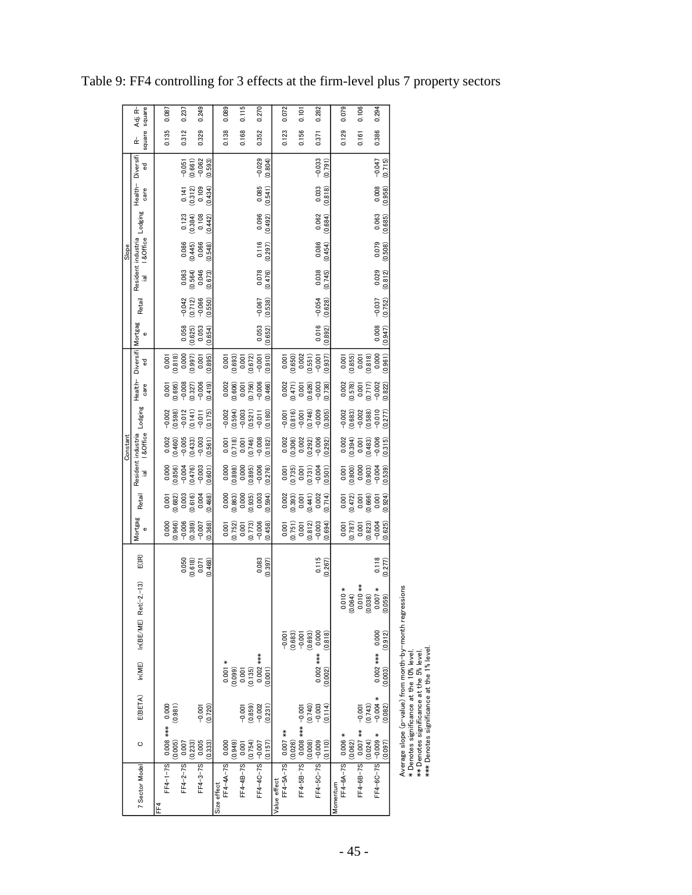|          | Adj. R−<br>square                    | 0.087                    |                       | 0.237                   | 0.249               |         |             | 0.089                |                       | 0.115       |                      | 0.270           |         |              | 0.072                |                                                       | 0.101                                                    |         | 0.282                  |          | 0.079                         |         | 0.106                                |         | 0.294                          |
|----------|--------------------------------------|--------------------------|-----------------------|-------------------------|---------------------|---------|-------------|----------------------|-----------------------|-------------|----------------------|-----------------|---------|--------------|----------------------|-------------------------------------------------------|----------------------------------------------------------|---------|------------------------|----------|-------------------------------|---------|--------------------------------------|---------|--------------------------------|
|          | square<br>$\frac{1}{K}$              | 0.135                    |                       | 0.312                   | 0.329               |         |             | 0.138                |                       | 0.168       |                      | 0.352           |         |              | 0.123                |                                                       | 0.156                                                    |         | 0.371                  |          | 0.129                         |         | 0.161                                |         | 0.386                          |
|          | Diversifi<br>g                       |                          |                       | $-0.051$                | $-0.062$<br>(0.661) | (0.593) |             |                      |                       |             |                      | $-0.029$        | (0.804) |              |                      |                                                       |                                                          |         | $-0.033$<br>(0.791)    |          |                               |         |                                      |         | $-0.047$<br>(0.715)            |
|          | Health-<br>care                      |                          |                       | $0.141$<br>$(0.312)$    | 0.109               | (0.434) |             |                      |                       |             |                      | 0.085           | (0.541) |              |                      |                                                       |                                                          |         | 0.033<br>(0.818)       |          |                               |         |                                      |         | 0.008<br>(0.958)               |
|          | Lodging                              |                          |                       | $\frac{0.123}{(0.384)}$ | 0.108               | (0.442) |             |                      |                       |             |                      | 0.096           | (0.492) |              |                      |                                                       |                                                          |         | 0.062<br>(0.684)       |          |                               |         |                                      |         | 0.063<br>(0.685)               |
| Slope    | I & Office                           |                          |                       | (0.445)                 | 0.066               | (0.548) |             |                      |                       |             |                      | 0.116           | (0.297) |              |                      |                                                       |                                                          |         | 0.086<br>(0.454)       |          |                               |         |                                      |         | 0.079<br>(0.508)               |
|          | Resident industria<br>$\overline{a}$ |                          |                       | (0.564)                 | 0.046               | (0.673) |             |                      |                       |             |                      | 0.078           | (0.476) |              |                      |                                                       |                                                          |         | 0.038<br>(0.745)       |          |                               |         |                                      |         | 0.029<br>(0.812)               |
|          | Retail                               |                          |                       | $-0.042$<br>$(0.712)$   | $-0.066$            | (0.550) |             |                      |                       |             |                      | $-0.067$        | (0.538) |              |                      |                                                       |                                                          |         | $-0.054$<br>(0.628)    |          |                               |         |                                      |         | $-0.037$<br>(0.752)            |
|          | Mortgag<br>$\bullet$                 |                          |                       | 0.058                   | 0.053<br>(0.625)    | (0.654) |             |                      |                       |             |                      | 0.053           | (0.652) |              |                      |                                                       |                                                          |         | 0.016<br>(0.892)       |          |                               |         |                                      |         | 0.008<br>(0.947)               |
|          | ᄝ                                    | 0.001                    | (0.818)               | 0.000                   | (0.997)<br>0.001    | (0.895) |             | 0.001                | (0.693)               | 0.001       | (0.672)              | $-0.001$        | (0.910) |              | 0.001                | (0.650)                                               | 0.002                                                    | (0.551) | (0.937)                |          | (0.855)                       |         | 0.001                                | (0.818) | 0.000<br>(0.961)               |
|          | Health-Diversifi<br>care             | 0.001                    | (0.695)               | $-0.008$                | $-0.006$<br>(0.327) | (0.419) |             | $0.002$<br>$(0.606)$ |                       | 0.001       | (0.756)              | $-0.006$        | (0.466) |              | $0.002$<br>$(0.471)$ |                                                       | 0.001                                                    | (0.626) | $-0.003$<br>(0.738)    |          | $0.002$<br>$(0.578)$          |         | 0.001                                | (0.717) | $-0.002$<br>(0.822)            |
|          | Lodging                              | $-0.002$                 | $(0.598)$<br>$-0.012$ |                         | (0.141)<br>$-0.011$ | (0.175) |             | $-0.002$             | $(0.594)$<br>$-0.003$ |             | (0.521)              | $-0.011$        | (0.180) |              | $-0.001$             | (0.816)                                               |                                                          | (0.746) | (0.305)<br>$-0.009$    |          | $-0.002$                      | (0.683) | $-0.002$                             | (0.588) | $-0.010$<br>(0.277)            |
| Constant | I & Office                           |                          | (0.460)               | $-0.005$                | $-0.003$<br>(0.433) | (0.561) |             | (0.718)              |                       | 0.001       | (0.746)              | $-0.008$        | (0.182) |              | $0.002$<br>$(0.306)$ |                                                       | 0.002                                                    | (0.292) | $-0.006$<br>(0.292)    |          | (0.394)                       |         | 0.001                                | (0.483) | $-0.006$<br>(0.315)            |
|          | Resident industria<br>$\overline{a}$ | 0.000                    | (0.856)               | $-0.004$                | $-0.003$<br>(0.476) | (0.601) |             | 0.000                | (0.898)               | 0.000       | (0.895)              | $-0.006$        | (0.276) |              |                      | $\begin{array}{c} 0.001 \ 0.735) \ 0.001 \end{array}$ |                                                          | (0.731) | $-0.004$<br>(0.501)    |          | 0.001                         | (0.800) | 0.000                                | (0.903) | $-0.004$<br>(0.539)            |
|          | Retail                               | 0.001                    | (0.682)               | 0.003                   | 0.004<br>(0.616)    | (0.468) |             | 0.000                | $(0.863)$<br>$0.000$  |             | (0.935)              | 0.003           | (0.594) |              | 0.002                | (0.393)                                               | 0.001                                                    | (0.441) | 0.002<br>(0.714)       |          | $0.001$<br>$0.472$<br>$0.001$ |         |                                      | (0.666) | (0.924)<br>0.001               |
|          | Mortgag<br>Φ                         | 0.000                    | (0.966)               | $-0.006$                | (0.389)<br>$-0.007$ | (0.368) |             | 0.001                | (0.752)               | 0.001       | (0.773)              | $-0.006$        | (0.458) |              | 0.001                | (0.751)                                               | 0.001                                                    | (0.812) | $-0.003$<br>(0.694)    |          | 0.001                         | (0.787) | 0.001                                | (0.823) | (0.625)<br>$-0.004$            |
|          | $E(\mathbb{IR})$                     |                          |                       | 0.050                   | (0.618)<br>0.071    | (0.468) |             |                      |                       |             |                      | 0.083           | (0.397) |              |                      |                                                       |                                                          |         | 0.115<br>(0.267)       |          |                               |         |                                      |         | 0.118<br>(0.277)               |
|          |                                      |                          |                       |                         |                     |         |             |                      |                       |             |                      |                 |         |              |                      |                                                       |                                                          |         |                        |          |                               |         |                                      |         |                                |
|          |                                      |                          |                       |                         |                     |         |             |                      |                       |             |                      |                 |         |              |                      |                                                       |                                                          |         |                        |          | $0.010*$                      |         | $(0.064)$<br>$(0.004)$<br>$0.010$ ** | (0.038) | $0.007 *$<br>(0.059)           |
|          | $In(BE/ME)$ Ret(-2,-13)              |                          |                       |                         |                     |         |             |                      |                       |             |                      |                 |         |              |                      |                                                       | $-0.001$<br>$-0.683$<br>$-0.001$<br>$-0.693$<br>$-0.693$ |         | 0.000<br>(0.818)       |          |                               |         |                                      |         | (0.912)                        |
|          | ln(ME)                               |                          |                       |                         |                     |         |             | $0.001 *$            | (0.099)               |             | $0.001$<br>$(0.135)$ | $0.002$ ***     | (0.001) |              |                      |                                                       |                                                          |         | $0.002$ ***<br>(0.002) |          |                               |         |                                      |         | $0.002$ *** $0.000$<br>(0.003) |
|          | E(BETA)                              |                          | (0.981)               |                         | $-0.001$            | (0.720) |             |                      |                       | $-0.001$    | (0.859)              | $-0.002$        | (0.231) |              |                      |                                                       |                                                          | (0.740) | $-0.003$<br>(0.114)    |          |                               |         | $-0.001$                             | (0.743) | $+8000 +$<br>(0.082)           |
|          | O                                    | FF4-1-7S 0.008 *** 0.000 | (0.005)               | 0.007                   | 0.005<br>(0.233)    | (0.333) |             |                      | (0.949)               | 0.001       | (0.754)              |                 | (0.157) |              |                      | (0.026)                                               | $-0.000 -$ *** 800.0                                     | (0.008) | (0.110)                |          |                               | (0.062) | $0.007$ **                           | (0.024) | (0.097)                        |
|          | 7 Sector Model                       | FF <sub>4</sub>          |                       | $FF4 - 2 - 7S$          | $FF4 - 3 - 7S$      |         | Size effect | FF4-4A-7S 0.000      |                       | $FF4-4B-7S$ |                      | FF4-4C-7S 0.007 |         | Value effect | FF4-5A-7S 0.007 **   |                                                       | FF4-5B-7S                                                |         | FF4-5C-7S -0.009       | Momentum | FF4-6A-7S 0.006 *             |         | FF4-6B-7S                            |         | FF4-6C-7S -0.009 *             |

Table 9: FF4 controlling for 3 effects at the firm-level plus 7 property sectors

Average slope (p∼value) from month–by–month regressions<br>\* Denotes significance at the 10% level.<br>\*\*\* Denotes significance at the 5% level.<br>\*\*\* Denotes significance at the 1% level. Average slope (p-value) from month-by-month regressions \* Denotes significance at the 10% level.

\*\* Denotes significance at the 5% level.

\*\*\* Denotes significance at the 1% level.

- 45 -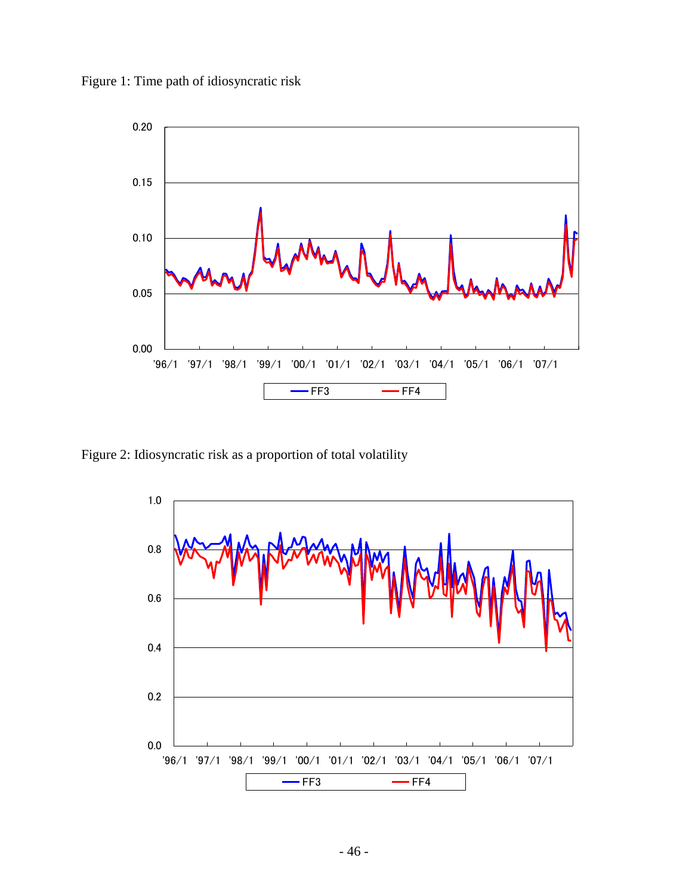Figure 1: Time path of idiosyncratic risk



Figure 2: Idiosyncratic risk as a proportion of total volatility

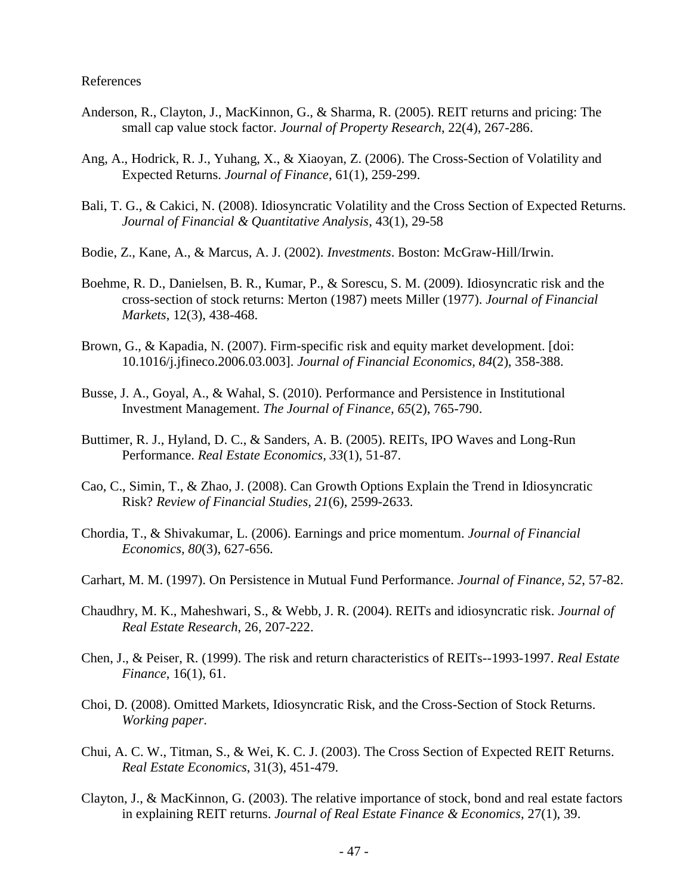## References

- Anderson, R., Clayton, J., MacKinnon, G., & Sharma, R. (2005). REIT returns and pricing: The small cap value stock factor. *Journal of Property Research*, 22(4), 267-286.
- Ang, A., Hodrick, R. J., Yuhang, X., & Xiaoyan, Z. (2006). The Cross-Section of Volatility and Expected Returns. *Journal of Finance*, 61(1), 259-299.
- Bali, T. G., & Cakici, N. (2008). Idiosyncratic Volatility and the Cross Section of Expected Returns. *Journal of Financial & Quantitative Analysis*, 43(1), 29-58
- Bodie, Z., Kane, A., & Marcus, A. J. (2002). *Investments*. Boston: McGraw-Hill/Irwin.
- Boehme, R. D., Danielsen, B. R., Kumar, P., & Sorescu, S. M. (2009). Idiosyncratic risk and the cross-section of stock returns: Merton (1987) meets Miller (1977). *Journal of Financial Markets*, 12(3), 438-468.
- Brown, G., & Kapadia, N. (2007). Firm-specific risk and equity market development. [doi: 10.1016/j.jfineco.2006.03.003]. *Journal of Financial Economics, 84*(2), 358-388.
- Busse, J. A., Goyal, A., & Wahal, S. (2010). Performance and Persistence in Institutional Investment Management. *The Journal of Finance, 65*(2), 765-790.
- Buttimer, R. J., Hyland, D. C., & Sanders, A. B. (2005). REITs, IPO Waves and Long-Run Performance. *Real Estate Economics, 33*(1), 51-87.
- Cao, C., Simin, T., & Zhao, J. (2008). Can Growth Options Explain the Trend in Idiosyncratic Risk? *Review of Financial Studies, 21*(6), 2599-2633.
- Chordia, T., & Shivakumar, L. (2006). Earnings and price momentum. *Journal of Financial Economics, 80*(3), 627-656.
- Carhart, M. M. (1997). On Persistence in Mutual Fund Performance. *Journal of Finance, 52*, 57-82.
- Chaudhry, M. K., Maheshwari, S., & Webb, J. R. (2004). REITs and idiosyncratic risk. *Journal of Real Estate Research*, 26, 207-222.
- Chen, J., & Peiser, R. (1999). The risk and return characteristics of REITs--1993-1997. *Real Estate Finance*, 16(1), 61.
- Choi, D. (2008). Omitted Markets, Idiosyncratic Risk, and the Cross-Section of Stock Returns. *Working paper*.
- Chui, A. C. W., Titman, S., & Wei, K. C. J. (2003). The Cross Section of Expected REIT Returns. *Real Estate Economics*, 31(3), 451-479.
- Clayton, J., & MacKinnon, G. (2003). The relative importance of stock, bond and real estate factors in explaining REIT returns. *Journal of Real Estate Finance & Economics*, 27(1), 39.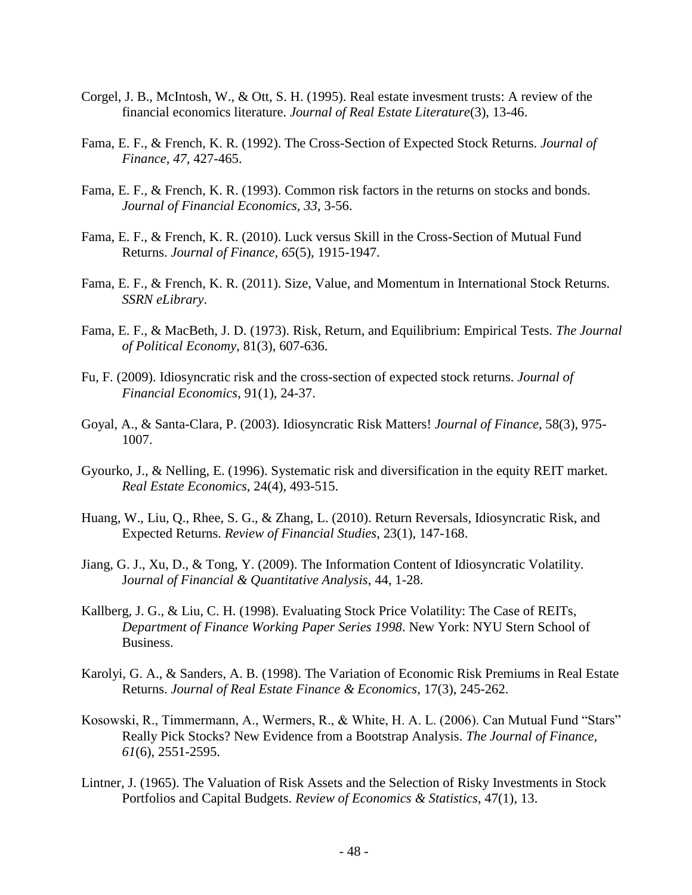- Corgel, J. B., McIntosh, W., & Ott, S. H. (1995). Real estate invesment trusts: A review of the financial economics literature. *Journal of Real Estate Literature*(3), 13-46.
- Fama, E. F., & French, K. R. (1992). The Cross-Section of Expected Stock Returns. *Journal of Finance, 47*, 427-465.
- Fama, E. F., & French, K. R. (1993). Common risk factors in the returns on stocks and bonds. *Journal of Financial Economics, 33*, 3-56.
- Fama, E. F., & French, K. R. (2010). Luck versus Skill in the Cross-Section of Mutual Fund Returns. *Journal of Finance, 65*(5), 1915-1947.
- Fama, E. F., & French, K. R. (2011). Size, Value, and Momentum in International Stock Returns. *SSRN eLibrary*.
- Fama, E. F., & MacBeth, J. D. (1973). Risk, Return, and Equilibrium: Empirical Tests. *The Journal of Political Economy*, 81(3), 607-636.
- Fu, F. (2009). Idiosyncratic risk and the cross-section of expected stock returns. *Journal of Financial Economics*, 91(1), 24-37.
- Goyal, A., & Santa-Clara, P. (2003). Idiosyncratic Risk Matters! *Journal of Finance*, 58(3), 975- 1007.
- Gyourko, J., & Nelling, E. (1996). Systematic risk and diversification in the equity REIT market. *Real Estate Economics*, 24(4), 493-515.
- Huang, W., Liu, Q., Rhee, S. G., & Zhang, L. (2010). Return Reversals, Idiosyncratic Risk, and Expected Returns. *Review of Financial Studies*, 23(1), 147-168.
- Jiang, G. J., Xu, D., & Tong, Y. (2009). The Information Content of Idiosyncratic Volatility. J*ournal of Financial & Quantitative Analysis*, 44, 1-28.
- Kallberg, J. G., & Liu, C. H. (1998). Evaluating Stock Price Volatility: The Case of REITs, *Department of Finance Working Paper Series 1998*. New York: NYU Stern School of Business.
- Karolyi, G. A., & Sanders, A. B. (1998). The Variation of Economic Risk Premiums in Real Estate Returns. *Journal of Real Estate Finance & Economics*, 17(3), 245-262.
- Kosowski, R., Timmermann, A., Wermers, R., & White, H. A. L. (2006). Can Mutual Fund "Stars" Really Pick Stocks? New Evidence from a Bootstrap Analysis. *The Journal of Finance, 61*(6), 2551-2595.
- Lintner, J. (1965). The Valuation of Risk Assets and the Selection of Risky Investments in Stock Portfolios and Capital Budgets. *Review of Economics & Statistics*, 47(1), 13.